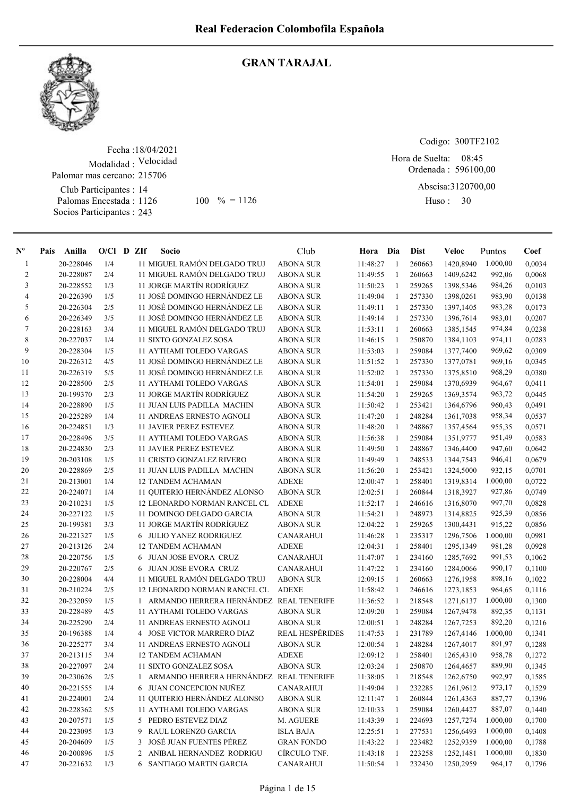

#### GRAN TARAJAL

Fecha : 18/04/2021 Modalidad : Velocidad Club Participantes : 14 Palomas Encestada : Socios Participantes : 243 Palomar mas cercano: 215706 1126 100 % = 1126 Huso: 30

Codigo: 300TF2102

Ordenada : 596100,00 Abscisa: 3120700,00 Hora de Suelta: 08:45

Huso: 30

| $\mathbf{N}^{\mathbf{o}}$ | Pais | Anilla    | $O/C1$ D ZIf |   | Socio                                     | Club                   | Hora Dia |              | Dist   | Veloc     | Puntos   | Coef   |
|---------------------------|------|-----------|--------------|---|-------------------------------------------|------------------------|----------|--------------|--------|-----------|----------|--------|
| 1                         |      | 20-228046 | 1/4          |   | 11 MIGUEL RAMÓN DELGADO TRUJ              | <b>ABONA SUR</b>       | 11:48:27 | -1           | 260663 | 1420,8940 | 1.000,00 | 0,0034 |
| $\overline{c}$            |      | 20-228087 | 2/4          |   | 11 MIGUEL RAMÓN DELGADO TRUJ              | <b>ABONA SUR</b>       | 11:49:55 | $\mathbf{1}$ | 260663 | 1409,6242 | 992,06   | 0,0068 |
| 3                         |      | 20-228552 | 1/3          |   | 11 JORGE MARTÍN RODRÍGUEZ                 | <b>ABONA SUR</b>       | 11:50:23 | 1            | 259265 | 1398,5346 | 984,26   | 0,0103 |
| 4                         |      | 20-226390 | 1/5          |   | 11 JOSÉ DOMINGO HERNÁNDEZ LE              | <b>ABONA SUR</b>       | 11:49:04 | 1            | 257330 | 1398,0261 | 983,90   | 0,0138 |
| 5                         |      | 20-226304 | 2/5          |   | 11 JOSÉ DOMINGO HERNÁNDEZ LE              | <b>ABONA SUR</b>       | 11:49:11 | $\mathbf{1}$ | 257330 | 1397,1405 | 983,28   | 0,0173 |
| 6                         |      | 20-226349 | 3/5          |   | 11 JOSÉ DOMINGO HERNÁNDEZ LE              | <b>ABONA SUR</b>       | 11:49:14 | -1           | 257330 | 1396,7614 | 983,01   | 0,0207 |
| 7                         |      | 20-228163 | 3/4          |   | 11 MIGUEL RAMÓN DELGADO TRUJ              | <b>ABONA SUR</b>       | 11:53:11 | -1           | 260663 | 1385,1545 | 974,84   | 0,0238 |
| 8                         |      | 20-227037 | 1/4          |   | 11 SIXTO GONZALEZ SOSA                    | <b>ABONA SUR</b>       | 11:46:15 | -1           | 250870 | 1384,1103 | 974,11   | 0,0283 |
| 9                         |      | 20-228304 | 1/5          |   | <b>11 AYTHAMI TOLEDO VARGAS</b>           | <b>ABONA SUR</b>       | 11:53:03 | 1            | 259084 | 1377,7400 | 969,62   | 0,0309 |
| 10                        |      | 20-226312 | 4/5          |   | 11 JOSÉ DOMINGO HERNÁNDEZ LE              | <b>ABONA SUR</b>       | 11:51:52 | -1           | 257330 | 1377,0781 | 969,16   | 0,0345 |
| 11                        |      | 20-226319 | 5/5          |   | 11 JOSÉ DOMINGO HERNÁNDEZ LE              | <b>ABONA SUR</b>       | 11:52:02 | $\mathbf{1}$ | 257330 | 1375,8510 | 968,29   | 0,0380 |
| 12                        |      | 20-228500 | 2/5          |   | 11 AYTHAMI TOLEDO VARGAS                  | <b>ABONA SUR</b>       | 11:54:01 | $\mathbf{1}$ | 259084 | 1370,6939 | 964,67   | 0,0411 |
| 13                        |      | 20-199370 | 2/3          |   | 11 JORGE MARTÍN RODRÍGUEZ                 | <b>ABONA SUR</b>       | 11:54:20 | 1            | 259265 | 1369,3574 | 963,72   | 0,0445 |
| 14                        |      | 20-228890 | 1/5          |   | 11 JUAN LUIS PADILLA MACHIN               | <b>ABONA SUR</b>       | 11:50:42 | 1            | 253421 | 1364,6796 | 960,43   | 0,0491 |
| 15                        |      | 20-225289 | 1/4          |   | 11 ANDREAS ERNESTO AGNOLI                 | <b>ABONA SUR</b>       | 11:47:20 | 1            | 248284 | 1361,7038 | 958,34   | 0,0537 |
| 16                        |      | 20-224851 | 1/3          |   | <b>11 JAVIER PEREZ ESTEVEZ</b>            | <b>ABONA SUR</b>       | 11:48:20 | 1            | 248867 | 1357,4564 | 955,35   | 0,0571 |
| 17                        |      | 20-228496 | 3/5          |   | <b>11 AYTHAMI TOLEDO VARGAS</b>           | <b>ABONA SUR</b>       | 11:56:38 | 1            | 259084 | 1351,9777 | 951,49   | 0,0583 |
| 18                        |      | 20-224830 | 2/3          |   | <b>11 JAVIER PEREZ ESTEVEZ</b>            | <b>ABONA SUR</b>       | 11:49:50 | -1           | 248867 | 1346,4400 | 947,60   | 0,0642 |
| 19                        |      | 20-203108 | 1/5          |   | 11 CRISTO GONZALEZ RIVERO                 | <b>ABONA SUR</b>       | 11:49:49 | -1           | 248533 | 1344,7543 | 946,41   | 0,0679 |
| 20                        |      | 20-228869 | 2/5          |   | <b>11 JUAN LUIS PADILLA MACHIN</b>        | <b>ABONA SUR</b>       | 11:56:20 | -1           | 253421 | 1324,5000 | 932,15   | 0,0701 |
| 21                        |      | 20-213001 | 1/4          |   | <b>12 TANDEM ACHAMAN</b>                  | <b>ADEXE</b>           | 12:00:47 | -1           | 258401 | 1319,8314 | 1.000,00 | 0,0722 |
| 22                        |      | 20-224071 | 1/4          |   | 11 QUITERIO HERNÁNDEZ ALONSO              | <b>ABONA SUR</b>       | 12:02:51 | -1           | 260844 | 1318,3927 | 927,86   | 0,0749 |
| 23                        |      | 20-210231 | 1/5          |   | 12 LEONARDO NORMAN RANCEL CL              | <b>ADEXE</b>           | 11:52:17 | $\mathbf{1}$ | 246616 | 1316,8070 | 997,70   | 0,0828 |
| 24                        |      | 20-227122 | 1/5          |   | 11 DOMINGO DELGADO GARCIA                 | <b>ABONA SUR</b>       | 11:54:21 | $\mathbf{1}$ | 248973 | 1314,8825 | 925,39   | 0,0856 |
| 25                        |      | 20-199381 | 3/3          |   | 11 JORGE MARTÍN RODRÍGUEZ                 | <b>ABONA SUR</b>       | 12:04:22 | 1            | 259265 | 1300,4431 | 915,22   | 0,0856 |
| 26                        |      | 20-221327 | 1/5          |   | 6 JULIO YANEZ RODRIGUEZ                   | <b>CANARAHUI</b>       | 11:46:28 | 1            | 235317 | 1296,7506 | 1.000,00 | 0,0981 |
| 27                        |      | 20-213126 | 2/4          |   | <b>12 TANDEM ACHAMAN</b>                  | <b>ADEXE</b>           | 12:04:31 | 1            | 258401 | 1295,1349 | 981,28   | 0,0928 |
| 28                        |      | 20-220756 | 1/5          |   | 6 JUAN JOSE EVORA CRUZ                    | <b>CANARAHUI</b>       | 11:47:07 | 1            | 234160 | 1285,7692 | 991,53   | 0,1062 |
| 29                        |      | 20-220767 | 2/5          |   | 6 JUAN JOSE EVORA CRUZ                    | <b>CANARAHUI</b>       | 11:47:22 | -1           | 234160 | 1284,0066 | 990,17   | 0,1100 |
| 30                        |      | 20-228004 | 4/4          |   | 11 MIGUEL RAMÓN DELGADO TRUJ              | <b>ABONA SUR</b>       | 12:09:15 | -1           | 260663 | 1276,1958 | 898,16   | 0,1022 |
| 31                        |      | 20-210224 | 2/5          |   | 12 LEONARDO NORMAN RANCEL CL              | <b>ADEXE</b>           | 11:58:42 | $\mathbf{1}$ | 246616 | 1273,1853 | 964,65   | 0,1116 |
| 32                        |      | 20-232059 | 1/5          |   | 1 ARMANDO HERRERA HERNÁNDEZ REAL TENERIFE |                        | 11:36:52 | -1           | 218548 | 1271,6137 | 1.000,00 | 0,1300 |
| 33                        |      | 20-228489 | 4/5          |   | 11 AYTHAMI TOLEDO VARGAS                  | <b>ABONA SUR</b>       | 12:09:20 | 1            | 259084 | 1267,9478 | 892,35   | 0,1131 |
| 34                        |      | 20-225290 | 2/4          |   | <b>11 ANDREAS ERNESTO AGNOLI</b>          | <b>ABONA SUR</b>       | 12:00:51 | -1           | 248284 | 1267,7253 | 892,20   | 0,1216 |
| 35                        |      | 20-196388 | 1/4          |   | 4 JOSE VICTOR MARRERO DIAZ                | <b>REAL HESPÉRIDES</b> | 11:47:53 | $\mathbf{1}$ | 231789 | 1267,4146 | 1.000,00 | 0,1341 |
| 36                        |      | 20-225277 | 3/4          |   | 11 ANDREAS ERNESTO AGNOLI                 | <b>ABONA SUR</b>       | 12:00:54 | $\mathbf{1}$ | 248284 | 1267,4017 | 891,97   | 0,1288 |
| 37                        |      | 20-213115 | 3/4          |   | <b>12 TANDEM ACHAMAN</b>                  | <b>ADEXE</b>           | 12:09:12 | 1            | 258401 | 1265,4310 | 958,78   | 0,1272 |
| 38                        |      | 20-227097 | 2/4          |   | 11 SIXTO GONZALEZ SOSA                    | <b>ABONA SUR</b>       | 12:03:24 | $\mathbf{1}$ | 250870 | 1264,4657 | 889,90   | 0,1345 |
| 39                        |      | 20-230626 | 2/5          |   | 1 ARMANDO HERRERA HERNÁNDEZ REAL TENERIFE |                        | 11:38:05 | $\mathbf{1}$ | 218548 | 1262,6750 | 992,97   | 0,1585 |
| 40                        |      | 20-221555 | 1/4          |   | 6 JUAN CONCEPCION NUÑEZ                   | <b>CANARAHUI</b>       | 11:49:04 | $\mathbf{1}$ | 232285 | 1261,9612 | 973,17   | 0,1529 |
| 41                        |      | 20-224001 | 2/4          |   | 11 QUITERIO HERNÁNDEZ ALONSO              | <b>ABONA SUR</b>       | 12:11:47 | -1           | 260844 | 1261,4363 | 887,77   | 0,1396 |
| 42                        |      | 20-228362 | 5/5          |   | 11 AYTHAMI TOLEDO VARGAS                  | <b>ABONA SUR</b>       | 12:10:33 | 1            | 259084 | 1260,4427 | 887,07   | 0,1440 |
| 43                        |      | 20-207571 | 1/5          |   | 5 PEDRO ESTEVEZ DIAZ                      | M. AGUERE              | 11:43:39 | 1            | 224693 | 1257,7274 | 1.000,00 | 0,1700 |
| 44                        |      | 20-223095 | 1/3          |   | 9 RAUL LORENZO GARCIA                     | <b>ISLA BAJA</b>       | 12:25:51 | 1            | 277531 | 1256,6493 | 1.000,00 | 0,1408 |
| 45                        |      | 20-204609 | 1/5          | 3 | JOSÉ JUAN FUENTES PÉREZ                   | <b>GRAN FONDO</b>      | 11:43:22 | 1            | 223482 | 1252,9359 | 1.000,00 | 0,1788 |
| 46                        |      | 20-200896 | 1/5          |   | 2 ANIBAL HERNANDEZ RODRIGU                | CÍRCULO TNF.           | 11:43:18 | 1            | 223258 | 1252,1481 | 1.000,00 | 0,1830 |
| 47                        |      | 20-221632 | 1/3          |   | 6 SANTIAGO MARTIN GARCIA                  | CANARAHUI              | 11:50:54 | 1            | 232430 | 1250,2959 | 964,17   | 0,1796 |
|                           |      |           |              |   |                                           |                        |          |              |        |           |          |        |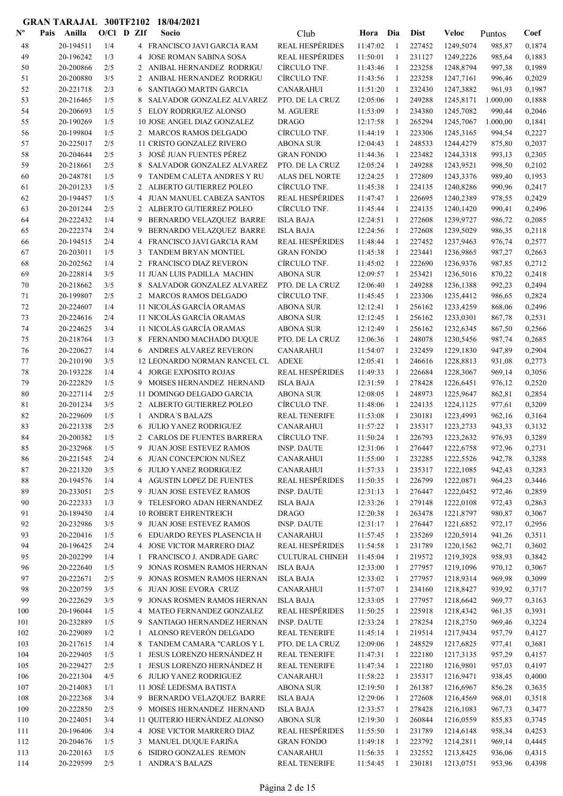| $\mathbf{N}^{\mathbf{o}}$ | Anilla<br>Pais         | $O/Cl$ D ZIf |                | Socio                                                       | Club                                   | Hora Dia             |                   | <b>Dist</b>      | <b>Veloc</b>           | Puntos           | Coef             |
|---------------------------|------------------------|--------------|----------------|-------------------------------------------------------------|----------------------------------------|----------------------|-------------------|------------------|------------------------|------------------|------------------|
| 48                        | 20-194511              | 1/4          |                | 4 FRANCISCO JAVI GARCIA RAM                                 | <b>REAL HESPÉRIDES</b>                 | 11:47:02             | 1                 | 227452           | 1249,5074              | 985,87           | 0,1874           |
| 49                        | 20-196242              | 1/3          | 4              | <b>JOSE ROMAN SABINA SOSA</b>                               | <b>REAL HESPÉRIDES</b>                 | 11:50:01             | 1                 | 231127           | 1249,2226              | 985,64           | 0,1883           |
| 50                        | 20-200866              | 2/5          |                | 2 ANIBAL HERNANDEZ RODRIGU                                  | CÍRCULO TNF.                           | 11:43:46             | 1                 | 223258           | 1248,8794              | 997,38           | 0,1989           |
| 51                        | 20-200880              | 3/5          |                | 2 ANIBAL HERNANDEZ RODRIGU                                  | CÍRCULO TNF.                           | 11:43:56             | 1                 | 223258           | 1247,7161              | 996,46           | 0,2029           |
| 52                        | 20-221718              | 2/3          | 6              | SANTIAGO MARTIN GARCIA                                      | <b>CANARAHUI</b>                       | 11:51:20             | -1                | 232430           | 1247,3882              | 961,93           | 0,1987           |
| 53                        | 20-216465              | 1/5          | 8              | SALVADOR GONZALEZ ALVAREZ                                   | PTO. DE LA CRUZ                        | 12:05:06             | -1                | 249288           | 1245,8171              | 1.000,00         | 0,1888           |
| 54                        | 20-206693              | 1/5          | 5.             | ELOY RODRIGUEZ ALONSO                                       | M. AGUERE                              | 11:53:09             | -1                | 234380           | 1245,7082              | 990,44           | 0,2046           |
| 55                        | 20-190269              | 1/5          |                | 10 JOSE ANGEL DIAZ GONZALEZ                                 | <b>DRAGO</b>                           | 12:17:58             | -1                | 265294           | 1245,7067              | 1.000,00         | 0,1841           |
| 56                        | 20-199804              | 1/5          |                | 2 MARCOS RAMOS DELGADO                                      | CÍRCULO TNF.                           | 11:44:19             | -1                | 223306           | 1245,3165              | 994,54           | 0,2227           |
| 57                        | 20-225017              | 2/5          |                | 11 CRISTO GONZALEZ RIVERO                                   | <b>ABONA SUR</b>                       | 12:04:43             | $\mathbf{1}$      | 248533           | 1244,4279              | 875,80           | 0,2037           |
| 58                        | 20-204644              | 2/5          | 3              | JOSÉ JUAN FUENTES PÉREZ                                     | <b>GRAN FONDO</b>                      | 11:44:36             | $\mathbf{1}$      | 223482           | 1244,3318              | 993,13           | 0,2305           |
| 59                        | 20-218661              | 2/5          | 8              | SALVADOR GONZALEZ ALVAREZ                                   | PTO. DE LA CRUZ                        | 12:05:24             | 1                 | 249288           | 1243,9521              | 998,50           | 0,2102           |
| 60                        | 20-248781              | 1/5          | 9              | TANDEM CALETA ANDRES Y RU                                   | ALAS DEL NORTE                         | 12:24:25             | 1                 | 272809           | 1243,3376              | 989,40           | 0,1953           |
| 61                        | 20-201233              | 1/5          | $\overline{2}$ | ALBERTO GUTIERREZ POLEO                                     | CÍRCULO TNF.                           | 11:45:38             | 1                 | 224135           | 1240,8286              | 990,96           | 0,2417           |
| 62                        | 20-194457              | 1/5<br>2/5   | 4              | JUAN MANUEL CABEZA SANTOS<br>2 ALBERTO GUTIERREZ POLEO      | <b>REAL HESPÉRIDES</b><br>CÍRCULO TNF. | 11:47:47             | 1                 | 226695           | 1240,2389              | 978,55           | 0,2429           |
| 63<br>64                  | 20-201244<br>20-222432 | 1/4          | 9              | BERNARDO VELAZQUEZ BARRE                                    | <b>ISLA BAJA</b>                       | 11:45:44<br>12:24:51 | 1<br>1            | 224135<br>272608 | 1240,1420<br>1239,9727 | 990,41           | 0,2496<br>0,2085 |
| 65                        | 20-222374              | 2/4          | 9              | BERNARDO VELAZQUEZ BARRE                                    | <b>ISLA BAJA</b>                       | 12:24:56             | 1                 | 272608           | 1239,5029              | 986,72<br>986,35 | 0,2118           |
| 66                        | 20-194515              | 2/4          | 4              | FRANCISCO JAVI GARCIA RAM                                   | <b>REAL HESPÉRIDES</b>                 | 11:48:44             | $\mathbf{1}$      | 227452           | 1237,9463              | 976,74           | 0,2577           |
| 67                        | 20-203011              | 1/5          | 3              | TANDEM BRYAN MONTIEL                                        | <b>GRAN FONDO</b>                      | 11:45:38             | 1                 | 223441           | 1236,9865              | 987,27           | 0,2663           |
| 68                        | 20-202562              | 1/4          |                | 2 FRANCISCO DIAZ REVERON                                    | CÍRCULO TNF.                           | 11:45:02             | $\mathbf{1}$      | 222690           | 1236,9376              | 987,85           | 0,2712           |
| 69                        | 20-228814              | 3/5          |                | 11 JUAN LUIS PADILLA MACHIN                                 | <b>ABONA SUR</b>                       | 12:09:57             | $\mathbf{1}$      | 253421           | 1236,5016              | 870,22           | 0,2418           |
| 70                        | 20-218662              | 3/5          | 8              | SALVADOR GONZALEZ ALVAREZ                                   | PTO. DE LA CRUZ                        | 12:06:40             | 1                 | 249288           | 1236,1388              | 992,23           | 0,2494           |
| 71                        | 20-199807              | 2/5          |                | 2 MARCOS RAMOS DELGADO                                      | CÍRCULO TNF.                           | 11:45:45             | 1                 | 223306           | 1235,4412              | 986,65           | 0,2824           |
| 72                        | 20-224607              | 1/4          |                | 11 NICOLÁS GARCÍA ORAMAS                                    | <b>ABONA SUR</b>                       | 12:12:41             | 1                 | 256162           | 1233,4259              | 868,06           | 0,2496           |
| 73                        | 20-224616              | 2/4          |                | 11 NICOLÁS GARCÍA ORAMAS                                    | <b>ABONA SUR</b>                       | 12:12:45             | 1                 | 256162           | 1233,0301              | 867,78           | 0,2531           |
| 74                        | 20-224625              | 3/4          |                | 11 NICOLÁS GARCÍA ORAMAS                                    | <b>ABONA SUR</b>                       | 12:12:49             | 1                 | 256162           | 1232,6345              | 867,50           | 0,2566           |
| 75                        | 20-218764              | 1/3          |                | 8 FERNANDO MACHADO DUQUE                                    | PTO. DE LA CRUZ                        | 12:06:36             | 1                 | 248078           | 1230,5456              | 987,74           | 0,2685           |
| 76                        | 20-220627              | 1/4          |                | 6 ANDRES ALVAREZ REVERON                                    | <b>CANARAHUI</b>                       | 11:54:07             | 1                 | 232459           | 1229,1830              | 947,89           | 0,2904           |
| 77                        | 20-210190              | 3/5          |                | 12 LEONARDO NORMAN RANCEL CL                                | <b>ADEXE</b>                           | 12:05:41             | 1                 | 246616           | 1228,8813              | 931,08           | 0,2773           |
| 78                        | 20-193228              | 1/4          |                | 4 JORGE EXPOSITO ROJAS                                      | <b>REAL HESPÉRIDES</b>                 | 11:49:33             | $\mathbf{1}$      | 226684           | 1228,3067              | 969,14           | 0,3056           |
| 79                        | 20-222829              | 1/5          | 9.             | MOISES HERNANDEZ HERNAND                                    | <b>ISLA BAJA</b>                       | 12:31:59             | -1                | 278428           | 1226,6451              | 976,12           | 0,2520           |
| 80                        | 20-227114              | 2/5          |                | 11 DOMINGO DELGADO GARCIA                                   | <b>ABONA SUR</b>                       | 12:08:05             | -1                | 248973           | 1225,9647              | 862,81           | 0,2854           |
| 81                        | 20-201234              | 3/5          |                | 2 ALBERTO GUTIERREZ POLEO                                   | CÍRCULO TNF.                           | 11:48:06             | $\mathbf{1}$      | 224135           | 1224,1125              | 977,61           | 0,3209           |
| 82                        | 20-229609              | 1/5          | $\mathbf{1}$   | <b>ANDRA'S BALAZS</b>                                       | <b>REAL TENERIFE</b>                   | 11:53:08             | -1                | 230181           | 1223,4993              | 962,16           | 0,3164           |
| 83                        | 20-221338              | 2/5          | 6              | <b>JULIO YANEZ RODRIGUEZ</b>                                | <b>CANARAHUI</b>                       | 11:57:22             | -1                | 235317           | 1223,2733              | 943,33           | 0,3132           |
| 84                        | 20-200382              | 1/5          | $\overline{2}$ | CARLOS DE FUENTES BARRERA                                   | CÍRCULO TNF.                           | 11:50:24             | 1                 | 226793           | 1223,2632              | 976,93           | 0,3289           |
| 85                        | 20-232968              | 1/5          | 9              | JUAN JOSE ESTEVEZ RAMOS<br>6 JUAN CONCEPCION NUÑEZ          | <b>INSP. DAUTE</b>                     | 12:31:06             | $\overline{1}$    | 276447           | 1222,6758              | 972,96           | 0,2731           |
| 86<br>87                  | 20-221545<br>20-221320 | 2/4<br>3/5   |                | 6 JULIO YANEZ RODRIGUEZ                                     | CANARAHUI<br>CANARAHUI                 | 11:55:00<br>11:57:33 | $\mathbf{1}$<br>1 | 232285<br>235317 | 1222,5526<br>1222,1085 | 942,78<br>942,43 | 0,3288<br>0,3283 |
| 88                        | 20-194576              | 1/4          |                | 4 AGUSTIN LOPEZ DE FUENTES                                  | <b>REAL HESPÉRIDES</b>                 | 11:50:35             | -1                | 226799           | 1222,0871              | 964,23           | 0,3446           |
| 89                        | 20-233051              | 2/5          |                | 9 JUAN JOSE ESTEVEZ RAMOS                                   | <b>INSP. DAUTE</b>                     | 12:31:13             | 1                 | 276447           | 1222,0452              | 972,46           | 0,2859           |
| 90                        | 20-222333              | 1/3          |                | 9 TELESFORO ADAN HERNANDEZ                                  | <b>ISLA BAJA</b>                       | 12:33:26             | 1                 | 279148           | 1222,0108              | 972,43           | 0,2863           |
| 91                        | 20-189450              | 1/4          |                | <b>10 ROBERT EHRENTREICH</b>                                | <b>DRAGO</b>                           | 12:20:38             | -1                | 263478           | 1221,8797              | 980,87           | 0,3067           |
| 92                        | 20-232986              | 3/5          |                | 9 JUAN JOSE ESTEVEZ RAMOS                                   | <b>INSP. DAUTE</b>                     | 12:31:17             | -1                | 276447           | 1221,6852              | 972,17           | 0,2956           |
| 93                        | 20-220416              | 1/5          |                | EDUARDO REYES PLASENCIA H                                   | <b>CANARAHUI</b>                       | 11:57:45             | -1                | 235269           | 1220,5914              | 941,26           | 0,3511           |
| 94                        | 20-196425              | 2/4          | 4              | JOSE VICTOR MARRERO DIAZ                                    | <b>REAL HESPÉRIDES</b>                 | 11:54:58             | -1                | 231789           | 1220,1562              | 962,71           | 0,3602           |
| 95                        | 20-202299              | 1/4          | $\mathbf{1}$   | FRANCISCO J. ANDRADE GARC                                   | <b>CULTURAL CHINEH</b>                 | 11:45:04             | 1                 | 219572           | 1219,3928              | 958,93           | 0,3842           |
| 96                        | 20-222640              | 1/5          | 9              | JONAS ROSMEN RAMOS HERNAN                                   | <b>ISLA BAJA</b>                       | 12:33:00             | 1                 | 277957           | 1219,1096              | 970,12           | 0,3067           |
| 97                        | 20-222671              | 2/5          | 9.             | JONAS ROSMEN RAMOS HERNAN                                   | <b>ISLA BAJA</b>                       | 12:33:02             | 1                 | 277957           | 1218,9314              | 969,98           | 0,3099           |
| 98                        | 20-220759              | 3/5          | 6              | JUAN JOSE EVORA CRUZ                                        | <b>CANARAHUI</b>                       | 11:57:07             | $\mathbf{1}$      | 234160           | 1218,8427              | 939,92           | 0,3717           |
| 99                        | 20-222629              | 3/5          | 9.             | JONAS ROSMEN RAMOS HERNAN                                   | <b>ISLA BAJA</b>                       | 12:33:05             | -1                | 277957           | 1218,6642              | 969,77           | 0,3163           |
| 100                       | 20-196044              | 1/5          |                | 4 MATEO FERNANDEZ GONZALEZ                                  | <b>REAL HESPÉRIDES</b>                 | 11:50:25             | 1                 | 225918           | 1218,4342              | 961,35           | 0,3931           |
| 101                       | 20-232889              | 1/5          | 9.             | SANTIAGO HERNANDEZ HERNAN                                   | <b>INSP. DAUTE</b>                     | 12:33:24             | 1                 | 278254           | 1218,2750              | 969,46           | 0,3224           |
| 102                       | 20-229089              | 1/2          |                | ALONSO REVERÓN DELGADO                                      | REAL TENERIFE                          | 11:45:14             |                   | 219514           | 1217,9434              | 957,79           | 0,4127           |
| 103                       | 20-217615              | 1/4          |                | TANDEM CAMARA "CARLOS Y L                                   | PTO. DE LA CRUZ                        | 12:09:06             | 1                 | 248529           | 1217,6825              | 977,41           | 0,3681           |
| 104                       | 20-229405              | 1/5          |                | <b>JESUS LORENZO HERNÁNDEZ H</b>                            | <b>REAL TENERIFE</b>                   | 11:47:31             | -1                | 222180           | 1217,3135              | 957,29           | 0,4157           |
| 105<br>106                | 20-229427<br>20-221304 | 2/5<br>4/5   |                | <b>JESUS LORENZO HERNÁNDEZ H</b><br>6 JULIO YANEZ RODRIGUEZ | <b>REAL TENERIFE</b><br>CANARAHUI      | 11:47:34<br>11:58:22 | 1<br>-1           | 222180<br>235317 | 1216,9801<br>1216,9471 | 957,03<br>938,45 | 0,4197<br>0,4000 |
| 107                       | 20-214083              | 1/1          |                | 11 JOSÉ LEDESMA BATISTA                                     | <b>ABONA SUR</b>                       | 12:19:50             | 1                 | 261387           | 1216,6967              | 856,28           | 0,3635           |
| 108                       | 20-222368              | 3/4          | 9.             | BERNARDO VELAZQUEZ BARRE                                    | <b>ISLA BAJA</b>                       | 12:29:06             | 1                 | 272608           | 1216,4569              | 968,01           | 0,3518           |
| 109                       | 20-222850              | 2/5          |                | 9 MOISES HERNANDEZ HERNAND                                  | <b>ISLA BAJA</b>                       | 12:33:57             | $\mathbf{1}$      | 278428           | 1216,1083              | 967,73           | 0,3477           |
| 110                       | 20-224051              | 3/4          |                | 11 QUITERIO HERNÁNDEZ ALONSO                                | <b>ABONA SUR</b>                       | 12:19:30             | -1                | 260844           | 1216,0559              | 855,83           | 0,3745           |
| 111                       | 20-196406              | 3/4          |                | 4 JOSE VICTOR MARRERO DIAZ                                  | <b>REAL HESPÉRIDES</b>                 | 11:55:50             | -1                | 231789           | 1214,6148              | 958,34           | 0,4253           |
| 112                       | 20-204676              | 1/5          |                | 3 MANUEL DUQUE FARIÑA                                       | <b>GRAN FONDO</b>                      | 11:49:18             | 1                 | 223792           | 1214,2811              | 969,14           | 0,4445           |
| 113                       | 20-220163              | 1/5          |                | ISIDRO GONZALES REMON                                       | <b>CANARAHUI</b>                       | 11:56:35             | 1                 | 232552           | 1213,8425              | 936,06           | 0,4315           |
| 114                       | 20-229599              | 2/5          |                | 1 ANDRA'S BALAZS                                            | <b>REAL TENERIFE</b>                   | 11:54:45             | 1                 | 230181           | 1213,0751              | 953,96           | 0,4398           |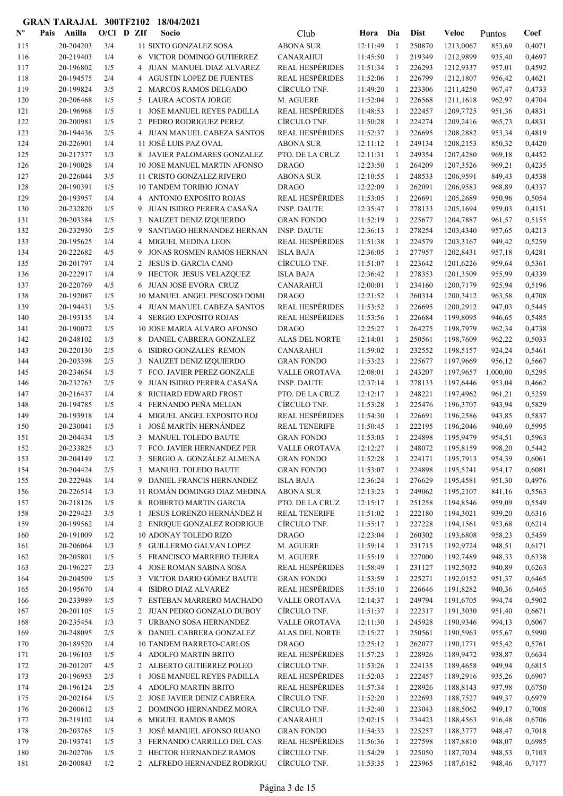| $N^{\text{o}}$ | Pais | Anilla                 | $O/CI$ D ZIf |        | Socio                                                      | Club                                   | Hora                 | Dia                          | <b>Dist</b>      | Veloc                  | Puntos           | Coef             |
|----------------|------|------------------------|--------------|--------|------------------------------------------------------------|----------------------------------------|----------------------|------------------------------|------------------|------------------------|------------------|------------------|
| 115            |      | 20-204203              | 3/4          |        | 11 SIXTO GONZALEZ SOSA                                     | <b>ABONA SUR</b>                       | 12:11:49             | $\mathbf{1}$                 | 250870           | 1213,0067              | 853,69           | 0,4071           |
| 116            |      | 20-219403              | 1/4          | 6      | VICTOR DOMINGO GUTIERREZ                                   | <b>CANARAHUI</b>                       | 11:45:50             | $\mathbf{1}$                 | 219349           | 1212,9899              | 935,40           | 0,4697           |
| 117            |      | 20-196802              | 1/5          | 4      | JUAN MANUEL DIAZ ALVAREZ                                   | <b>REAL HESPÉRIDES</b>                 | 11:51:34             | $\mathbf{1}$                 | 226293           | 1212,9337              | 957,01           | 0,4592           |
| 118            |      | 20-194575              | 2/4          |        | <b>4 AGUSTIN LOPEZ DE FUENTES</b>                          | REAL HESPÉRIDES                        | 11:52:06             | $\mathbf{1}$                 | 226799           | 1212,1807              | 956,42           | 0,4621           |
| 119            |      | 20-199824              | 3/5          |        | 2 MARCOS RAMOS DELGADO                                     | CÍRCULO TNF.                           | 11:49:20             | -1                           | 223306           | 1211,4250              | 967,47           | 0,4733           |
| 120            |      | 20-206468              | 1/5          | 5      | LAURA ACOSTA JORGE                                         | M. AGUERE                              | 11:52:04             | $\mathbf{1}$                 | 226568           | 1211,1618              | 962,97           | 0,4704           |
| 121            |      | 20-196968              | 1/5          | 1      | <b>JOSE MANUEL REYES PADILLA</b>                           | <b>REAL HESPÉRIDES</b>                 | 11:48:53             | 1                            | 222457           | 1209,7725              | 951,36           | 0,4831           |
| 122            |      | 20-200981              | 1/5          |        | 2 PEDRO RODRIGUEZ PEREZ                                    | CÍRCULO TNF.                           | 11:50:28             | 1                            | 224274           | 1209,2416              | 965,73           | 0,4831           |
| 123            |      | 20-194436              | 2/5          |        | 4 JUAN MANUEL CABEZA SANTOS                                | <b>REAL HESPÉRIDES</b>                 | 11:52:37             | -1                           | 226695           | 1208,2882              | 953,34           | 0,4819           |
| 124            |      | 20-226901              | 1/4          |        | 11 JOSÉ LUIS PAZ OVAL                                      | <b>ABONA SUR</b>                       | 12:11:12             | -1                           | 249134           | 1208,2153              | 850,32           | 0,4420           |
| 125            |      | 20-217377              | 1/3          |        | 8 JAVIER PALOMARES GONZALEZ                                | PTO. DE LA CRUZ                        | 12:11:31             | 1                            | 249354           | 1207,4280              | 969,18           | 0,4452           |
| 126            |      | 20-190028              | 1/4          |        | <b>10 JOSE MANUEL MARTIN AFONSO</b>                        | <b>DRAGO</b>                           | 12:23:50             | 1                            | 264209           | 1207,3526              | 969,21           | 0,4235           |
| 127            |      | 20-226044              | 3/5          |        | 11 CRISTO GONZALEZ RIVERO                                  | <b>ABONA SUR</b>                       | 12:10:55             | 1                            | 248533           | 1206,9591              | 849,43           | 0,4538           |
| 128<br>129     |      | 20-190391<br>20-193957 | 1/5<br>1/4   |        | <b>10 TANDEM TORIBIO JONAY</b><br>4 ANTONIO EXPOSITO ROJAS | <b>DRAGO</b><br><b>REAL HESPÉRIDES</b> | 12:22:09<br>11:53:05 | $\mathbf{1}$<br>$\mathbf{1}$ | 262091<br>226691 | 1206,9583              | 968,89           | 0,4337<br>0,5054 |
| 130            |      | 20-232820              | 1/5          | 9      | JUAN ISIDRO PERERA CASAÑA                                  | <b>INSP. DAUTE</b>                     | 12:35:47             | $\mathbf{1}$                 | 278133           | 1205,2689<br>1205,1694 | 950,96<br>959,03 | 0,4151           |
| 131            |      | 20-203384              | 1/5          | 3      | NAUZET DENIZ IZQUIERDO                                     | <b>GRAN FONDO</b>                      | 11:52:19             | -1                           | 225677           | 1204,7887              | 961,57           | 0,5155           |
| 132            |      | 20-232930              | 2/5          | 9      | SANTIAGO HERNANDEZ HERNAN                                  | <b>INSP. DAUTE</b>                     | 12:36:13             | $\mathbf{1}$                 | 278254           | 1203,4340              | 957,65           | 0,4213           |
| 133            |      | 20-195625              | 1/4          | 4      | <b>MIGUEL MEDINA LEON</b>                                  | <b>REAL HESPÉRIDES</b>                 | 11:51:38             | 1                            | 224579           | 1203,3167              | 949,42           | 0,5259           |
| 134            |      | 20-222682              | 4/5          | 9      | <b>JONAS ROSMEN RAMOS HERNAN</b>                           | <b>ISLA BAJA</b>                       | 12:36:05             | 1                            | 277957           | 1202,8431              | 957,18           | 0,4281           |
| 135            |      | 20-201797              | 1/4          | 2      | JESUS D. GARCIA CANO                                       | CÍRCULO TNF.                           | 11:51:07             | 1                            | 223642           | 1201,6226              | 959,64           | 0,5361           |
| 136            |      | 20-222917              | 1/4          | 9      | HECTOR JESUS VELAZQUEZ                                     | <b>ISLA BAJA</b>                       | 12:36:42             | 1                            | 278353           | 1201,3509              | 955,99           | 0,4339           |
| 137            |      | 20-220769              | 4/5          |        | 6 JUAN JOSE EVORA CRUZ                                     | <b>CANARAHUI</b>                       | 12:00:01             | 1                            | 234160           | 1200,7179              | 925,94           | 0,5196           |
| 138            |      | 20-192087              | 1/5          |        | 10 MANUEL ANGEL PESCOSO DOMI                               | <b>DRAGO</b>                           | 12:21:52             | -1                           | 260314           | 1200,3412              | 963,58           | 0,4708           |
| 139            |      | 20-194431              | 3/5          |        | 4 JUAN MANUEL CABEZA SANTOS                                | <b>REAL HESPÉRIDES</b>                 | 11:53:52             | -1                           | 226695           | 1200,2912              | 947,03           | 0,5445           |
| 140            |      | 20-193135              | 1/4          | 4      | <b>SERGIO EXPOSITO ROJAS</b>                               | <b>REAL HESPÉRIDES</b>                 | 11:53:56             | 1                            | 226684           | 1199,8095              | 946,65           | 0,5485           |
| 141            |      | 20-190072              | 1/5          |        | 10 JOSE MARIA ALVARO AFONSO                                | <b>DRAGO</b>                           | 12:25:27             | $\mathbf{1}$                 | 264275           | 1198,7979              | 962,34           | 0,4738           |
| 142            |      | 20-248102              | 1/5          | 8      | DANIEL CABRERA GONZALEZ                                    | ALAS DEL NORTE                         | 12:14:01             | -1                           | 250561           | 1198,7609              | 962,22           | 0,5033           |
| 143            |      | 20-220130              | 2/5          | 6      | <b>ISIDRO GONZALES REMON</b>                               | <b>CANARAHUI</b>                       | 11:59:02             | -1                           | 232552           | 1198,5157              | 924,24           | 0,5461           |
| 144            |      | 20-203398              | 2/5          |        | 3 NAUZET DENIZ IZQUIERDO                                   | <b>GRAN FONDO</b>                      | 11:53:23             | -1                           | 225677           | 1197,9669              | 956,12           | 0,5667           |
| 145            |      | 20-234654              | 1/5          | 7      | FCO. JAVIER PEREZ GONZALE                                  | VALLE OROTAVA                          | 12:08:01             | 1                            | 243207           | 1197,9657              | 1.000,00         | 0,5295           |
| 146            |      | 20-232763              | 2/5          | 9      | JUAN ISIDRO PERERA CASAÑA                                  | <b>INSP. DAUTE</b>                     | 12:37:14             | -1                           | 278133           | 1197,6446              | 953,04           | 0,4662           |
| 147            |      | 20-216437              | 1/4          | 8      | RICHARD EDWARD FROST                                       | PTO. DE LA CRUZ                        | 12:12:17             | -1                           | 248221           | 1197,4962              | 961,21           | 0,5259           |
| 148            |      | 20-194785              | 1/5          | 4      | FERNANDO PEÑA MELIAN                                       | CÍRCULO TNF.                           | 11:53:28             | 1                            | 225476           | 1196,3707              | 943,94           | 0,5829           |
| 149            |      | 20-193918              | 1/4          | 4      | MIGUEL ANGEL EXPOSITO ROJ                                  | <b>REAL HESPÉRIDES</b>                 | 11:54:30             | 1                            | 226691           | 1196,2586              | 943,85           | 0,5837           |
| 150            |      | 20-230041              | 1/5          | -1     | JOSÉ MARTÍN HERNÁNDEZ                                      | <b>REAL TENERIFE</b>                   | 11:50:45             | 1                            | 222195           | 1196,2046              | 940,69           | 0,5995           |
| 151            |      | 20-204434              | 1/5          |        | 3 MANUEL TOLEDO BAUTE                                      | <b>GRAN FONDO</b>                      | 11:53:03             | $\mathbf{1}$                 | 224898           | 1195,9479              | 954,51           | 0,5963           |
| 152            |      | 20-233825              | 1/3          | 7      | FCO. JAVIER HERNANDEZ PER                                  | VALLE OROTAVA                          | 12:12:27             |                              | 248072           | 1195,8159              | 998,20           | 0,5442           |
| 153            |      | 20-204149              | 1/2          |        | 3 SERGIO A. GONZÁLEZ ALMENA                                | <b>GRAN FONDO</b>                      | 11:52:28             | 1                            | 224171           | 1195,7913              | 954,39           | 0,6061           |
| 154            |      | 20-204424              | 2/5          |        | 3 MANUEL TOLEDO BAUTE                                      | <b>GRAN FONDO</b>                      | 11:53:07             | 1                            | 224898           | 1195,5241              | 954,17           | 0,6081           |
| 155            |      | 20-222948              | 1/4          |        | 9 DANIEL FRANCIS HERNANDEZ<br>11 ROMÁN DOMINGO DIAZ MEDINA | <b>ISLA BAJA</b>                       | 12:36:24             | 1                            | 276629           | 1195,4581              | 951,30           | 0,4976           |
| 156            |      | 20-226514              | 1/3          |        |                                                            | <b>ABONA SUR</b><br>PTO. DE LA CRUZ    | 12:13:23<br>12:15:17 | 1                            | 249062           | 1195,2107              | 841,16           | 0,5563           |
| 157<br>158     |      | 20-218126<br>20-229423 | 1/5<br>3/5   | 1      | 8 ROBERTO MARTIN GARCIA<br>JESUS LORENZO HERNÁNDEZ H       | <b>REAL TENERIFE</b>                   | 11:51:02             | $\mathbf{1}$<br>$\mathbf{1}$ | 251258<br>222180 | 1194,8546<br>1194,3021 | 959,09<br>939,20 | 0,5549<br>0,6316 |
| 159            |      | 20-199562              | 1/4          |        | 2 ENRIQUE GONZALEZ RODRIGUE                                | CÍRCULO TNF.                           | 11:55:17             | 1                            | 227228           | 1194,1561              | 953,68           | 0,6214           |
| 160            |      | 20-191009              | 1/2          |        | 10 ADONAY TOLEDO RIZO                                      | <b>DRAGO</b>                           | 12:23:04             | 1                            | 260302           | 1193,6808              | 958,23           | 0,5459           |
| 161            |      | 20-206064              | 1/3          |        | 5 GUILLERMO GALVAN LOPEZ                                   | M. AGUERE                              | 11:59:14             | 1                            | 231715           | 1192,9724              | 948,51           | 0,6171           |
| 162            |      | 20-205801              | 1/5          |        | 5 FRANCISCO MARRERO TEJERA                                 | M. AGUERE                              | 11:55:19             | 1                            | 227000           | 1192,7489              | 948,33           | 0,6338           |
| 163            |      | 20-196227              | 2/3          | 4      | JOSE ROMAN SABINA SOSA                                     | <b>REAL HESPÉRIDES</b>                 | 11:58:49             | $\mathbf{1}$                 | 231127           | 1192,5032              | 940,89           | 0,6263           |
| 164            |      | 20-204509              | 1/5          | 3      | VICTOR DARIO GÓMEZ BAUTE                                   | <b>GRAN FONDO</b>                      | 11:53:59             | 1                            | 225271           | 1192,0152              | 951,37           | 0,6465           |
| 165            |      | 20-195670              | 1/4          | 4      | <b>ISIDRO DIAZ ALVAREZ</b>                                 | <b>REAL HESPÉRIDES</b>                 | 11:55:10             | 1                            | 226646           | 1191,8282              | 940,36           | 0,6465           |
| 166            |      | 20-233989              | 1/5          |        | 7 ESTEBAN MARRERO MACHADO                                  | VALLE OROTAVA                          | 12:14:37             | 1                            | 249794           | 1191,6705              | 994,74           | 0,5902           |
| 167            |      | 20-201105              | 1/5          |        | 2 JUAN PEDRO GONZALO DUBOY                                 | CÍRCULO TNF.                           | 11:51:37             | 1                            | 222317           | 1191,3030              | 951,40           | 0,6671           |
| 168            |      | 20-235454              | 1/3          | $\tau$ | URBANO SOSA HERNANDEZ                                      | VALLE OROTAVA                          | 12:11:30             | 1                            | 245928           | 1190,9346              | 994,13           | 0,6067           |
| 169            |      | 20-248095              | 2/5          |        | 8 DANIEL CABRERA GONZALEZ                                  | ALAS DEL NORTE                         | 12:15:27             | $\mathbf{1}$                 | 250561           | 1190,5963              | 955,67           | 0,5990           |
| 170            |      | 20-189520              | 1/4          |        | <b>10 TANDEM BARRETO-CARLOS</b>                            | <b>DRAGO</b>                           | 12:25:12             | $\mathbf{1}$                 | 262077           | 1190,1771              | 955,42           | 0,5761           |
| 171            |      | 20-196103              | 1/5          |        | 4 ADOLFO MARTIN BRITO                                      | <b>REAL HESPÉRIDES</b>                 | 11:57:23             | 1                            | 228926           | 1189,9472              | 938,87           | 0,6634           |
| 172            |      | 20-201207              | 4/5          |        | 2 ALBERTO GUTIERREZ POLEO                                  | CÍRCULO TNF.                           | 11:53:26             | 1                            | 224135           | 1189,4658              | 949,94           | 0,6815           |
| 173            |      | 20-196953              | 2/5          | 1      | JOSE MANUEL REYES PADILLA                                  | <b>REAL HESPÉRIDES</b>                 | 11:52:03             | 1                            | 222457           | 1189,2916              | 935,26           | 0,6907           |
| 174            |      | 20-196124              | 2/5          |        | 4 ADOLFO MARTIN BRITO                                      | <b>REAL HESPÉRIDES</b>                 | 11:57:34             | 1                            | 228926           | 1188,8143              | 937,98           | 0,6750           |
| 175            |      | 20-202164              | 1/5          |        | 2 JOSE JAVIER DENIZ CABRERA                                | CÍRCULO TNF.                           | 11:52:20             | 1                            | 222693           | 1188,7527              | 949,37           | 0,6979           |
| 176            |      | 20-200612              | 1/5          |        | 2 DOMINGO HERNANDEZ MORA                                   | CÍRCULO TNF.                           | 11:52:40             | 1                            | 223043           | 1188,5062              | 949,17           | 0,7008           |
| 177            |      | 20-219102              | 1/4          | 6      | <b>MIGUEL RAMOS RAMOS</b>                                  | <b>CANARAHUI</b>                       | 12:02:15             | 1                            | 234423           | 1188,4563              | 916,48           | 0,6706           |
| 178            |      | 20-203765              | 1/5          | 3      | JOSÉ MANUEL AFONSO RUANO                                   | <b>GRAN FONDO</b>                      | 11:54:33             | -1                           | 225257           | 1188,3777              | 948,47           | 0,7018           |
| 179            |      | 20-193741              | 1/5          | 3      | FERNANDO CARRILLO DEL CAS                                  | <b>REAL HESPÉRIDES</b>                 | 11:56:36             | 1                            | 227598           | 1187,8810              | 948,07           | 0,6985           |
| 180            |      | 20-202706              | 1/5          |        | 2 HECTOR HERNANDEZ RAMOS                                   | CÍRCULO TNF.                           | 11:54:29             | 1                            | 225050           | 1187,7034              | 948,53           | 0,7103           |
| 181            |      | 20-200843              | 1/2          |        | 2 ALFREDO HERNANDEZ RODRIGU                                | CÍRCULO TNF.                           | 11:53:35             | -1                           | 223965           | 1187,6182              | 948,46           | 0,7177           |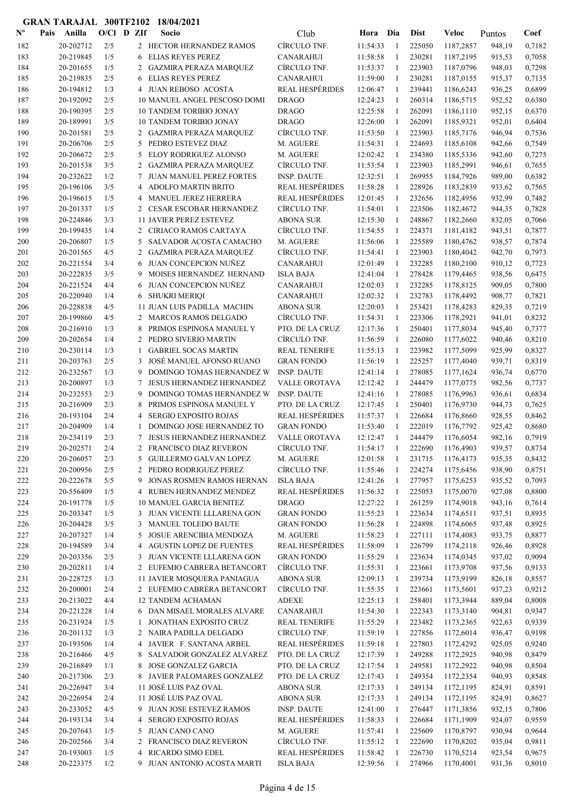| $\mathbf{N}^{\mathbf{o}}$ | Pais | Anilla                 | $O/Cl$ D ZIf |                 | Socio                                                          | Club                              | Hora                 | Dia               | <b>Dist</b>      | Veloc                  | Puntos           | Coef             |
|---------------------------|------|------------------------|--------------|-----------------|----------------------------------------------------------------|-----------------------------------|----------------------|-------------------|------------------|------------------------|------------------|------------------|
| 182                       |      | 20-202712              | 2/5          |                 | 2 HECTOR HERNANDEZ RAMOS                                       | CÍRCULO TNF.                      | 11:54:33             | -1                | 225050           | 1187,2857              | 948,19           | 0,7182           |
| 183                       |      | 20-219845              | 1/5          | 6               | <b>ELIAS REYES PEREZ</b>                                       | <b>CANARAHUI</b>                  | 11:58:58             | $\mathbf{1}$      | 230281           | 1187,2195              | 915,53           | 0,7058           |
| 184                       |      | 20-201655              | 1/5          | 2               | <b>GAZMIRA PERAZA MARQUEZ</b>                                  | CÍRCULO TNF.                      | 11:53:37             | -1                | 223903           | 1187,0796              | 948,03           | 0,7298           |
| 185                       |      | 20-219835              | 2/5          | 6               | <b>ELIAS REYES PEREZ</b>                                       | <b>CANARAHUI</b>                  | 11:59:00             | -1                | 230281           | 1187,0155              | 915,37           | 0,7135           |
| 186                       |      | 20-194812              | 1/3          |                 | 4 JUAN REBOSO ACOSTA                                           | <b>REAL HESPÉRIDES</b>            | 12:06:47             | 1                 | 239441           | 1186,6243              | 936,25           | 0,6899           |
| 187                       |      | 20-192092              | 2/5          |                 | 10 MANUEL ANGEL PESCOSO DOMI                                   | <b>DRAGO</b>                      | 12:24:23             | $\mathbf{1}$      | 260314           | 1186,5715              | 952,52           | 0,6380           |
| 188                       |      | 20-190395              | 2/5          |                 | <b>10 TANDEM TORIBIO JONAY</b>                                 | <b>DRAGO</b>                      | 12:25:58             | 1                 | 262091           | 1186,1110              | 952,15           | 0,6370           |
| 189                       |      | 20-189991              | 3/5          |                 | <b>10 TANDEM TORIBIO JONAY</b>                                 | <b>DRAGO</b>                      | 12:26:00             | -1                | 262091           | 1185,9321              | 952,01           | 0,6404           |
| 190                       |      | 20-201581              | 2/5          |                 | 2 GAZMIRA PERAZA MARQUEZ                                       | CÍRCULO TNF.                      | 11:53:50             | 1                 | 223903           | 1185,7176              | 946,94           | 0,7536           |
| 191                       |      | 20-206706              | 2/5          |                 | 5 PEDRO ESTEVEZ DIAZ                                           | M. AGUERE                         | 11:54:31             | 1                 | 224693           | 1185,6108              | 942,66           | 0,7549           |
| 192                       |      | 20-206672              | 2/5          | 5               | ELOY RODRIGUEZ ALONSO                                          | M. AGUERE                         | 12:02:42             | 1                 | 234380           | 1185,5336              | 942,60           | 0,7275           |
| 193                       |      | 20-201538              | 3/5          |                 | 2 GAZMIRA PERAZA MARQUEZ                                       | CÍRCULO TNF.                      | 11:53:54             | 1                 | 223903           | 1185,2991              | 946,61           | 0,7655           |
| 194                       |      | 20-232622              | 1/2          | $7\phantom{.0}$ | <b>JUAN MANUEL PEREZ FORTES</b>                                | <b>INSP. DAUTE</b>                | 12:32:51             | 1                 | 269955           | 1184,7926              | 989,00           | 0,6382           |
| 195                       |      | 20-196106              | 3/5          | 4               | <b>ADOLFO MARTIN BRITO</b>                                     | <b>REAL HESPÉRIDES</b>            | 11:58:28             | $\mathbf{1}$      | 228926           | 1183,2839              | 933,62           | 0,7565           |
| 196                       |      | 20-196615              | 1/5          | 4               | MANUEL JEREZ HERRERA                                           | <b>REAL HESPÉRIDES</b>            | 12:01:45             | 1                 | 232656           | 1182,4956              | 932,99           | 0,7482           |
| 197                       |      | 20-201337              | 1/5          | 2               | <b>CESAR ESCOBAR HERNANDEZ</b>                                 | CÍRCULO TNF.                      | 11:54:01             | -1                | 223506           | 1182,4672              | 944,35           | 0,7828           |
| 198                       |      | 20-224846              | 3/3          |                 | <b>11 JAVIER PEREZ ESTEVEZ</b>                                 | <b>ABONA SUR</b>                  | 12:15:30             | $\mathbf{1}$      | 248867           | 1182,2660              | 832,05           | 0,7066           |
| 199                       |      | 20-199435              | 1/4          |                 | 2 CIRIACO RAMOS CARTAYA                                        | CÍRCULO TNF.                      | 11:54:55             | $\mathbf{1}$      | 224371           | 1181,4182              | 943,51           | 0,7877           |
| 200                       |      | 20-206807              | 1/5          | 5               | SALVADOR ACOSTA CAMACHO                                        | M. AGUERE                         | 11:56:06             | 1                 | 225589           | 1180,4762              | 938,57           | 0,7874           |
| 201                       |      | 20-201565              | 4/5          | $\overline{2}$  | <b>GAZMIRA PERAZA MARQUEZ</b>                                  | CÍRCULO TNF.                      | 11:54:41             | 1                 | 223903           | 1180,4042              | 942,70           | 0,7973           |
| 202                       |      | 20-221554              | 3/4          | 6               | JUAN CONCEPCION NUÑEZ                                          | <b>CANARAHUI</b>                  | 12:01:49             | 1                 | 232285           | 1180,2100              | 910,12           | 0,7723           |
| 203                       |      | 20-222835              | 3/5          | 9               | MOISES HERNANDEZ HERNAND                                       | <b>ISLA BAJA</b>                  | 12:41:04             | 1                 | 278428           | 1179,4465              | 938,56           | 0,6475           |
| 204                       |      | 20-221524              | 4/4          | 6               | JUAN CONCEPCION NUÑEZ                                          | <b>CANARAHUI</b>                  | 12:02:03             | 1                 | 232285           | 1178,8125              | 909,05           | 0,7800           |
| 205                       |      | 20-220940              | 1/4          | 6               | <b>SHUKRI MERIQI</b>                                           | <b>CANARAHUI</b>                  | 12:02:32             | 1                 | 232783           | 1178,4492              | 908,77           | 0,7821           |
| 206                       |      | 20-228838              | 4/5          |                 | 11 JUAN LUIS PADILLA MACHIN                                    | <b>ABONA SUR</b>                  | 12:20:03             | 1                 | 253421           | 1178,4283              | 829,35           | 0,7219           |
| 207                       |      | 20-199860              | 4/5          |                 | 2 MARCOS RAMOS DELGADO                                         | CÍRCULO TNF.                      | 11:54:31             | $\mathbf{1}$      | 223306           | 1178,2921              | 941,01           | 0,8232           |
| 208                       |      | 20-216910              | 1/3          | 8               | PRIMOS ESPINOSA MANUEL Y                                       | PTO. DE LA CRUZ                   | 12:17:36             | -1                | 250401           | 1177,8034              | 945,40           | 0,7377           |
| 209                       |      | 20-202654              | 1/4          |                 | 2 PEDRO SIVERIO MARTIN                                         | CÍRCULO TNF.                      | 11:56:59             | -1                | 226080           | 1177,6022              | 940,46           | 0,8210           |
| 210                       |      | 20-230114              | 1/3          | -1              | <b>GABRIEL SOCAS MARTIN</b>                                    | <b>REAL TENERIFE</b>              | 11:55:13             | -1                | 223982           | 1177,5099              | 925,99           | 0,8327           |
| 211                       |      | 20-203763              | 2/5          | 3               | JOSÉ MANUEL AFONSO RUANO                                       | <b>GRAN FONDO</b>                 | 11:56:19             | 1                 | 225257           | 1177,4040              | 939,71           | 0,8319           |
| 212                       |      | 20-232567              | 1/3          | 9               | DOMINGO TOMAS HERNANDEZ W                                      | <b>INSP. DAUTE</b>                | 12:41:14             | 1                 | 278085           | 1177,1624              | 936,74           | 0,6770           |
| 213                       |      | 20-200897              | 1/3          | 7               | JESUS HERNANDEZ HERNANDEZ                                      | VALLE OROTAVA                     | 12:12:42             | -1                | 244479           | 1177,0775              | 982,56           | 0,7737           |
| 214                       |      | 20-232553              | 2/3          | 9               | DOMINGO TOMAS HERNANDEZ W                                      | <b>INSP. DAUTE</b>                | 12:41:16             | 1                 | 278085           | 1176,9963              | 936,61           | 0,6834           |
| 215                       |      | 20-216909              | 2/3          | 8               | PRIMOS ESPINOSA MANUEL Y                                       | PTO. DE LA CRUZ                   | 12:17:45             | 1                 | 250401           | 1176,9730              | 944,73           | 0,7625           |
| 216                       |      | 20-193104              | 2/4          | 4               | <b>SERGIO EXPOSITO ROJAS</b>                                   | <b>REAL HESPÉRIDES</b>            | 11:57:37             | 1                 | 226684           | 1176,8660              | 928,55           | 0,8462           |
| 217                       |      | 20-204909              | 1/4          | 1               | DOMINGO JOSE HERNANDEZ TO                                      | <b>GRAN FONDO</b>                 | 11:53:40             | $\mathbf{1}$      | 222019           | 1176,7792              | 925,42           | 0,8680           |
| 218                       |      | 20-234119              | 2/3          | 7               | <b>JESUS HERNANDEZ HERNANDEZ</b>                               | <b>VALLE OROTAVA</b>              | 12:12:47             | $\mathbf{1}$      | 244479           | 1176,6054              | 982,16           | 0,7919           |
| 219                       |      | 20-202571              | 2/4          | 2               | FRANCISCO DIAZ REVERON                                         | CÍRCULO TNF.                      | 11:54:17             |                   | 222690           | 1176,4903              | 939,57           | 0,8734           |
| 220                       |      | 20-206057              | 2/3          |                 | 5 GUILLERMO GALVAN LOPEZ                                       | M. AGUERE                         | 12:01:58             | 1                 | 231715           | 1176,4173              | 935,35           | 0,8432           |
| 221                       |      | 20-200956              | 2/5          |                 | 2 PEDRO RODRIGUEZ PEREZ                                        | CÍRCULO TNF.                      | 11:55:46             | 1                 | 224274           | 1175,6456              | 938,90           | 0,8751           |
| 222                       |      | 20-222678              | 5/5          | 9               | JONAS ROSMEN RAMOS HERNAN                                      | <b>ISLA BAJA</b>                  | 12:41:26             | -1                | 277957           | 1175,6253              | 935,52           | 0,7093           |
| 223                       |      | 20-556409              | 1/5          | 4               | RUBEN HERNANDEZ MENDEZ                                         | <b>REAL HESPÉRIDES</b>            | 11:56:32<br>12:27:22 | -1                | 225053           | 1175,0070              | 927,08           | 0,8800           |
| 224                       |      | 20-191778<br>20-203347 | 1/5<br>1/5   |                 | <b>10 MANUEL GARCIA BENITEZ</b><br>3 JUAN VICENTE LLLARENA GON | <b>DRAGO</b><br><b>GRAN FONDO</b> |                      | 1                 | 261259<br>223634 | 1174,9018<br>1174,6511 | 943,16           | 0,7614<br>0,8935 |
| 225<br>226                |      | 20-204428              | 3/5          |                 | 3 MANUEL TOLEDO BAUTE                                          | <b>GRAN FONDO</b>                 | 11:55:23<br>11:56:28 | 1                 | 224898           | 1174,6065              | 937,51           | 0,8925           |
| 227                       |      | 20-207327              | 1/4          | 5               | JOSUE ARENCIBIA MENDOZA                                        | M. AGUERE                         | 11:58:23             | 1<br>$\mathbf{1}$ | 227111           | 1174,4083              | 937,48<br>933,75 | 0,8877           |
| 228                       |      | 20-194589              | 3/4          |                 | 4 AGUSTIN LOPEZ DE FUENTES                                     | <b>REAL HESPÉRIDES</b>            | 11:58:09             | 1                 | 226799           | 1174,2118              | 926,46           | 0,8928           |
| 229                       |      | 20-203356              | 2/5          |                 | 3 JUAN VICENTE LLLARENA GON                                    | <b>GRAN FONDO</b>                 | 11:55:29             | 1                 | 223634           | 1174,0345              | 937,02           | 0,9094           |
| 230                       |      | 20-202811              | 1/4          |                 | 2 EUFEMIO CABRERA BETANCORT                                    | CÍRCULO TNF.                      | 11:55:31             | 1                 | 223661           | 1173,9708              | 937,56           | 0,9133           |
| 231                       |      | 20-228725              | 1/3          |                 | 11 JAVIER MOSQUERA PANIAGUA                                    | <b>ABONA SUR</b>                  | 12:09:13             | 1                 | 239734           | 1173,9199              | 826,18           | 0,8557           |
| 232                       |      | 20-200001              | 2/4          |                 | 2 EUFEMIO CABRERA BETANCORT                                    | CÍRCULO TNF.                      | 11:55:35             | -1                | 223661           | 1173,5601              | 937,23           | 0,9212           |
| 233                       |      | 20-213022              | 4/4          |                 | <b>12 TANDEM ACHAMAN</b>                                       | <b>ADEXE</b>                      | 12:25:13             | -1                | 258401           | 1173,3944              | 889,04           | 0,8008           |
| 234                       |      | 20-221228              | 1/4          |                 | 6 DAN MISAEL MORALES ALVARE                                    | <b>CANARAHUI</b>                  | 11:54:30             | -1                | 222343           | 1173,3140              | 904,81           | 0,9347           |
| 235                       |      | 20-231924              | 1/5          | 1               | JONATHAN EXPOSITO CRUZ                                         | <b>REAL TENERIFE</b>              | 11:55:29             | 1                 | 223482           | 1173,2365              | 922,63           | 0,9339           |
| 236                       |      | 20-201132              | 1/3          |                 | 2 NAIRA PADILLA DELGADO                                        | CÍRCULO TNF.                      | 11:59:19             | 1                 | 227856           | 1172,6014              | 936,47           | 0,9198           |
| 237                       |      | 20-193506              | 1/4          |                 | 4 JAVIER F. SANTANA ARBEL                                      | <b>REAL HESPÉRIDES</b>            | 11:59:18             | 1                 | 227803           | 1172,4292              | 925,05           | 0,9240           |
| 238                       |      | 20-216466              | 4/5          | 8               | SALVADOR GONZALEZ ALVAREZ                                      | PTO. DE LA CRUZ                   | 12:17:39             | 1                 | 249288           | 1172,2925              | 940,98           | 0,8479           |
| 239                       |      | 20-216849              | 1/1          | 8               | <b>JOSE GONZALEZ GARCIA</b>                                    | PTO. DE LA CRUZ                   | 12:17:54             | 1                 | 249581           | 1172,2922              | 940,98           | 0,8504           |
| 240                       |      | 20-217306              | 2/3          |                 | 8 JAVIER PALOMARES GONZALEZ                                    | PTO. DE LA CRUZ                   | 12:17:43             | 1                 | 249354           | 1172,2354              | 940,93           | 0,8548           |
| 241                       |      | 20-226947              | 3/4          |                 | 11 JOSÉ LUIS PAZ OVAL                                          | <b>ABONA SUR</b>                  | 12:17:33             | -1                | 249134           | 1172,1195              | 824,91           | 0,8591           |
| 242                       |      | 20-226954              | 2/4          |                 | 11 JOSÉ LUIS PAZ OVAL                                          | <b>ABONA SUR</b>                  | 12:17:33             | -1                | 249134           | 1172,1195              | 824,91           | 0,8627           |
| 243                       |      | 20-233052              | 4/5          |                 | 9 JUAN JOSE ESTEVEZ RAMOS                                      | <b>INSP. DAUTE</b>                | 12:41:00             | 1                 | 276447           | 1171,3856              | 932,15           | 0,7806           |
| 244                       |      | 20-193134              | 3/4          | 4               | SERGIO EXPOSITO ROJAS                                          | <b>REAL HESPÉRIDES</b>            | 11:58:33             | 1                 | 226684           | 1171,1909              | 924,07           | 0,9559           |
| 245                       |      | 20-207643              | 1/5          |                 | 5 JUAN CANO CANO                                               | M. AGUERE                         | 11:57:41             | -1                | 225609           | 1170,8797              | 930,94           | 0,9644           |
| 246                       |      | 20-202566              | 3/4          |                 | 2 FRANCISCO DIAZ REVERON                                       | CÍRCULO TNF.                      | 11:55:12             | $\mathbf{1}$      | 222690           | 1170,8202              | 935,04           | 0,9811           |
| 247                       |      | 20-193003              | 1/5          | 4               | RICARDO SIMO EDEL                                              | <b>REAL HESPÉRIDES</b>            | 11:58:42             | $\mathbf{1}$      | 226730           | 1170,5214              | 923,54           | 0,9675           |
| 248                       |      | 20-223375              | 1/2          |                 | 9 JUAN ANTONIO ACOSTA MARTI                                    | <b>ISLA BAJA</b>                  | 12:39:56             | -1                | 274966           | 1170,4001              | 931,36           | 0,8010           |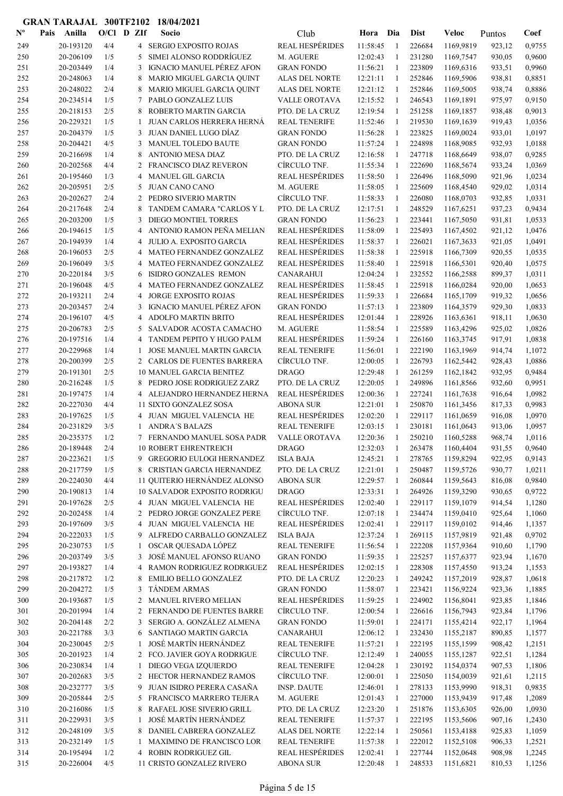| $N^{\text{o}}$ | Pais | Anilla                 | $O/Cl$ D ZIf |                 | Socio                                                     | Club                   | Hora     | Dia          | <b>Dist</b> | Veloc     | Puntos | Coef   |
|----------------|------|------------------------|--------------|-----------------|-----------------------------------------------------------|------------------------|----------|--------------|-------------|-----------|--------|--------|
| 249            |      | 20-193120              | 4/4          |                 | 4 SERGIO EXPOSITO ROJAS                                   | <b>REAL HESPÉRIDES</b> | 11:58:45 | -1           | 226684      | 1169,9819 | 923,12 | 0,9755 |
| 250            |      | 20-206109              | 1/5          | 5               | SIMEI ALONSO RODDRÍGUEZ                                   | M. AGUERE              | 12:02:43 | $\mathbf{1}$ | 231280      | 1169,7547 | 930,05 | 0,9600 |
| 251            |      | 20-203449              | 1/4          | 3               | IGNACIO MANUEL PÉREZ AFON                                 | <b>GRAN FONDO</b>      | 11:56:21 | 1            | 223809      | 1169,6316 | 933,51 | 0,9960 |
| 252            |      | 20-248063              | 1/4          | 8               | MARIO MIGUEL GARCIA QUINT                                 | ALAS DEL NORTE         | 12:21:11 | -1           | 252846      | 1169,5906 | 938,81 | 0,8851 |
| 253            |      | 20-248022              | 2/4          | 8               | MARIO MIGUEL GARCIA QUINT                                 | <b>ALAS DEL NORTE</b>  | 12:21:12 | 1            | 252846      | 1169,5005 | 938,74 | 0,8886 |
| 254            |      | 20-234514              | 1/5          | 7               | PABLO GONZALEZ LUIS                                       | <b>VALLE OROTAVA</b>   | 12:15:52 | $\mathbf{1}$ | 246543      | 1169,1891 | 975,97 | 0,9150 |
| 255            |      | 20-218153              | 2/5          | 8               | ROBERTO MARTIN GARCIA                                     | PTO. DE LA CRUZ        | 12:19:54 | -1           | 251258      | 1169,1857 | 938,48 | 0,9013 |
| 256            |      | 20-229321              | 1/5          | 1               | JUAN CARLOS HERRERA HERNÁ                                 | <b>REAL TENERIFE</b>   | 11:52:46 | -1           | 219530      | 1169,1639 | 919,43 | 1,0356 |
| 257            |      | 20-204379              | 1/5          | 3               | JUAN DANIEL LUGO DÍAZ                                     | <b>GRAN FONDO</b>      | 11:56:28 | 1            | 223825      | 1169,0024 | 933,01 | 1,0197 |
| 258            |      | 20-204421              | 4/5          | 3               | MANUEL TOLEDO BAUTE                                       | <b>GRAN FONDO</b>      | 11:57:24 | -1           | 224898      | 1168,9085 | 932,93 | 1,0188 |
| 259            |      | 20-216698              | 1/4          | 8               | <b>ANTONIO MESA DIAZ</b>                                  | PTO. DE LA CRUZ        | 12:16:58 | -1           | 247718      | 1168,6649 | 938,07 | 0,9285 |
| 260            |      | 20-202568              | 4/4          | 2               | <b>FRANCISCO DIAZ REVERON</b>                             | CÍRCULO TNF.           | 11:55:34 | 1            | 222690      | 1168,5674 | 933,24 | 1,0369 |
| 261            |      | 20-195460              | 1/3          | 4               | <b>MANUEL GIL GARCIA</b>                                  | <b>REAL HESPÉRIDES</b> | 11:58:50 | $\mathbf{1}$ | 226496      | 1168,5090 | 921,96 | 1,0234 |
| 262            |      | 20-205951              | 2/5          | 5               | <b>JUAN CANO CANO</b>                                     | M. AGUERE              | 11:58:05 | $\mathbf{1}$ | 225609      | 1168,4540 | 929,02 | 1,0314 |
| 263            |      | 20-202627              | 2/4          |                 | 2 PEDRO SIVERIO MARTIN                                    | CÍRCULO TNF.           | 11:58:33 | 1            | 226080      | 1168,0703 | 932,85 | 1,0331 |
| 264            |      | 20-217648              | 2/4          | 8               | TANDEM CAMARA "CARLOS Y L                                 | PTO. DE LA CRUZ        | 12:17:51 | -1           | 248529      | 1167,6251 | 937,23 | 0,9434 |
| 265            |      | 20-203200              | 1/5          | 3               | DIEGO MONTIEL TORRES                                      | <b>GRAN FONDO</b>      | 11:56:23 | 1            | 223441      | 1167,5050 | 931,81 | 1,0533 |
| 266            |      | 20-194615              | 1/5          | 4               | ANTONIO RAMON PEÑA MELIAN                                 | <b>REAL HESPÉRIDES</b> | 11:58:09 | $\mathbf{1}$ | 225493      | 1167,4502 | 921,12 | 1,0476 |
| 267            |      | 20-194939              | 1/4          | 4               | <b>JULIO A. EXPOSITO GARCIA</b>                           | <b>REAL HESPÉRIDES</b> | 11:58:37 | -1           | 226021      | 1167,3633 | 921,05 | 1,0491 |
| 268            |      | 20-196053              | 2/5          | 4               | MATEO FERNANDEZ GONZALEZ                                  | <b>REAL HESPÉRIDES</b> | 11:58:38 | 1            | 225918      | 1166,7309 | 920,55 | 1,0535 |
| 269            |      | 20-196049              | 3/5          | 4               | MATEO FERNANDEZ GONZALEZ                                  | <b>REAL HESPÉRIDES</b> | 11:58:40 | 1            | 225918      | 1166,5301 | 920,40 | 1,0575 |
| 270            |      | 20-220184              | 3/5          | 6               | ISIDRO GONZALES REMON                                     | <b>CANARAHUI</b>       | 12:04:24 | 1            | 232552      | 1166,2588 | 899,37 | 1,0311 |
| 271            |      | 20-196048              | 4/5          | 4               | MATEO FERNANDEZ GONZALEZ                                  | <b>REAL HESPÉRIDES</b> | 11:58:45 | 1            | 225918      | 1166,0284 | 920,00 | 1,0653 |
| 272            |      | 20-193211              | 2/4          | 4               | <b>JORGE EXPOSITO ROJAS</b>                               | <b>REAL HESPÉRIDES</b> | 11:59:33 | 1            | 226684      | 1165,1709 | 919,32 | 1,0656 |
| 273            |      | 20-203457              | 2/4          | 3               | <b>IGNACIO MANUEL PEREZ AFON</b>                          | <b>GRAN FONDO</b>      | 11:57:13 | -1           | 223809      | 1164,3579 | 929,30 | 1,0833 |
| 274            |      | 20-196107              | 4/5          | 4               | ADOLFO MARTIN BRITO                                       | <b>REAL HESPÉRIDES</b> | 12:01:44 | $\mathbf{1}$ | 228926      | 1163,6361 | 918,11 | 1,0630 |
| 275            |      | 20-206783              | 2/5          | 5               | SALVADOR ACOSTA CAMACHO                                   | M. AGUERE              | 11:58:54 | -1           | 225589      | 1163,4296 | 925,02 | 1,0826 |
| 276            |      | 20-197516              | 1/4          | 4               | TANDEM PEPITO Y HUGO PALM                                 | <b>REAL HESPÉRIDES</b> | 11:59:24 | -1           | 226160      | 1163,3745 | 917,91 | 1,0838 |
| 277            |      | 20-229968              | 1/4          | -1              | <b>JOSE MANUEL MARTIN GARCIA</b>                          | <b>REAL TENERIFE</b>   | 11:56:01 | 1            | 222190      | 1163,1969 | 914,74 | 1,1072 |
| 278            |      | 20-200399              | 2/5          |                 | 2 CARLOS DE FUENTES BARRERA                               | CÍRCULO TNF.           | 12:00:05 | 1            | 226793      | 1162,5442 | 928,43 | 1,0886 |
| 279            |      | 20-191301              | 2/5          |                 | <b>10 MANUEL GARCIA BENITEZ</b>                           | <b>DRAGO</b>           | 12:29:48 | -1           | 261259      | 1162,1842 | 932,95 | 0,9484 |
| 280            |      | 20-216248              | 1/5          | 8               | PEDRO JOSE RODRIGUEZ ZARZ                                 | PTO. DE LA CRUZ        | 12:20:05 | -1           | 249896      | 1161,8566 | 932,60 | 0,9951 |
| 281            |      | 20-197475              | 1/4          | 4               | ALEJANDRO HERNANDEZ HERNA                                 | <b>REAL HESPÉRIDES</b> | 12:00:36 | 1            | 227241      | 1161,7638 | 916,64 | 1,0982 |
| 282            |      | 20-227030              | 4/4          |                 | 11 SIXTO GONZALEZ SOSA                                    | <b>ABONA SUR</b>       | 12:21:01 | 1            | 250870      | 1161,3456 | 817,33 | 0,9983 |
| 283            |      | 20-197625              | 1/5          |                 | 4 JUAN MIGUEL VALENCIA HE                                 | <b>REAL HESPÉRIDES</b> | 12:02:20 | 1            | 229117      | 1161,0659 | 916,08 | 1,0970 |
| 284            |      | 20-231829              | 3/5          |                 | <b>ANDRA'S BALAZS</b>                                     | <b>REAL TENERIFE</b>   | 12:03:15 | 1            | 230181      | 1161,0643 | 913,06 | 1,0957 |
| 285            |      | 20-235375              | 1/2          | $7\overline{ }$ | FERNANDO MANUEL SOSA PADR                                 | <b>VALLE OROTAVA</b>   | 12:20:36 | $\mathbf{1}$ | 250210      | 1160,5288 | 968,74 | 1,0116 |
|                |      | 20-189448              | 2/4          |                 | <b>10 ROBERT EHRENTREICH</b>                              | <b>DRAGO</b>           | 12:32:03 | $\mathbf{1}$ | 263478      |           | 931,55 | 0,9640 |
| 286            |      |                        |              |                 | 9 GREGORIO EULOGI HERNANDEZ                               |                        |          |              |             | 1160,4404 |        |        |
| 287            |      | 20-223621<br>20-217759 | 1/5          |                 |                                                           | <b>ISLA BAJA</b>       | 12:45:21 | 1            | 278765      | 1159,8294 | 922,95 | 0,9143 |
| 288            |      |                        | 1/5          | 8               | CRISTIAN GARCIA HERNANDEZ<br>11 QUITERIO HERNÁNDEZ ALONSO | PTO. DE LA CRUZ        | 12:21:01 | 1            | 250487      | 1159,5726 | 930,77 | 1,0211 |
| 289            |      | 20-224030              | 4/4          |                 |                                                           | <b>ABONA SUR</b>       | 12:29:57 | -1           | 260844      | 1159,5643 | 816,08 | 0,9840 |
| 290            |      | 20-190813              | 1/4          |                 | 10 SALVADOR EXPOSITO RODRIGU                              | <b>DRAGO</b>           | 12:33:31 | $\mathbf{1}$ | 264926      | 1159,3290 | 930,65 | 0,9722 |
| 291            |      | 20-197628              | 2/5          |                 | 4 JUAN MIGUEL VALENCIA HE                                 | <b>REAL HESPÉRIDES</b> | 12:02:40 | $\mathbf{1}$ | 229117      | 1159,1079 | 914,54 | 1,1280 |
| 292            |      | 20-202458              | 1/4          |                 | 2 PEDRO JORGE GONZALEZ PERE                               | CÍRCULO TNF.           | 12:07:18 | 1            | 234474      | 1159,0410 | 925,64 | 1,1060 |
| 293            |      | 20-197609              | 3/5          |                 | 4 JUAN MIGUEL VALENCIA HE                                 | <b>REAL HESPÉRIDES</b> | 12:02:41 | 1            | 229117      | 1159,0102 | 914,46 | 1,1357 |
| 294            |      | 20-222033              | 1/5          | 9               | ALFREDO CARBALLO GONZALEZ                                 | <b>ISLA BAJA</b>       | 12:37:24 | $\mathbf{1}$ | 269115      | 1157,9819 | 921,48 | 0,9702 |
| 295            |      | 20-230753              | 1/5          | 1               | OSCAR QUESADA LÓPEZ                                       | REAL TENERIFE          | 11:56:54 | 1            | 222208      | 1157,9364 | 910,60 | 1,1790 |
| 296            |      | 20-203749              | 3/5          | 3               | JOSÉ MANUEL AFONSO RUANO                                  | <b>GRAN FONDO</b>      | 11:59:35 | 1            | 225257      | 1157,6377 | 923,94 | 1,1670 |
| 297            |      | 20-193827              | 1/4          | 4               | RAMON RODRIGUEZ RODRIGUEZ                                 | <b>REAL HESPÉRIDES</b> | 12:02:15 | 1            | 228308      | 1157,4550 | 913,24 | 1,1553 |
| 298            |      | 20-217872              | 1/2          | 8               | EMILIO BELLO GONZALEZ                                     | PTO. DE LA CRUZ        | 12:20:23 | $\mathbf{1}$ | 249242      | 1157,2019 | 928,87 | 1,0618 |
| 299            |      | 20-204272              | 1/5          | 3               | TÁNDEM ARMAS                                              | <b>GRAN FONDO</b>      | 11:58:07 | $\mathbf{1}$ | 223421      | 1156,9224 | 923,36 | 1,1885 |
| 300            |      | 20-193687              | 1/5          |                 | 2 MANUEL RIVERO MELIAN                                    | <b>REAL HESPÉRIDES</b> | 11:59:25 | 1            | 224902      | 1156,8041 | 923,85 | 1,1846 |
| 301            |      | 20-201994              | 1/4          |                 | 2 FERNANDO DE FUENTES BARRE                               | CÍRCULO TNF.           | 12:00:54 | -1           | 226616      | 1156,7943 | 923,84 | 1,1796 |
| 302            |      | 20-204148              | 2/2          | 3 <sup>1</sup>  | SERGIO A. GONZÁLEZ ALMENA                                 | <b>GRAN FONDO</b>      | 11:59:01 | 1            | 224171      | 1155,4214 | 922,17 | 1,1964 |
| 303            |      | 20-221788              | 3/3          | 6               | SANTIAGO MARTIN GARCIA                                    | <b>CANARAHUI</b>       | 12:06:12 | -1           | 232430      | 1155,2187 | 890,85 | 1,1577 |
| 304            |      | 20-230045              | 2/5          | 1               | JOSÉ MARTÍN HERNÁNDEZ                                     | <b>REAL TENERIFE</b>   | 11:57:21 | 1            | 222195      | 1155,1599 | 908,42 | 1,2151 |
| 305            |      | 20-201923              | 1/4          |                 | 2 FCO. JAVIER GOYA RODRIGUE                               | CÍRCULO TNF.           | 12:12:49 | 1            | 240055      | 1155,1287 | 922,51 | 1,1284 |
| 306            |      | 20-230834              | 1/4          | 1               | DIEGO VEGA IZQUIERDO                                      | <b>REAL TENERIFE</b>   | 12:04:28 | 1            | 230192      | 1154,0374 | 907,53 | 1,1806 |
| 307            |      | 20-202683              | 3/5          |                 | 2 HECTOR HERNANDEZ RAMOS                                  | CÍRCULO TNF.           | 12:00:01 | 1            | 225050      | 1154,0039 | 921,61 | 1,2115 |
| 308            |      | 20-232777              | 3/5          |                 | 9 JUAN ISIDRO PERERA CASAÑA                               | <b>INSP. DAUTE</b>     | 12:46:01 | 1            | 278133      | 1153,9990 | 918,31 | 0,9835 |
| 309            |      | 20-205844              | 2/5          |                 | 5 FRANCISCO MARRERO TEJERA                                | M. AGUERE              | 12:01:43 | 1            | 227000      | 1153,9439 | 917,48 | 1,2089 |
| 310            |      | 20-216086              | 1/5          | 8               | RAFAEL JOSE SIVERIO GRILL                                 | PTO. DE LA CRUZ        | 12:23:20 | 1            | 251876      | 1153,6305 | 926,00 | 1,0930 |
| 311            |      | 20-229931              | 3/5          | 1               | JOSÉ MARTÍN HERNÁNDEZ                                     | <b>REAL TENERIFE</b>   | 11:57:37 | 1            | 222195      | 1153,5606 | 907,16 | 1,2430 |
| 312            |      | 20-248109              | 3/5          | 8               | DANIEL CABRERA GONZALEZ                                   | ALAS DEL NORTE         | 12:22:14 | 1            | 250561      | 1153,4188 | 925,83 | 1,1059 |
| 313            |      | 20-232149              | 1/5          | 1               | MAXIMINO DE FRANCISCO LOR                                 | <b>REAL TENERIFE</b>   | 11:57:38 | 1            | 222012      | 1152,5108 | 906,33 | 1,2521 |
| 314            |      | 20-195494              | 1/2          | 4               | ROBIN RODRIGUEZ GIL                                       | <b>REAL HESPÉRIDES</b> | 12:02:41 | -1           | 227744      | 1152,0648 | 908,98 | 1,2245 |
| 315            |      | 20-226004              | 4/5          |                 | 11 CRISTO GONZALEZ RIVERO                                 | <b>ABONA SUR</b>       | 12:20:48 | 1            | 248533      | 1151,6821 | 810,53 | 1,1256 |
|                |      |                        |              |                 |                                                           |                        |          |              |             |           |        |        |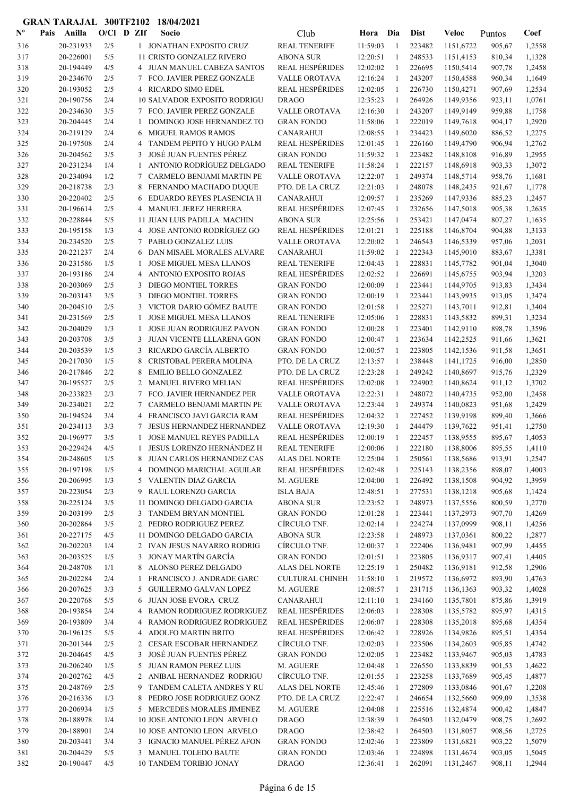| $\mathbf{N}^{\mathbf{o}}$ | Pais | Anilla                 | O/Cl D ZIf |                | Socio                                                         | Club                                     | Hora                 | Dia          | <b>Dist</b>      | Veloc                  | Puntos           | Coef             |
|---------------------------|------|------------------------|------------|----------------|---------------------------------------------------------------|------------------------------------------|----------------------|--------------|------------------|------------------------|------------------|------------------|
| 316                       |      | 20-231933              | 2/5        |                | 1 JONATHAN EXPOSITO CRUZ                                      | <b>REAL TENERIFE</b>                     | 11:59:03             | -1           | 223482           | 1151,6722              | 905,67           | 1,2558           |
| 317                       |      | 20-226001              | $5/5$      |                | 11 CRISTO GONZALEZ RIVERO                                     | <b>ABONA SUR</b>                         | 12:20:51             | 1            | 248533           | 1151,4153              | 810,34           | 1,1328           |
| 318                       |      | 20-194449              | 4/5        |                | 4 JUAN MANUEL CABEZA SANTOS                                   | REAL HESPÉRIDES                          | 12:02:02             | -1           | 226695           | 1150,5414              | 907,78           | 1,2458           |
| 319                       |      | 20-234670              | 2/5        | 7              | FCO. JAVIER PEREZ GONZALE                                     | VALLE OROTAVA                            | 12:16:24             | -1           | 243207           | 1150,4588              | 960,34           | 1,1649           |
| 320                       |      | 20-193052              | 2/5        |                | 4 RICARDO SIMO EDEL                                           | REAL HESPÉRIDES                          | 12:02:05             | 1            | 226730           | 1150,4271              | 907,69           | 1,2534           |
| 321                       |      | 20-190756              | 2/4        |                | 10 SALVADOR EXPOSITO RODRIGU                                  | <b>DRAGO</b>                             | 12:35:23             | $\mathbf{1}$ | 264926           | 1149,9356              | 923,11           | 1,0761           |
| 322                       |      | 20-234630              | 3/5        |                | 7 FCO. JAVIER PEREZ GONZALE                                   | VALLE OROTAVA                            | 12:16:30             | -1           | 243207           | 1149,9149              | 959,88           | 1,1758           |
| 323                       |      | 20-204445              | 2/4        | 1              | DOMINGO JOSE HERNANDEZ TO                                     | <b>GRAN FONDO</b>                        | 11:58:06             | -1           | 222019           | 1149,7618              | 904,17           | 1,2920           |
| 324                       |      | 20-219129              | 2/4        | 6              | <b>MIGUEL RAMOS RAMOS</b>                                     | <b>CANARAHUI</b>                         | 12:08:55             | -1           | 234423           | 1149,6020              | 886,52           | 1,2275           |
| 325                       |      | 20-197508              | 2/4        | 4              | TANDEM PEPITO Y HUGO PALM                                     | <b>REAL HESPÉRIDES</b>                   | 12:01:45             | 1            | 226160           | 1149,4790              | 906,94           | 1,2762           |
| 326                       |      | 20-204562              | 3/5        | 3              | JOSÉ JUAN FUENTES PÉREZ<br>ANTONIO RODRÍGUEZ DELGADO          | <b>GRAN FONDO</b>                        | 11:59:32             | -1           | 223482           | 1148,8108              | 916,89           | 1,2955           |
| 327                       |      | 20-231234<br>20-234094 | 1/4        | 1              | CARMELO BENJAMI MARTIN PE                                     | <b>REAL TENERIFE</b>                     | 11:58:24<br>12:22:07 | 1<br>1       | 222157<br>249374 | 1148,6918              | 903,33           | 1,3072           |
| 328<br>329                |      | 20-218738              | 1/2<br>2/3 | 7<br>8         | FERNANDO MACHADO DUQUE                                        | <b>VALLE OROTAVA</b><br>PTO. DE LA CRUZ  | 12:21:03             | 1            | 248078           | 1148,5714<br>1148,2435 | 958,76<br>921,67 | 1,1681<br>1,1778 |
| 330                       |      | 20-220402              | 2/5        | 6              | EDUARDO REYES PLASENCIA H                                     | <b>CANARAHUI</b>                         | 12:09:57             | 1            | 235269           | 1147,9336              | 885,23           | 1,2457           |
| 331                       |      | 20-196614              | 2/5        | 4              | MANUEL JEREZ HERRERA                                          | REAL HESPÉRIDES                          | 12:07:45             | -1           | 232656           | 1147,5018              | 905,38           | 1,2635           |
| 332                       |      | 20-228844              | 5/5        |                | 11 JUAN LUIS PADILLA MACHIN                                   | <b>ABONA SUR</b>                         | 12:25:56             | 1            | 253421           | 1147,0474              | 807,27           | 1,1635           |
| 333                       |      | 20-195158              | 1/3        |                | 4 JOSE ANTONIO RODRÍGUEZ GO                                   | <b>REAL HESPÉRIDES</b>                   | 12:01:21             | $\mathbf{1}$ | 225188           | 1146,8704              | 904,88           | 1,3133           |
| 334                       |      | 20-234520              | 2/5        |                | 7 PABLO GONZALEZ LUIS                                         | VALLE OROTAVA                            | 12:20:02             | $\mathbf{1}$ | 246543           | 1146,5339              | 957,06           | 1,2031           |
| 335                       |      | 20-221237              | 2/4        | 6              | DAN MISAEL MORALES ALVARE                                     | <b>CANARAHUI</b>                         | 11:59:02             | $\mathbf{1}$ | 222343           | 1145,9010              | 883,67           | 1,3381           |
| 336                       |      | 20-231586              | 1/5        | 1              | <b>JOSE MIGUEL MESA LLANOS</b>                                | <b>REAL TENERIFE</b>                     | 12:04:43             | 1            | 228831           | 1145,7782              | 901,04           | 1,3040           |
| 337                       |      | 20-193186              | 2/4        | 4              | ANTONIO EXPOSITO ROJAS                                        | <b>REAL HESPÉRIDES</b>                   | 12:02:52             | 1            | 226691           | 1145,6755              | 903,94           | 1,3203           |
| 338                       |      | 20-203069              | 2/5        | 3              | DIEGO MONTIEL TORRES                                          | <b>GRAN FONDO</b>                        | 12:00:09             | 1            | 223441           | 1144,9705              | 913,83           | 1,3434           |
| 339                       |      | 20-203143              | 3/5        | 3              | <b>DIEGO MONTIEL TORRES</b>                                   | <b>GRAN FONDO</b>                        | 12:00:19             | $\mathbf{1}$ | 223441           | 1143,9935              | 913,05           | 1,3474           |
| 340                       |      | 20-204510              | 2/5        | 3              | VICTOR DARIO GÓMEZ BAUTE                                      | <b>GRAN FONDO</b>                        | 12:01:58             | 1            | 225271           | 1143,7011              | 912,81           | 1,3404           |
| 341                       |      | 20-231569              | 2/5        | 1              | <b>JOSE MIGUEL MESA LLANOS</b>                                | <b>REAL TENERIFE</b>                     | 12:05:06             | 1            | 228831           | 1143,5832              | 899,31           | 1,3234           |
| 342                       |      | 20-204029              | 1/3        | 1              | <b>JOSE JUAN RODRIGUEZ PAVON</b>                              | <b>GRAN FONDO</b>                        | 12:00:28             | 1            | 223401           | 1142,9110              | 898,78           | 1,3596           |
| 343                       |      | 20-203708              | 3/5        | 3              | JUAN VICENTE LLLARENA GON                                     | <b>GRAN FONDO</b>                        | 12:00:47             | -1           | 223634           | 1142,2525              | 911,66           | 1,3621           |
| 344                       |      | 20-203539              | 1/5        | 3              | RICARDO GARCÍA ALBERTO                                        | <b>GRAN FONDO</b>                        | 12:00:57             | -1           | 223805           | 1142,1536              | 911,58           | 1,3651           |
| 345                       |      | 20-217030              | 1/5        | 8              | CRISTOBAL PERERA MOLINA                                       | PTO. DE LA CRUZ                          | 12:13:57             | $\mathbf{1}$ | 238448           | 1141,1725              | 916,00           | 1,2850           |
| 346                       |      | 20-217846              | 2/2        | 8              | <b>EMILIO BELLO GONZALEZ</b>                                  | PTO. DE LA CRUZ                          | 12:23:28             | -1           | 249242           | 1140,8697              | 915,76           | 1,2329           |
| 347                       |      | 20-195527              | 2/5        | 2              | <b>MANUEL RIVERO MELIAN</b>                                   | <b>REAL HESPÉRIDES</b>                   | 12:02:08             | 1            | 224902           | 1140,8624              | 911,12           | 1,3702           |
| 348                       |      | 20-233823              | 2/3        | 7              | FCO. JAVIER HERNANDEZ PER                                     | VALLE OROTAVA                            | 12:22:31             | $\mathbf{1}$ | 248072           | 1140,4735              | 952,00           | 1,2458           |
| 349                       |      | 20-234021              | 2/2        | 7              | CARMELO BENJAMI MARTIN PE                                     | VALLE OROTAVA                            | 12:23:44             | 1            | 249374           | 1140,0823              | 951,68           | 1,2429           |
| 350                       |      | 20-194524              | 3/4        | 4              | FRANCISCO JAVI GARCIA RAM                                     | REAL HESPÉRIDES                          | 12:04:32             | 1            | 227452           | 1139,9198              | 899,40           | 1,3666           |
| 351                       |      | 20-234113              | 3/3        |                | JESUS HERNANDEZ HERNANDEZ                                     | <b>VALLE OROTAVA</b>                     | 12:19:30             | $\mathbf{1}$ | 244479           | 1139,7622              | 951,41           | 1,2750           |
| 352                       |      | 20-196977              | 3/5        |                | <b>JOSE MANUEL REYES PADILLA</b><br>JESUS LORENZO HERNÁNDEZ H | REAL HESPÉRIDES                          | 12:00:19             | 1            | 222457           | 1138,9555              | 895,67           | 1,4053           |
| 353                       |      | 20-229424              | 4/5        |                |                                                               | <b>REAL TENERIFE</b>                     | 12:00:06             | -1           | 222180           | 1138,8006              | 895,55           | 1,4110           |
| 354<br>355                |      | 20-248605<br>20-197198 | 1/5<br>1/5 | 4              | 8 JUAN CARLOS HERNANDEZ CAS<br>DOMINGO MARICHAL AGUILAR       | ALAS DEL NORTE<br><b>REAL HESPÉRIDES</b> | 12:25:04<br>12:02:48 | 1<br>1       | 250561<br>225143 | 1138,5686<br>1138,2356 | 913,91<br>898,07 | 1,2547<br>1,4003 |
| 356                       |      | 20-206995              | 1/3        | 5              | VALENTIN DIAZ GARCIA                                          | M. AGUERE                                | 12:04:00             | -1           | 226492           | 1138,1508              | 904,92           | 1,3959           |
| 357                       |      | 20-223054              | 2/3        | 9              | RAUL LORENZO GARCIA                                           | <b>ISLA BAJA</b>                         | 12:48:51             | $\mathbf{1}$ | 277531           | 1138,1218              | 905,68           | 1,1424           |
| 358                       |      | 20-225124              | 3/5        |                | 11 DOMINGO DELGADO GARCIA                                     | <b>ABONA SUR</b>                         | 12:23:52             | $\mathbf{1}$ | 248973           | 1137,5556              | 800,59           | 1,2770           |
| 359                       |      | 20-203199              | 2/5        |                | 3 TANDEM BRYAN MONTIEL                                        | <b>GRAN FONDO</b>                        | 12:01:28             | 1            | 223441           | 1137,2973              | 907,70           | 1,4269           |
| 360                       |      | 20-202864              | 3/5        |                | 2 PEDRO RODRIGUEZ PEREZ                                       | CÍRCULO TNF.                             | 12:02:14             | 1            | 224274           | 1137,0999              | 908,11           | 1,4256           |
| 361                       |      | 20-227175              | 4/5        |                | 11 DOMINGO DELGADO GARCIA                                     | <b>ABONA SUR</b>                         | 12:23:58             | -1           | 248973           | 1137,0361              | 800,22           | 1,2877           |
| 362                       |      | 20-202203              | 1/4        |                | 2 IVAN JESUS NAVARRO RODRIG                                   | CÍRCULO TNF.                             | 12:00:37             | -1           | 222406           | 1136,9481              | 907,99           | 1,4455           |
| 363                       |      | 20-203525              | 1/5        | 3              | JONAY MARTÍN GARCÍA                                           | <b>GRAN FONDO</b>                        | 12:01:51             | 1            | 223805           | 1136,9317              | 907,41           | 1,4405           |
| 364                       |      | 20-248708              | 1/1        | 8              | ALONSO PEREZ DELGADO                                          | ALAS DEL NORTE                           | 12:25:19             | 1            | 250482           | 1136,9181              | 912,58           | 1,2906           |
| 365                       |      | 20-202284              | 2/4        | 1              | FRANCISCO J. ANDRADE GARC                                     | <b>CULTURAL CHINEH</b>                   | 11:58:10             | 1            | 219572           | 1136,6972              | 893,90           | 1,4763           |
| 366                       |      | 20-207625              | 3/3        | 5              | GUILLERMO GALVAN LOPEZ                                        | M. AGUERE                                | 12:08:57             | 1            | 231715           | 1136,1363              | 903,32           | 1,4028           |
| 367                       |      | 20-220768              | 5/5        | 6              | JUAN JOSE EVORA CRUZ                                          | <b>CANARAHUI</b>                         | 12:11:10             | 1            | 234160           | 1135,7801              | 875,86           | 1,3919           |
| 368                       |      | 20-193854              | 2/4        | 4              | RAMON RODRIGUEZ RODRIGUEZ                                     | <b>REAL HESPÉRIDES</b>                   | 12:06:03             | 1            | 228308           | 1135,5782              | 895,97           | 1,4315           |
| 369                       |      | 20-193809              | 3/4        | 4              | RAMON RODRIGUEZ RODRIGUEZ                                     | <b>REAL HESPÉRIDES</b>                   | 12:06:07             | $\mathbf{1}$ | 228308           | 1135,2018              | 895,68           | 1,4354           |
| 370                       |      | 20-196125              | 5/5        | 4              | <b>ADOLFO MARTIN BRITO</b>                                    | <b>REAL HESPÉRIDES</b>                   | 12:06:42             | $\mathbf{1}$ | 228926           | 1134,9826              | 895,51           | 1,4354           |
| 371                       |      | 20-201344              | 2/5        | $\overline{2}$ | CESAR ESCOBAR HERNANDEZ                                       | CÍRCULO TNF.                             | 12:02:03             | 1            | 223506           | 1134,2603              | 905,85           | 1,4742           |
| 372                       |      | 20-204645              | 4/5        |                | 3 JOSÉ JUAN FUENTES PÉREZ                                     | <b>GRAN FONDO</b>                        | 12:02:05             | 1            | 223482           | 1133,9467              | 905,03           | 1,4783           |
| 373                       |      | 20-206240              | 1/5        |                | 5 JUAN RAMON PEREZ LUIS                                       | M. AGUERE                                | 12:04:48             | 1            | 226550           | 1133,8839              | 901,53           | 1,4622           |
| 374                       |      | 20-202762              | 4/5        |                | 2 ANIBAL HERNANDEZ RODRIGU                                    | CÍRCULO TNF.                             | 12:01:55             | -1           | 223258           | 1133,7689              | 905,45           | 1,4877           |
| 375                       |      | 20-248769              | 2/5        | 9              | TANDEM CALETA ANDRES Y RU                                     | ALAS DEL NORTE                           | 12:45:46             | 1            | 272809           | 1133,0846              | 901,67           | 1,2208           |
| 376                       |      | 20-216336              | 1/3        | 8              | PEDRO JOSE RODRIGUEZ GONZ                                     | PTO. DE LA CRUZ                          | 12:22:47             | 1            | 246654           | 1132,5660              | 909,09           | 1,3538           |
| 377<br>378                |      | 20-206934<br>20-188978 | 1/5<br>1/4 |                | 5 MERCEDES MORALES JIMENEZ<br>10 JOSE ANTONIO LEON ARVELO     | M. AGUERE<br><b>DRAGO</b>                | 12:04:08<br>12:38:39 | 1<br>1       | 225516<br>264503 | 1132,4874<br>1132,0479 | 900,42<br>908,75 | 1,4847<br>1,2692 |
| 379                       |      | 20-188901              | 2/4        |                | 10 JOSE ANTONIO LEON ARVELO                                   | <b>DRAGO</b>                             | 12:38:42             | -1           | 264503           | 1131,8057              | 908,56           | 1,2725           |
| 380                       |      | 20-203441              | 3/4        |                | 3 IGNACIO MANUEL PÉREZ AFON                                   | <b>GRAN FONDO</b>                        | 12:02:46             | -1           | 223809           | 1131,6821              | 903,22           | 1,5079           |
| 381                       |      | 20-204429              | 5/5        |                | 3 MANUEL TOLEDO BAUTE                                         | <b>GRAN FONDO</b>                        | 12:03:46             | $\mathbf{1}$ | 224898           | 1131,4674              | 903,05           | 1,5045           |
| 382                       |      | 20-190447              | 4/5        |                | 10 TANDEM TORIBIO JONAY                                       | <b>DRAGO</b>                             | 12:36:41             | 1            | 262091           | 1131,2467              | 908,11           | 1,2944           |
|                           |      |                        |            |                |                                                               |                                          |                      |              |                  |                        |                  |                  |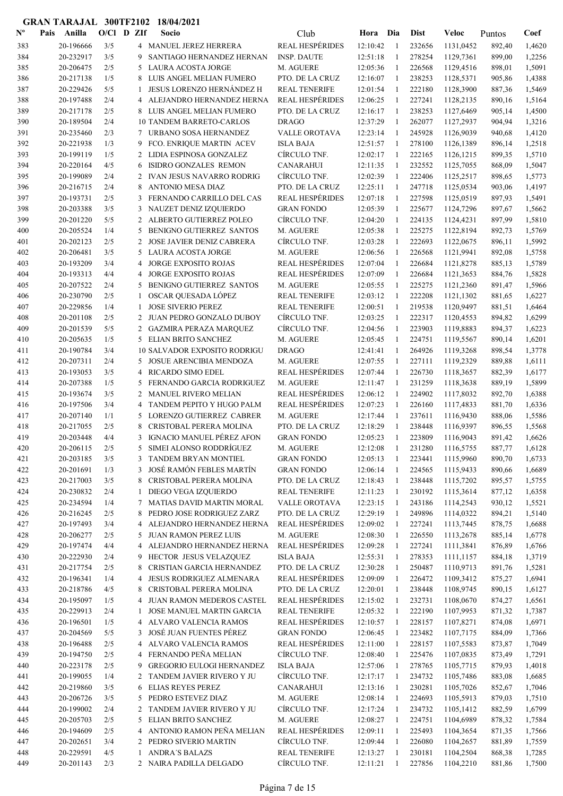| $\mathbf{N}^{\mathbf{o}}$ | Pais | Anilla                 | $O/C1$ D ZIf |                | Socio                                                    | Club                                           | Hora                 | Dia            | <b>Dist</b>      | Veloc                  | Puntos           | Coef             |
|---------------------------|------|------------------------|--------------|----------------|----------------------------------------------------------|------------------------------------------------|----------------------|----------------|------------------|------------------------|------------------|------------------|
| 383                       |      | 20-196666              | 3/5          |                | 4 MANUEL JEREZ HERRERA                                   | <b>REAL HESPÉRIDES</b>                         | 12:10:42             | $\overline{1}$ | 232656           | 1131.0452              | 892,40           | 1,4620           |
| 384                       |      | 20-232917              | 3/5          | 9              | SANTIAGO HERNANDEZ HERNAN                                | <b>INSP. DAUTE</b>                             | 12:51:18             | $\overline{1}$ | 278254           | 1129,7361              | 899,00           | 1,2256           |
| 385                       |      | 20-206475              | 2/5          | 5              | LAURA ACOSTA JORGE                                       | M. AGUERE                                      | 12:05:36             | $\overline{1}$ | 226568           | 1129,4516              | 898,01           | 1,5091           |
| 386                       |      | 20-217138              | 1/5          | 8              | LUIS ANGEL MELIAN FUMERO                                 | PTO. DE LA CRUZ                                | 12:16:07             | -1             | 238253           | 1128,5371              | 905,86           | 1,4388           |
| 387                       |      | 20-229426              | 5/5          | 1              | <b>JESUS LORENZO HERNÁNDEZ H</b>                         | <b>REAL TENERIFE</b>                           | 12:01:54             | -1             | 222180           | 1128,3900              | 887,36           | 1,5469           |
| 388                       |      | 20-197488              | 2/4          | 4              | ALEJANDRO HERNANDEZ HERNA                                | <b>REAL HESPÉRIDES</b>                         | 12:06:25             | -1             | 227241           | 1128,2135              | 890,16           | 1,5164           |
| 389                       |      | 20-217178<br>20-189504 | 2/5<br>2/4   |                | 8 LUIS ANGEL MELIAN FUMERO                               | PTO. DE LA CRUZ<br><b>DRAGO</b>                | 12:16:17<br>12:37:29 | -1<br>-1       | 238253<br>262077 | 1127,6469              | 905,14           | 1,4500<br>1,3216 |
| 390<br>391                |      | 20-235460              | 2/3          | 7              | <b>10 TANDEM BARRETO-CARLOS</b><br>URBANO SOSA HERNANDEZ | <b>VALLE OROTAVA</b>                           | 12:23:14             | -1             | 245928           | 1127,2937<br>1126,9039 | 904,94<br>940,68 | 1,4120           |
| 392                       |      | 20-221938              | 1/3          | 9              | FCO. ENRIQUE MARTIN ACEV                                 | <b>ISLA BAJA</b>                               | 12:51:57             | 1              | 278100           | 1126,1389              | 896,14           | 1,2518           |
| 393                       |      | 20-199119              | 1/5          |                | 2 LIDIA ESPINOSA GONZALEZ                                | CÍRCULO TNF.                                   | 12:02:17             | -1             | 222165           | 1126,1215              | 899,35           | 1,5710           |
| 394                       |      | 20-220164              | 4/5          | 6              | ISIDRO GONZALES REMON                                    | <b>CANARAHUI</b>                               | 12:11:35             | -1             | 232552           | 1125,7055              | 868,09           | 1,5047           |
| 395                       |      | 20-199089              | 2/4          |                | 2 IVAN JESUS NAVARRO RODRIG                              | CÍRCULO TNF.                                   | 12:02:39             | 1              | 222406           | 1125,2517              | 898,65           | 1,5773           |
| 396                       |      | 20-216715              | 2/4          | 8              | <b>ANTONIO MESA DIAZ</b>                                 | PTO. DE LA CRUZ                                | 12:25:11             | 1              | 247718           | 1125,0534              | 903,06           | 1,4197           |
| 397                       |      | 20-193731              | 2/5          | 3              | FERNANDO CARRILLO DEL CAS                                | <b>REAL HESPÉRIDES</b>                         | 12:07:18             | $\overline{1}$ | 227598           | 1125,0519              | 897,93           | 1,5491           |
| 398                       |      | 20-203388              | 3/5          | 3              | NAUZET DENIZ IZQUIERDO                                   | <b>GRAN FONDO</b>                              | 12:05:39             | -1             | 225677           | 1124,7296              | 897,67           | 1,5662           |
| 399                       |      | 20-201220              | 5/5          |                | 2 ALBERTO GUTIERREZ POLEO                                | CÍRCULO TNF.                                   | 12:04:20             | -1             | 224135           | 1124,4231              | 897,99           | 1,5810           |
| 400                       |      | 20-205524              | 1/4          | 5              | BENIGNO GUTIERREZ SANTOS                                 | M. AGUERE                                      | 12:05:38             | 1              | 225275           | 1122,8194              | 892,73           | 1,5769           |
| 401                       |      | 20-202123              | 2/5          | $\overline{2}$ | <b>JOSE JAVIER DENIZ CABRERA</b>                         | CÍRCULO TNF.                                   | 12:03:28             | -1             | 222693           | 1122,0675              | 896,11           | 1,5992           |
| 402                       |      | 20-206481              | 3/5          | 5              | LAURA ACOSTA JORGE                                       | M. AGUERE                                      | 12:06:56             | -1             | 226568           | 1121,9941              | 892,08           | 1,5758           |
| 403                       |      | 20-193209              | 3/4          | 4              | JORGE EXPOSITO ROJAS                                     | <b>REAL HESPÉRIDES</b>                         | 12:07:04             | 1              | 226684           | 1121,8278              | 885,13           | 1,5789           |
| 404                       |      | 20-193313              | 4/4          | 4              | <b>JORGE EXPOSITO ROJAS</b>                              | <b>REAL HESPÉRIDES</b>                         | 12:07:09             | -1             | 226684           | 1121,3653              | 884,76           | 1,5828           |
| 405                       |      | 20-207522              | 2/4<br>2/5   | 5              | <b>BENIGNO GUTIERREZ SANTOS</b>                          | M. AGUERE                                      | 12:05:55             | -1             | 225275           | 1121,2360              | 891,47           | 1,5966           |
| 406<br>407                |      | 20-230790<br>20-229856 | 1/4          | 1<br>1         | OSCAR QUESADA LÓPEZ<br><b>JOSE SIVERIO PEREZ</b>         | <b>REAL TENERIFE</b><br><b>REAL TENERIFE</b>   | 12:03:12<br>12:00:51 | -1<br>-1       | 222208<br>219538 | 1121,1302<br>1120,9497 | 881,65<br>881,51 | 1,6227<br>1,6464 |
| 408                       |      | 20-201108              | 2/5          | 2              | JUAN PEDRO GONZALO DUBOY                                 | CÍRCULO TNF.                                   | 12:03:25             | $\overline{1}$ | 222317           | 1120,4553              | 894,82           | 1,6299           |
| 409                       |      | 20-201539              | 5/5          | 2              | GAZMIRA PERAZA MARQUEZ                                   | CÍRCULO TNF.                                   | 12:04:56             | $\overline{1}$ | 223903           | 1119,8883              | 894,37           | 1,6223           |
| 410                       |      | 20-205635              | 1/5          | 5              | <b>ELIAN BRITO SANCHEZ</b>                               | M. AGUERE                                      | 12:05:45             | -1             | 224751           | 1119,5567              | 890,14           | 1,6201           |
| 411                       |      | 20-190784              | 3/4          |                | <b>10 SALVADOR EXPOSITO RODRIGU</b>                      | <b>DRAGO</b>                                   | 12:41:41             | -1             | 264926           | 1119,3268              | 898,54           | 1,3778           |
| 412                       |      | 20-207311              | 2/4          | 5              | <b>JOSUE ARENCIBIA MENDOZA</b>                           | M. AGUERE                                      | 12:07:55             | -1             | 227111           | 1119,2329              | 889,88           | 1,6111           |
| 413                       |      | 20-193053              | 3/5          | 4              | RICARDO SIMO EDEL                                        | <b>REAL HESPÉRIDES</b>                         | 12:07:44             | -1             | 226730           | 1118,3657              | 882,39           | 1,6177           |
| 414                       |      | 20-207388              | 1/5          | 5              | FERNANDO GARCIA RODRIGUEZ                                | M. AGUERE                                      | 12:11:47             | -1             | 231259           | 1118,3638              | 889,19           | 1,5899           |
| 415                       |      | 20-193674              | 3/5          | 2              | MANUEL RIVERO MELIAN                                     | <b>REAL HESPÉRIDES</b>                         | 12:06:12             | -1             | 224902           | 1117,8032              | 892,70           | 1,6388           |
| 416                       |      | 20-197506              | 3/4          | 4              | TANDEM PEPITO Y HUGO PALM                                | <b>REAL HESPÉRIDES</b>                         | 12:07:23             | 1              | 226160           | 1117,4833              | 881,70           | 1,6336           |
| 417                       |      | 20-207140              | 1/1          | 5              | <b>LORENZO GUTIERREZ CABRER</b>                          | M. AGUERE                                      | 12:17:44             | 1              | 237611           | 1116,9430              | 888,06           | 1,5586           |
| 418                       |      | 20-217055              | 2/5          | 8              | CRISTOBAL PERERA MOLINA                                  | PTO. DE LA CRUZ                                | 12:18:29             | -1             | 238448           | 1116,9397              | 896,55           | 1,5568           |
| 419                       |      | 20-203448              | 4/4          | 3              | IGNACIO MANUEL PÉREZ AFON                                | <b>GRAN FONDO</b>                              | 12:05:23             | 1<br>1         | 223809           | 1116,9043              | 891,42           | 1,6626           |
| 420<br>421                |      | 20-206115<br>20-203185 | 2/5<br>3/5   | 5              | SIMEI ALONSO RODDRÍGUEZ<br>3 TANDEM BRYAN MONTIEL        | M. AGUERE<br><b>GRAN FONDO</b>                 | 12:12:08<br>12:05:13 | 1              | 231280<br>223441 | 1116,5755<br>1115,9960 | 887,77<br>890,70 | 1,6128           |
| 422                       |      | 20-201691              | 1/3          | 3              | JOSÉ RAMÓN FEBLES MARTÍN                                 | <b>GRAN FONDO</b>                              | 12:06:14             | -1             | 224565           | 1115,9433              | 890,66           | 1,6733<br>1,6689 |
| 423                       |      | 20-217003              | 3/5          | 8              | CRISTOBAL PERERA MOLINA                                  | PTO. DE LA CRUZ                                | 12:18:43             | -1             | 238448           | 1115,7202              | 895,57           | 1,5755           |
| 424                       |      | 20-230832              | 2/4          | 1              | DIEGO VEGA IZQUIERDO                                     | <b>REAL TENERIFE</b>                           | 12:11:23             | -1             | 230192           | 1115,3614              | 877,12           | 1,6358           |
| 425                       |      | 20-234594              | 1/4          | 7              | MATIAS DAVID MARTIN MORAL                                | VALLE OROTAVA                                  | 12:23:15             | 1              | 243186           | 1114,2543              | 930,12           | 1,5521           |
| 426                       |      | 20-216245              | 2/5          | 8              | PEDRO JOSE RODRIGUEZ ZARZ                                | PTO. DE LA CRUZ                                | 12:29:19             | 1              | 249896           | 1114,0322              | 894,21           | 1,5140           |
| 427                       |      | 20-197493              | 3/4          | 4              | ALEJANDRO HERNANDEZ HERNA                                | <b>REAL HESPÉRIDES</b>                         | 12:09:02             | -1             | 227241           | 1113,7445              | 878,75           | 1,6688           |
| 428                       |      | 20-206277              | 2/5          | 5              | <b>JUAN RAMON PEREZ LUIS</b>                             | M. AGUERE                                      | 12:08:30             | 1              | 226550           | 1113,2678              | 885,14           | 1,6778           |
| 429                       |      | 20-197474              | 4/4          | 4              | ALEJANDRO HERNANDEZ HERNA                                | <b>REAL HESPÉRIDES</b>                         | 12:09:28             | -1             | 227241           | 1111,3841              | 876,89           | 1,6766           |
| 430                       |      | 20-222930              | 2/4          | 9              | HECTOR JESUS VELAZQUEZ                                   | <b>ISLA BAJA</b>                               | 12:55:31             | -1             | 278353           | 1111,1157              | 884,18           | 1,3719           |
| 431                       |      | 20-217754              | 2/5          | 8              | CRISTIAN GARCIA HERNANDEZ                                | PTO. DE LA CRUZ                                | 12:30:28             | 1              | 250487           | 1110,9713              | 891,76           | 1,5281           |
| 432                       |      | 20-196341              | 1/4          | 4              | JESUS RODRIGUEZ ALMENARA                                 | <b>REAL HESPÉRIDES</b>                         | 12:09:09             | 1              | 226472           | 1109,3412              | 875,27           | 1,6941           |
| 433                       |      | 20-218786              | 4/5          | 8              | CRISTOBAL PERERA MOLINA                                  | PTO. DE LA CRUZ                                | 12:20:01             | $\mathbf{1}$   | 238448           | 1108,9745              | 890,15           | 1,6127           |
| 434                       |      | 20-195097              | 1/5          | 4              | JUAN RAMON MEDEROS CASTEL                                | <b>REAL HESPÉRIDES</b>                         | 12:15:02             | $\mathbf{1}$   | 232731           | 1108,0670              | 874,27           | 1,6561           |
| 435<br>436                |      | 20-229913<br>20-196501 | 2/4<br>1/5   | 1              | JOSE MANUEL MARTIN GARCIA<br>4 ALVARO VALENCIA RAMOS     | <b>REAL TENERIFE</b><br><b>REAL HESPÉRIDES</b> | 12:05:32<br>12:10:57 | -1<br>-1       | 222190<br>228157 | 1107,9953<br>1107,8271 | 871,32<br>874,08 | 1,7387<br>1,6971 |
| 437                       |      | 20-204569              | 5/5          | 3              | JOSÉ JUAN FUENTES PÉREZ                                  | <b>GRAN FONDO</b>                              | 12:06:45             | 1              | 223482           | 1107,7175              | 884,09           | 1,7366           |
| 438                       |      | 20-196488              | 2/5          | 4              | ALVARO VALENCIA RAMOS                                    | <b>REAL HESPÉRIDES</b>                         | 12:11:00             | 1              | 228157           | 1107,5583              | 873,87           | 1,7049           |
| 439                       |      | 20-194750              | 2/5          | 4              | FERNANDO PEÑA MELIAN                                     | CÍRCULO TNF.                                   | 12:08:40             | -1             | 225476           | 1107,0835              | 873,49           | 1,7291           |
| 440                       |      | 20-223178              | 2/5          | 9              | <b>GREGORIO EULOGI HERNANDEZ</b>                         | <b>ISLA BAJA</b>                               | 12:57:06             | 1              | 278765           | 1105,7715              | 879,93           | 1,4018           |
| 441                       |      | 20-199055              | 1/4          | 2              | TANDEM JAVIER RIVERO Y JU                                | CÍRCULO TNF.                                   | 12:17:17             | -1             | 234732           | 1105,7486              | 883,08           | 1,6685           |
| 442                       |      | 20-219860              | 3/5          | 6              | <b>ELIAS REYES PEREZ</b>                                 | <b>CANARAHUI</b>                               | 12:13:16             | -1             | 230281           | 1105,7026              | 852,67           | 1,7046           |
| 443                       |      | 20-206726              | 3/5          | 5              | PEDRO ESTEVEZ DIAZ                                       | M. AGUERE                                      | 12:08:14             | -1             | 224693           | 1105,5913              | 879,03           | 1,7510           |
| 444                       |      | 20-199002              | 2/4          | $\overline{2}$ | TANDEM JAVIER RIVERO Y JU                                | CÍRCULO TNF.                                   | 12:17:24             | -1             | 234732           | 1105,1412              | 882,59           | 1,6799           |
| 445                       |      | 20-205703              | 2/5          | 5              | ELIAN BRITO SANCHEZ                                      | M. AGUERE                                      | 12:08:27             | 1              | 224751           | 1104,6989              | 878,32           | 1,7584           |
| 446                       |      | 20-194609              | 2/5          | 4              | ANTONIO RAMON PEÑA MELIAN                                | REAL HESPÉRIDES                                | 12:09:11             | $\overline{1}$ | 225493           | 1104,3654              | 871,35           | 1,7566           |
| 447                       |      | 20-202651              | 3/4          |                | 2 PEDRO SIVERIO MARTIN                                   | CÍRCULO TNF.                                   | 12:09:44             | $\mathbf{1}$   | 226080           | 1104,2657              | 881,89           | 1,7559           |
| 448                       |      | 20-229591              | 4/5          | $\mathbf{1}$   | <b>ANDRA'S BALAZS</b>                                    | <b>REAL TENERIFE</b>                           | 12:13:27             | -1             | 230181           | 1104,2504              | 868,38           | 1,7285           |
| 449                       |      | 20-201143              | 2/3          |                | 2 NAIRA PADILLA DELGADO                                  | CÍRCULO TNF.                                   | 12:11:21             | 1              | 227856           | 1104,2210              | 881,86           | 1,7500           |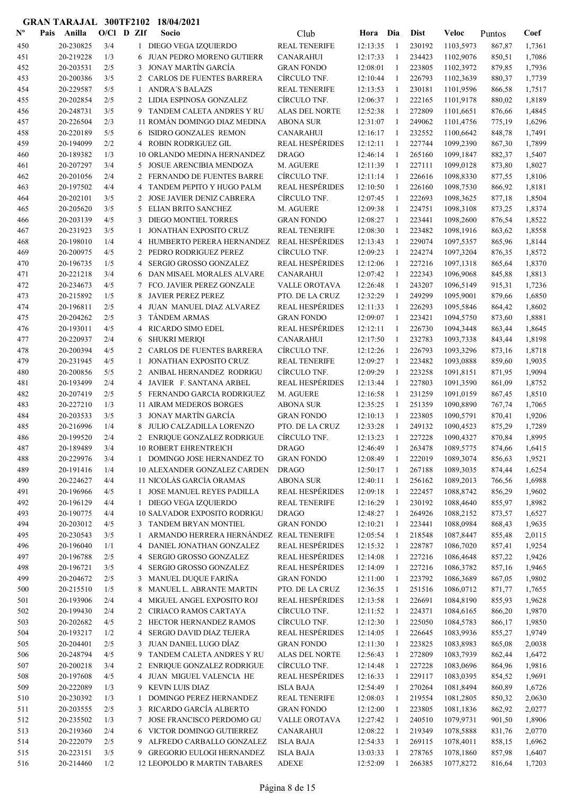| $\mathbf{N}^{\mathbf{o}}$ | Pais | Anilla                 | $O/C1$ D ZIf |                | Socio                                           | Club                                           | Hora                 | Dia            | <b>Dist</b>      | Veloc                  | Puntos           | Coef             |
|---------------------------|------|------------------------|--------------|----------------|-------------------------------------------------|------------------------------------------------|----------------------|----------------|------------------|------------------------|------------------|------------------|
| 450                       |      | 20-230825              | 3/4          |                | 1 DIEGO VEGA IZQUIERDO                          | <b>REAL TENERIFE</b>                           | 12:13:35             | -1             | 230192           | 1103,5973              | 867,87           | 1,7361           |
| 451                       |      | 20-219228              | 1/3          | 6              | JUAN PEDRO MORENO GUTIERR                       | <b>CANARAHUI</b>                               | 12:17:33             | $\overline{1}$ | 234423           | 1102,9076              | 850,51           | 1,7086           |
| 452                       |      | 20-203531              | 2/5          | 3              | <b>JONAY MARTÍN GARCÍA</b>                      | <b>GRAN FONDO</b>                              | 12:08:01             | -1             | 223805           | 1102,3972              | 879,85           | 1,7936           |
| 453                       |      | 20-200386              | 3/5          |                | 2 CARLOS DE FUENTES BARRERA                     | CÍRCULO TNF.                                   | 12:10:44             | -1             | 226793           | 1102,3639              | 880,37           | 1,7739           |
| 454                       |      | 20-229587              | 5/5          | 1              | <b>ANDRA'S BALAZS</b>                           | <b>REAL TENERIFE</b>                           | 12:13:53             | -1             | 230181           | 1101,9596              | 866,58           | 1,7517           |
| 455                       |      | 20-202854              | 2/5          |                | 2 LIDIA ESPINOSA GONZALEZ                       | CÍRCULO TNF.                                   | 12:06:37             | $\mathbf{1}$   | 222165           | 1101,9178              | 880,02           | 1,8189           |
| 456                       |      | 20-248731              | 3/5          | 9              | TANDEM CALETA ANDRES Y RU                       | ALAS DEL NORTE                                 | 12:52:38             | 1              | 272809           | 1101,6651              | 876,66           | 1,4845           |
| 457                       |      | 20-226504              | 2/3          |                | 11 ROMÁN DOMINGO DIAZ MEDINA                    | <b>ABONA SUR</b>                               | 12:31:07             | -1             | 249062           | 1101,4756              | 775,19           | 1,6296           |
| 458                       |      | 20-220189              | 5/5          | 6              | ISIDRO GONZALES REMON                           | <b>CANARAHUI</b>                               | 12:16:17             | 1              | 232552           | 1100,6642              | 848,78           | 1,7491           |
| 459                       |      | 20-194099              | 2/2          | $\overline{4}$ | <b>ROBIN RODRIGUEZ GIL</b>                      | <b>REAL HESPÉRIDES</b>                         | 12:12:11             | -1             | 227744           | 1099,2390              | 867,30           | 1,7899           |
| 460                       |      | 20-189382              | 1/3          |                | <b>10 ORLANDO MEDINA HERNANDEZ</b>              | <b>DRAGO</b>                                   | 12:46:14             | -1             | 265160           | 1099,1847              | 882,37           | 1,5407           |
| 461                       |      | 20-207297              | 3/4          | 5              | <b>JOSUE ARENCIBIA MENDOZA</b>                  | M. AGUERE                                      | 12:11:39             | 1              | 227111           | 1099,0128              | 873,80           | 1,8027           |
| 462                       |      | 20-201056              | 2/4          | 2              | <b>FERNANDO DE FUENTES BARRE</b>                | CIRCULO TNF.                                   | 12:11:14             | -1             | 226616           | 1098,8330              | 877,55           | 1,8106           |
| 463                       |      | 20-197502              | 4/4          | 4              | TANDEM PEPITO Y HUGO PALM                       | <b>REAL HESPÉRIDES</b>                         | 12:10:50             | 1              | 226160           | 1098,7530              | 866,92           | 1,8181           |
| 464                       |      | 20-202101              | 3/5          | 2              | JOSE JAVIER DENIZ CABRERA                       | CÍRCULO TNF.                                   | 12:07:45             | -1             | 222693           | 1098,3625              | 877,18           | 1,8504           |
| 465                       |      | 20-205620              | 3/5          | 5              | ELIAN BRITO SANCHEZ                             | M. AGUERE                                      | 12:09:38             | -1             | 224751           | 1098,3108              | 873,25           | 1,8374           |
| 466                       |      | 20-203139              | 4/5<br>3/5   | 3              | DIEGO MONTIEL TORRES<br>JONATHAN EXPOSITO CRUZ  | <b>GRAN FONDO</b>                              | 12:08:27             | 1<br>1         | 223441           | 1098,2600              | 876,54           | 1,8522           |
| 467                       |      | 20-231923              | 1/4          | 1              | HUMBERTO PERERA HERNANDEZ                       | <b>REAL TENERIFE</b><br><b>REAL HESPÉRIDES</b> | 12:08:30             |                | 223482           | 1098,1916              | 863,62           | 1,8558           |
| 468                       |      | 20-198010              | 4/5          | 4              |                                                 | CÍRCULO TNF.                                   | 12:13:43             | -1             | 229074           | 1097,5357              | 865,96           | 1,8144           |
| 469                       |      | 20-200975<br>20-196735 | 1/5          | 2<br>4         | PEDRO RODRIGUEZ PEREZ<br>SERGIO GROSSO GONZALEZ | <b>REAL HESPÉRIDES</b>                         | 12:09:23<br>12:12:06 | -1<br>1        | 224274<br>227216 | 1097,3204<br>1097,1318 | 876,35           | 1,8572<br>1,8370 |
| 470                       |      | 20-221218              | 3/4          | 6              | DAN MISAEL MORALES ALVARE                       | <b>CANARAHUI</b>                               | 12:07:42             | 1              | 222343           |                        | 865,64           | 1,8813           |
| 471<br>472                |      | 20-234673              | 4/5          | 7              | FCO. JAVIER PEREZ GONZALE                       | VALLE OROTAVA                                  | 12:26:48             | -1             | 243207           | 1096,9068<br>1096,5149 | 845,88<br>915,31 | 1,7236           |
| 473                       |      | 20-215892              | 1/5          |                | <b>JAVIER PEREZ PEREZ</b>                       | PTO. DE LA CRUZ                                | 12:32:29             | 1              | 249299           | 1095,9001              | 879,66           | 1,6850           |
| 474                       |      | 20-196811              | 2/5          | 4              | JUAN MANUEL DIAZ ALVAREZ                        | <b>REAL HESPÉRIDES</b>                         | 12:11:33             | 1              | 226293           | 1095,5846              | 864,42           | 1,8602           |
| 475                       |      | 20-204262              | 2/5          | 3              | <b>TÁNDEM ARMAS</b>                             | <b>GRAN FONDO</b>                              | 12:09:07             | 1              | 223421           | 1094,5750              | 873,60           | 1,8881           |
| 476                       |      | 20-193011              | 4/5          | 4              | RICARDO SIMO EDEL                               | <b>REAL HESPÉRIDES</b>                         | 12:12:11             | -1             | 226730           | 1094,3448              | 863,44           | 1,8645           |
| 477                       |      | 20-220937              | 2/4          | 6              | <b>SHUKRI MERIQI</b>                            | <b>CANARAHUI</b>                               | 12:17:50             | -1             | 232783           | 1093,7338              | 843,44           | 1,8198           |
| 478                       |      | 20-200394              | 4/5          | 2              | CARLOS DE FUENTES BARRERA                       | CÍRCULO TNF.                                   | 12:12:26             | -1             | 226793           | 1093,3296              | 873,16           | 1,8718           |
| 479                       |      | 20-231945              | 4/5          | 1              | JONATHAN EXPOSITO CRUZ                          | <b>REAL TENERIFE</b>                           | 12:09:27             | 1              | 223482           | 1093,0888              | 859,60           | 1,9035           |
| 480                       |      | 20-200856              | 5/5          | $\overline{2}$ | ANIBAL HERNANDEZ RODRIGU                        | CÍRCULO TNF.                                   | 12:09:29             | -1             | 223258           | 1091,8151              | 871,95           | 1,9094           |
| 481                       |      | 20-193499              | 2/4          | 4              | JAVIER F. SANTANA ARBEL                         | <b>REAL HESPÉRIDES</b>                         | 12:13:44             | -1             | 227803           | 1091,3590              | 861,09           | 1,8752           |
| 482                       |      | 20-207419              | 2/5          | 5              | FERNANDO GARCIA RODRIGUEZ                       | M. AGUERE                                      | 12:16:58             | -1             | 231259           | 1091,0159              | 867,45           | 1,8510           |
| 483                       |      | 20-227210              | 1/3          |                | 11 AIRAM MEDEROS BORGES                         | <b>ABONA SUR</b>                               | 12:35:25             | 1              | 251359           | 1090,8890              | 767,74           | 1,7065           |
| 484                       |      | 20-203533              | 3/5          | 3              | <b>JONAY MARTÍN GARCÍA</b>                      | <b>GRAN FONDO</b>                              | 12:10:13             | -1             | 223805           | 1090,5791              | 870,41           | 1,9206           |
| 485                       |      | 20-216996              | 1/4          |                | <b>JULIO CALZADILLA LORENZO</b>                 | PTO. DE LA CRUZ                                | 12:33:28             | -1             | 249132           | 1090,4523              | 875,29           | 1,7289           |
| 486                       |      | 20-199520              | 2/4          |                | 2 ENRIQUE GONZALEZ RODRIGUE                     | CÍRCULO TNF.                                   | 12:13:23             | 1              | 227228           | 1090,4327              | 870,84           | 1,8995           |
| 487                       |      | 20-189489              | 3/4          |                | 10 ROBERT EHRENTREICH                           | <b>DRAGO</b>                                   | 12:46:49             | 1              | 263478           | 1089,5775              | 874,66           | 1,6415           |
| 488                       |      | 20-229976              | 3/4          |                | 1 DOMINGO JOSE HERNANDEZ TO                     | <b>GRAN FONDO</b>                              | 12:08:49             | -1             | 222019           | 1089,3074              | 856,63           | 1,9521           |
| 489                       |      | 20-191416              | 1/4          |                | 10 ALEXANDER GONZALEZ CARDEN                    | <b>DRAGO</b>                                   | 12:50:17             | $\mathbf{1}$   | 267188           | 1089,3035              | 874,44           | 1,6254           |
| 490                       |      | 20-224627              | 4/4          |                | 11 NICOLÁS GARCÍA ORAMAS                        | <b>ABONA SUR</b>                               | 12:40:11             | -1             | 256162           | 1089,2013              | 766,56           | 1,6988           |
| 491                       |      | 20-196966              | 4/5          |                | 1 JOSE MANUEL REYES PADILLA                     | <b>REAL HESPÉRIDES</b>                         | 12:09:18             | 1              | 222457           | 1088,8742              | 856,29           | 1,9602           |
| 492                       |      | 20-196129              | 4/4          | $\mathbf{1}$   | DIEGO VEGA IZQUIERDO                            | <b>REAL TENERIFE</b>                           | 12:16:29             | 1              | 230192           | 1088,4640              | 855,97           | 1,8982           |
| 493                       |      | 20-190775              | 4/4          |                | <b>10 SALVADOR EXPOSITO RODRIGU</b>             | <b>DRAGO</b>                                   | 12:48:27             | $\mathbf{1}$   | 264926           | 1088,2152              | 873,57           | 1,6527           |
| 494                       |      | 20-203012              | 4/5          |                | 3 TANDEM BRYAN MONTIEL                          | <b>GRAN FONDO</b>                              | 12:10:21             | 1              | 223441           | 1088,0984              | 868,43           | 1,9635           |
| 495                       |      | 20-230543              | 3/5          | 1              | ARMANDO HERRERA HERNÁNDEZ REAL TENERIFE         |                                                | 12:05:54             | -1             | 218548           | 1087,8447              | 855,48           | 2,0115           |
| 496                       |      | 20-196040              | 1/1          | 4              | DANIEL JONATHAN GONZALEZ                        | <b>REAL HESPÉRIDES</b>                         | 12:15:32             | -1             | 228787           | 1086,7020              | 857,41           | 1,9254           |
| 497                       |      | 20-196788              | 2/5          | 4              | SERGIO GROSSO GONZALEZ                          | <b>REAL HESPÉRIDES</b>                         | 12:14:08             | -1             | 227216           | 1086,4648              | 857,22           | 1,9426           |
| 498                       |      | 20-196721              | 3/5          | 4              | SERGIO GROSSO GONZALEZ                          | <b>REAL HESPÉRIDES</b>                         | 12:14:09             | 1              | 227216           | 1086,3782              | 857,16           | 1,9465           |
| 499                       |      | 20-204672              | 2/5          | 3              | MANUEL DUQUE FARIÑA                             | <b>GRAN FONDO</b>                              | 12:11:00             | $\mathbf{1}$   | 223792           | 1086,3689              | 867,05           | 1,9802           |
| 500                       |      | 20-215510              | 1/5          | 8              | MANUEL L. ABRANTE MARTIN                        | PTO. DE LA CRUZ                                | 12:36:35             | -1             | 251516           | 1086,0712              | 871,77           | 1,7655           |
| 501                       |      | 20-193906              | 2/4          | 4              | MIGUEL ANGEL EXPOSITO ROJ                       | <b>REAL HESPÉRIDES</b>                         | 12:13:58             | $\mathbf{1}$   | 226691           | 1084,8190              | 855,93           | 1,9628           |
| 502                       |      | 20-199430              | 2/4          | $\mathbf{2}$   | CIRIACO RAMOS CARTAYA                           | CÍRCULO TNF.                                   | 12:11:52             | -1             | 224371           | 1084,6165              | 866,20           | 1,9870           |
| 503                       |      | 20-202682              | 4/5          | $\overline{2}$ | HECTOR HERNANDEZ RAMOS                          | CÍRCULO TNF.                                   | 12:12:30             | $\mathbf{1}$   | 225050           | 1084,5783              | 866,17           | 1,9850           |
| 504                       |      | 20-193217              | 1/2          | 4              | <b>SERGIO DAVID DIAZ TEJERA</b>                 | <b>REAL HESPÉRIDES</b>                         | 12:14:05             | 1              | 226645           | 1083,9936              | 855,27           | 1,9749           |
| 505                       |      | 20-204401              | 2/5          | 3              | JUAN DANIEL LUGO DÍAZ                           | <b>GRAN FONDO</b>                              | 12:11:30             | $\mathbf{1}$   | 223825           | 1083,8983              | 865,08           | 2,0038           |
| 506                       |      | 20-248794              | 4/5          | 9              | TANDEM CALETA ANDRES Y RU                       | ALAS DEL NORTE                                 | 12:56:43             | 1              | 272809           | 1083,7939              | 862,44           | 1,6472           |
| 507                       |      | 20-200218              | 3/4          | 2              | ENRIQUE GONZALEZ RODRIGUE                       | CÍRCULO TNF.                                   | 12:14:48             | -1             | 227228           | 1083,0696              | 864,96           | 1,9816           |
| 508                       |      | 20-197608              | 4/5          | 4              | JUAN MIGUEL VALENCIA HE                         | <b>REAL HESPÉRIDES</b>                         | 12:16:33             | -1             | 229117           | 1083,0395              | 854,52           | 1,9691           |
| 509                       |      | 20-222089              | 1/3          | 9              | KEVIN LUIS DIAZ                                 | <b>ISLA BAJA</b>                               | 12:54:49             | 1              | 270264           | 1081,8494              | 860,89           | 1,6726           |
| 510                       |      | 20-230392              | 1/3          | 1              | DOMINGO PEREZ HERNANDEZ                         | <b>REAL TENERIFE</b>                           | 12:08:03             | 1              | 219554           | 1081,2805              | 850,32           | 2,0630           |
| 511                       |      | 20-203555              | 2/5          | 3              | RICARDO GARCÍA ALBERTO                          | <b>GRAN FONDO</b>                              | 12:12:00             | 1              | 223805           | 1081,1836              | 862,92           | 2,0277           |
| 512                       |      | 20-235502              | 1/3          | 7              | JOSE FRANCISCO PERDOMO GU                       | VALLE OROTAVA                                  | 12:27:42             | $\overline{1}$ | 240510           | 1079,9731              | 901,50           | 1,8906           |
| 513                       |      | 20-219360              | 2/4          | 6              | VICTOR DOMINGO GUTIERREZ                        | CANARAHUI                                      | 12:08:22             | -1             | 219349           | 1078,5888              | 831,76           | 2,0770           |
| 514                       |      | 20-222079              | 2/5          | 9              | ALFREDO CARBALLO GONZALEZ                       | <b>ISLA BAJA</b>                               | 12:54:33             | -1             | 269115           | 1078,4011              | 858,15           | 1,6962           |
| 515                       |      | 20-223151              | 3/5          | 9              | <b>GREGORIO EULOGI HERNANDEZ</b>                | <b>ISLA BAJA</b>                               | 13:03:33             | 1              | 278765           | 1078,1860              | 857,98           | 1,6407           |
| 516                       |      | 20-214460              | 1/2          |                | 12 LEOPOLDO R MARTIN TABARES                    | <b>ADEXE</b>                                   | 12:52:09             | $\mathbf{1}$   | 266385           | 1077,8272              | 816,64           | 1,7203           |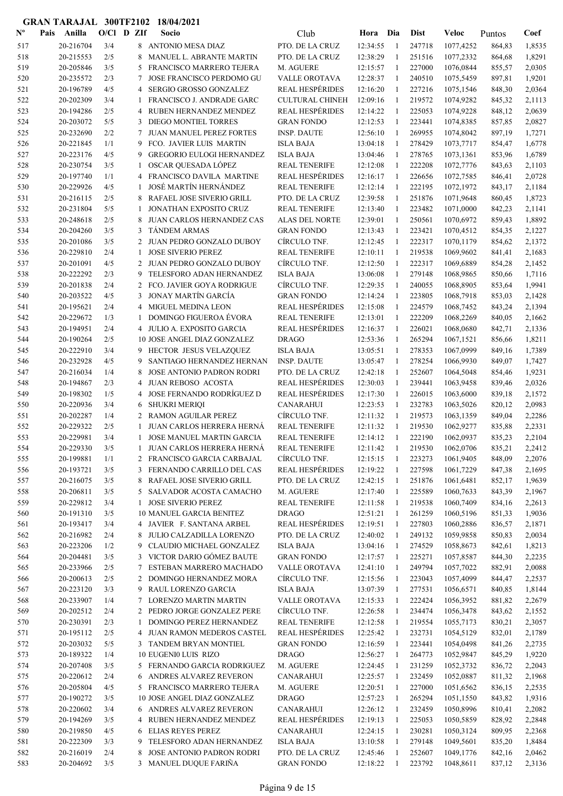| $N^{\text{o}}$ | Pais | Anilla                 | $O/CI$ D ZIf |                | Socio                                                      | Club                                 | Hora Dia             |                              | <b>Dist</b>      | Veloc                  | Puntos           | Coef             |
|----------------|------|------------------------|--------------|----------------|------------------------------------------------------------|--------------------------------------|----------------------|------------------------------|------------------|------------------------|------------------|------------------|
| 517            |      | 20-216704              | 3/4          |                | 8 ANTONIO MESA DIAZ                                        | PTO. DE LA CRUZ                      | 12:34:55             | -1                           | 247718           | 1077,4252              | 864,83           | 1,8535           |
| 518            |      | 20-215553              | 2/5          | 8              | MANUEL L. ABRANTE MARTIN                                   | PTO. DE LA CRUZ                      | 12:38:29             | -1                           | 251516           | 1077,2332              | 864,68           | 1,8291           |
| 519            |      | 20-205846              | 3/5          | 5              | FRANCISCO MARRERO TEJERA                                   | M. AGUERE                            | 12:15:57             | -1                           | 227000           | 1076,0844              | 855,57           | 2,0305           |
| 520            |      | 20-235572              | 2/3          | 7              | <b>JOSE FRANCISCO PERDOMO GU</b>                           | VALLE OROTAVA                        | 12:28:37             | 1                            | 240510           | 1075,5459              | 897,81           | 1,9201           |
| 521            |      | 20-196789              | 4/5          | 4              | SERGIO GROSSO GONZALEZ                                     | <b>REAL HESPÉRIDES</b>               | 12:16:20             | $\mathbf{1}$                 | 227216           | 1075,1546              | 848,30           | 2,0364           |
| 522            |      | 20-202309              | 3/4          | 1              | FRANCISCO J. ANDRADE GARC                                  | <b>CULTURAL CHINEH</b>               | 12:09:16             | -1                           | 219572           | 1074,9282              | 845,32           | 2,1113           |
| 523            |      | 20-194286              | 2/5          |                | 4 RUBEN HERNANDEZ MENDEZ                                   | <b>REAL HESPÉRIDES</b>               | 12:14:22             | -1                           | 225053           | 1074,9228              | 848,12           | 2,0639           |
| 524            |      | 20-203072              | 5/5          | 3              | <b>DIEGO MONTIEL TORRES</b>                                | <b>GRAN FONDO</b>                    | 12:12:53             | 1                            | 223441           | 1074,8385              | 857,85           | 2,0827           |
| 525            |      | 20-232690              | 2/2          | 7              | <b>JUAN MANUEL PEREZ FORTES</b>                            | <b>INSP. DAUTE</b>                   | 12:56:10             | $\mathbf{1}$                 | 269955           | 1074,8042              | 897,19           | 1,7271           |
| 526            |      | 20-221845              | 1/1          | 9              | FCO. JAVIER LUIS MARTIN                                    | <b>ISLA BAJA</b>                     | 13:04:18             | -1                           | 278429           | 1073,7717              | 854,47           | 1,6778           |
| 527            |      | 20-223176              | 4/5          | 9              | <b>GREGORIO EULOGI HERNANDEZ</b>                           | <b>ISLA BAJA</b>                     | 13:04:46             | -1                           | 278765           | 1073,1361              | 853,96           | 1,6789           |
| 528            |      | 20-230754              | 3/5          | 1              | OSCAR QUESADA LÓPEZ                                        | <b>REAL TENERIFE</b>                 | 12:12:08             | 1                            | 222208           | 1072,7776              | 843,63           | 2,1103           |
| 529            |      | 20-197740              | 1/1          |                | 4 FRANCISCO DAVILA MARTINE                                 | <b>REAL HESPÉRIDES</b>               | 12:16:17             | 1                            | 226656           | 1072,7585              | 846,41           | 2,0728           |
| 530            |      | 20-229926              | 4/5          | 1              | JOSÉ MARTÍN HERNÁNDEZ                                      | <b>REAL TENERIFE</b>                 | 12:12:14             | 1                            | 222195           | 1072,1972              | 843,17           | 2,1184           |
| 531            |      | 20-216115              | 2/5          | 8              | RAFAEL JOSE SIVERIO GRILL                                  | PTO. DE LA CRUZ                      | 12:39:58             | 1                            | 251876           | 1071,9648              | 860,45           | 1,8723           |
| 532            |      | 20-231804<br>20-248618 | 5/5<br>2/5   | 1<br>8         | <b>JONATHAN EXPOSITO CRUZ</b><br>JUAN CARLOS HERNANDEZ CAS | <b>REAL TENERIFE</b>                 | 12:13:40<br>12:39:01 | $\mathbf{1}$<br>$\mathbf{1}$ | 223482<br>250561 | 1071,0000              | 842,23<br>859,43 | 2,1141<br>1,8892 |
| 533<br>534     |      | 20-204260              | 3/5          | 3              | <b>TÁNDEM ARMAS</b>                                        | ALAS DEL NORTE<br><b>GRAN FONDO</b>  | 12:13:43             | 1                            | 223421           | 1070,6972<br>1070,4512 | 854,35           | 2,1227           |
| 535            |      | 20-201086              | 3/5          |                | 2 JUAN PEDRO GONZALO DUBOY                                 | CÍRCULO TNF.                         | 12:12:45             | -1                           | 222317           | 1070,1179              | 854,62           | 2,1372           |
| 536            |      | 20-229810              | 2/4          | 1              | <b>JOSE SIVERIO PEREZ</b>                                  | <b>REAL TENERIFE</b>                 | 12:10:11             | 1                            | 219538           | 1069,9602              | 841,41           | 2,1683           |
| 537            |      | 20-201091              | 4/5          |                | 2 JUAN PEDRO GONZALO DUBOY                                 | CÍRCULO TNF.                         | 12:12:50             | $\mathbf{1}$                 | 222317           | 1069,6889              | 854,28           | 2,1452           |
| 538            |      | 20-222292              | 2/3          | 9              | TELESFORO ADAN HERNANDEZ                                   | <b>ISLA BAJA</b>                     | 13:06:08             | -1                           | 279148           | 1068,9865              | 850,66           | 1,7116           |
| 539            |      | 20-201838              | 2/4          | 2              | FCO. JAVIER GOYA RODRIGUE                                  | CÍRCULO TNF.                         | 12:29:35             | -1                           | 240055           | 1068,8905              | 853,64           | 1,9941           |
| 540            |      | 20-203522              | 4/5          | 3              | JONAY MARTÍN GARCÍA                                        | <b>GRAN FONDO</b>                    | 12:14:24             | $\mathbf{1}$                 | 223805           | 1068,7918              | 853,03           | 2,1428           |
| 541            |      | 20-195621              | 2/4          | $\overline{4}$ | MIGUEL MEDINA LEON                                         | <b>REAL HESPÉRIDES</b>               | 12:15:08             | 1                            | 224579           | 1068,7452              | 843,24           | 2,1394           |
| 542            |      | 20-229672              | 1/3          | 1              | <b>DOMINGO FIGUEROA ÉVORA</b>                              | <b>REAL TENERIFE</b>                 | 12:13:01             | 1                            | 222209           | 1068,2269              | 840,05           | 2,1662           |
| 543            |      | 20-194951              | 2/4          |                | 4 JULIO A. EXPOSITO GARCIA                                 | <b>REAL HESPÉRIDES</b>               | 12:16:37             | 1                            | 226021           | 1068,0680              | 842,71           | 2,1336           |
| 544            |      | 20-190264              | 2/5          |                | 10 JOSE ANGEL DIAZ GONZALEZ                                | <b>DRAGO</b>                         | 12:53:36             | $\mathbf{1}$                 | 265294           | 1067,1521              | 856,66           | 1,8211           |
| 545            |      | 20-222910              | 3/4          |                | 9 HECTOR JESUS VELAZQUEZ                                   | <b>ISLA BAJA</b>                     | 13:05:51             | $\mathbf{1}$                 | 278353           | 1067,0999              | 849,16           | 1,7389           |
| 546            |      | 20-232928              | 4/5          | 9              | SANTIAGO HERNANDEZ HERNAN                                  | <b>INSP. DAUTE</b>                   | 13:05:47             | -1                           | 278254           | 1066,9930              | 849,07           | 1,7427           |
| 547            |      | 20-216034              | 1/4          | 8              | JOSE ANTONIO PADRON RODRI                                  | PTO. DE LA CRUZ                      | 12:42:18             | 1                            | 252607           | 1064,5048              | 854,46           | 1,9231           |
| 548            |      | 20-194867              | 2/3          | 4              | JUAN REBOSO ACOSTA                                         | <b>REAL HESPÉRIDES</b>               | 12:30:03             | 1                            | 239441           | 1063,9458              | 839,46           | 2,0326           |
| 549            |      | 20-198302              | 1/5          | 4              | <b>JOSE FERNANDO RODRÍGUEZ D</b>                           | <b>REAL HESPÉRIDES</b>               | 12:17:30             | $\mathbf{1}$                 | 226015           | 1063,6000              | 839,18           | 2,1572           |
| 550            |      | 20-220936              | 3/4          | 6              | <b>SHUKRI MERIOI</b>                                       | <b>CANARAHUI</b>                     | 12:23:53             | -1                           | 232783           | 1063,5026              | 820,12           | 2,0983           |
| 551            |      | 20-202287              | 1/4          | 2              | <b>RAMON AGUILAR PEREZ</b>                                 | CÍRCULO TNF.                         | 12:11:32             | -1                           | 219573           | 1063,1359              | 849,04           | 2,2286           |
| 552            |      | 20-229322              | 2/5          | 1              | JUAN CARLOS HERRERA HERNÁ                                  | <b>REAL TENERIFE</b>                 | 12:11:32             | 1                            | 219530           | 1062,9277              | 835,88           | 2,2331           |
| 553            |      | 20-229981              | 3/4          | 1              | <b>JOSE MANUEL MARTIN GARCIA</b>                           | <b>REAL TENERIFE</b>                 | 12:14:12             | -1                           | 222190           | 1062,0937              | 835,23           | 2,2104           |
| 554            |      | 20-229330              | 3/5          | -1             | <b>JUAN CARLOS HERRERA HERNÁ</b>                           | <b>REAL TENERIFE</b>                 | 12:11:42             | -1                           | 219530           | 1062,0706              | 835,21           | 2,2412           |
| 555            |      | 20-199881              | 1/1          |                | 2 FRANCISCO GARCIA CARBAJAL                                | CÍRCULO TNF.                         | 12:15:15             | -1                           | 223273           | 1061,9405              | 848,09           | 2,2076           |
| 556            |      | 20-193721              | 3/5          |                | 3 FERNANDO CARRILLO DEL CAS                                | <b>REAL HESPÉRIDES</b>               | 12:19:22             | 1                            | 227598           | 1061,7229              | 847,38           | 2,1695           |
| 557            |      | 20-216075              | 3/5          |                | 8 RAFAEL JOSE SIVERIO GRILL                                | PTO. DE LA CRUZ                      | 12:42:15             | -1                           | 251876           | 1061,6481              | 852,17           | 1,9639           |
| 558            |      | 20-206811              | 3/5          |                | 5 SALVADOR ACOSTA CAMACHO                                  | M. AGUERE                            | 12:17:40             | 1                            | 225589           | 1060,7633              | 843,39           | 2,1967           |
| 559<br>560     |      | 20-229812<br>20-191310 | 3/4<br>3/5   | $\mathbf{1}$   | <b>JOSE SIVERIO PEREZ</b><br>10 MANUEL GARCIA BENITEZ      | <b>REAL TENERIFE</b><br><b>DRAGO</b> | 12:11:58<br>12:51:21 | 1<br>1                       | 219538<br>261259 | 1060,7409<br>1060,5196 | 834,16<br>851,33 | 2,2613<br>1,9036 |
| 561            |      | 20-193417              | 3/4          |                | 4 JAVIER F. SANTANA ARBEL                                  | <b>REAL HESPÉRIDES</b>               | 12:19:51             | $\mathbf{1}$                 | 227803           | 1060,2886              | 836,57           | 2,1871           |
| 562            |      | 20-216982              | 2/4          | 8              | JULIO CALZADILLA LORENZO                                   | PTO. DE LA CRUZ                      | 12:40:02             | $\mathbf{1}$                 | 249132           | 1059,9858              | 850,83           | 2,0034           |
| 563            |      | 20-223206              | 1/2          | 9              | CLAUDIO MICHAEL GONZALEZ                                   | <b>ISLA BAJA</b>                     | 13:04:16             | -1                           | 274529           | 1058,8673              | 842,61           | 1,8213           |
| 564            |      | 20-204481              | 3/5          | 3              | VICTOR DARIO GÓMEZ BAUTE                                   | <b>GRAN FONDO</b>                    | 12:17:57             | 1                            | 225271           | 1057,8587              | 844,30           | 2,2235           |
| 565            |      | 20-233966              | 2/5          | 7              | ESTEBAN MARRERO MACHADO                                    | VALLE OROTAVA                        | 12:41:10             | 1                            | 249794           | 1057,7022              | 882,91           | 2,0088           |
| 566            |      | 20-200613              | 2/5          |                | 2 DOMINGO HERNANDEZ MORA                                   | CÍRCULO TNF.                         | 12:15:56             | -1                           | 223043           | 1057,4099              | 844,47           | 2,2537           |
| 567            |      | 20-223120              | 3/3          |                | 9 RAUL LORENZO GARCIA                                      | <b>ISLA BAJA</b>                     | 13:07:39             | 1                            | 277531           | 1056,6571              | 840,85           | 1,8144           |
| 568            |      | 20-233907              | 1/4          |                | 7 LORENZO MARTIN MARTIN                                    | <b>VALLE OROTAVA</b>                 | 12:15:33             | 1                            | 222424           | 1056,3952              | 881,82           | 2,2679           |
| 569            |      | 20-202512              | 2/4          |                | 2 PEDRO JORGE GONZALEZ PERE                                | CÍRCULO TNF.                         | 12:26:58             | 1                            | 234474           | 1056,3478              | 843,62           | 2,1552           |
| 570            |      | 20-230391              | 2/3          | 1              | DOMINGO PEREZ HERNANDEZ                                    | <b>REAL TENERIFE</b>                 | 12:12:58             | 1                            | 219554           | 1055,7173              | 830,21           | 2,3057           |
| 571            |      | 20-195112              | 2/5          |                | 4 JUAN RAMON MEDEROS CASTEL                                | <b>REAL HESPÉRIDES</b>               | 12:25:42             | 1                            | 232731           | 1054,5129              | 832,01           | 2,1789           |
| 572            |      | 20-203032              | 5/5          |                | 3 TANDEM BRYAN MONTIEL                                     | <b>GRAN FONDO</b>                    | 12:16:59             | 1                            | 223441           | 1054,0498              | 841,26           | 2,2735           |
| 573            |      | 20-189322              | 1/4          |                | 10 EUGENI0 LUIS RIZO                                       | <b>DRAGO</b>                         | 12:56:27             | 1                            | 264773           | 1052,9847              | 845,29           | 1,9220           |
| 574            |      | 20-207408              | 3/5          |                | 5 FERNANDO GARCIA RODRIGUEZ                                | M. AGUERE                            | 12:24:45             | -1                           | 231259           | 1052,3732              | 836,72           | 2,2043           |
| 575            |      | 20-220612              | 2/4          |                | 6 ANDRES ALVAREZ REVERON                                   | <b>CANARAHUI</b>                     | 12:25:57             | -1                           | 232459           | 1052,0887              | 811,32           | 2,1968           |
| 576            |      | 20-205804              | 4/5          |                | 5 FRANCISCO MARRERO TEJERA                                 | M. AGUERE                            | 12:20:51             | 1                            | 227000           | 1051,6562              | 836,15           | 2,2535           |
| 577            |      | 20-190272              | 3/5          |                | 10 JOSE ANGEL DIAZ GONZALEZ                                | <b>DRAGO</b>                         | 12:57:23             | -1                           | 265294           | 1051,1550              | 843,82           | 1,9316           |
| 578            |      | 20-220602              | 3/4          |                | 6 ANDRES ALVAREZ REVERON                                   | <b>CANARAHUI</b>                     | 12:26:12             | -1                           | 232459           | 1050,8996              | 810,41           | 2,2082           |
| 579            |      | 20-194269              | 3/5          |                | 4 RUBEN HERNANDEZ MENDEZ                                   | <b>REAL HESPÉRIDES</b>               | 12:19:13             | 1                            | 225053           | 1050,5859              | 828,92           | 2,2848           |
| 580            |      | 20-219850              | 4/5          |                | 6 ELIAS REYES PEREZ                                        | <b>CANARAHUI</b>                     | 12:24:15             | -1                           | 230281           | 1050,3124              | 809,95           | 2,2368           |
| 581            |      | 20-222309              | 3/3          |                | 9 TELESFORO ADAN HERNANDEZ                                 | <b>ISLA BAJA</b>                     | 13:10:58             | 1                            | 279148           | 1049,5601              | 835,20           | 1,8484           |
| 582<br>583     |      | 20-216019<br>20-204692 | 2/4<br>3/5   | 8              | JOSE ANTONIO PADRON RODRI<br>3 MANUEL DUQUE FARIÑA         | PTO. DE LA CRUZ                      | 12:45:46             | 1<br>-1                      | 252607<br>223792 | 1049,1776<br>1048,8611 | 842,16<br>837,12 | 2,0462           |
|                |      |                        |              |                |                                                            | <b>GRAN FONDO</b>                    | 12:18:22             |                              |                  |                        |                  | 2,3136           |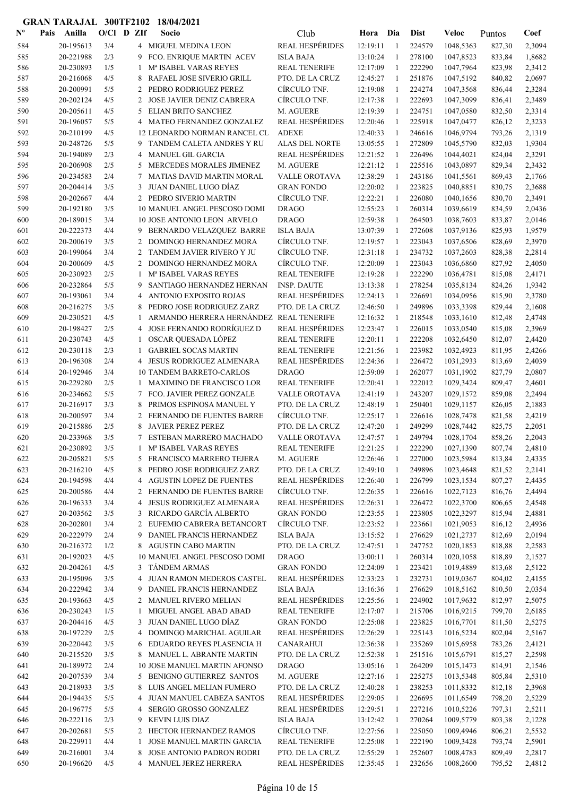| $\mathbf{N}^{\mathbf{o}}$ | Pais | Anilla    | $O/Cl$ D $Zlf$ |   | Socio                                   | Club                   | Hora     | Dia            | <b>Dist</b> | Veloc     | Puntos | Coef   |
|---------------------------|------|-----------|----------------|---|-----------------------------------------|------------------------|----------|----------------|-------------|-----------|--------|--------|
| 584                       |      | 20-195613 | 3/4            |   | 4 MIGUEL MEDINA LEON                    | <b>REAL HESPÉRIDES</b> | 12:19:11 | -1             | 224579      | 1048,5363 | 827,30 | 2,3094 |
| 585                       |      | 20-221988 | 2/3            | 9 | FCO. ENRIQUE MARTIN ACEV                | <b>ISLA BAJA</b>       | 13:10:24 | $\mathbf{1}$   | 278100      | 1047,8523 | 833,84 | 1,8682 |
| 586                       |      | 20-230893 | 1/5            | 1 | Mª ISABEL VARAS REYES                   | <b>REAL TENERIFE</b>   | 12:17:09 | -1             | 222290      | 1047,7964 | 823,98 | 2,3412 |
| 587                       |      | 20-216068 | 4/5            | 8 | RAFAEL JOSE SIVERIO GRILL               | PTO. DE LA CRUZ        | 12:45:27 | -1             | 251876      | 1047,5192 | 840,82 | 2,0697 |
| 588                       |      | 20-200991 | 5/5            | 2 | PEDRO RODRIGUEZ PEREZ                   | CÍRCULO TNF.           | 12:19:08 | -1             | 224274      | 1047,3568 | 836,44 | 2,3284 |
| 589                       |      | 20-202124 | 4/5            | 2 | <b>JOSE JAVIER DENIZ CABRERA</b>        | CÍRCULO TNF.           | 12:17:38 | -1             | 222693      | 1047,3099 | 836,41 | 2,3489 |
| 590                       |      | 20-205611 | 4/5            | 5 | ELIAN BRITO SANCHEZ                     | M. AGUERE              | 12:19:39 | -1             | 224751      | 1047,0580 | 832,50 | 2,3314 |
| 591                       |      | 20-196057 | 5/5            | 4 | MATEO FERNANDEZ GONZALEZ                | <b>REAL HESPÉRIDES</b> | 12:20:46 | -1             | 225918      | 1047,0477 | 826,12 | 2,3233 |
| 592                       |      | 20-210199 | 4/5            |   | 12 LEONARDO NORMAN RANCEL CL            | <b>ADEXE</b>           | 12:40:33 | 1              | 246616      | 1046,9794 | 793,26 | 2,1319 |
| 593                       |      | 20-248726 | 5/5            | 9 | TANDEM CALETA ANDRES Y RU               | ALAS DEL NORTE         | 13:05:55 | 1              | 272809      | 1045,5790 | 832,03 | 1,9304 |
| 594                       |      | 20-194089 | 2/3            | 4 | <b>MANUEL GIL GARCIA</b>                | <b>REAL HESPÉRIDES</b> | 12:21:52 | -1             | 226496      | 1044,4021 | 824,04 | 2,3291 |
| 595                       |      | 20-206908 | 2/5            | 5 | MERCEDES MORALES JIMENEZ                | M. AGUERE              | 12:21:12 | -1             | 225516      | 1043,0897 | 829,34 | 2,3432 |
| 596                       |      | 20-234583 | 2/4            | 7 | <b>MATIAS DAVID MARTIN MORAL</b>        | <b>VALLE OROTAVA</b>   | 12:38:29 | 1              | 243186      | 1041,5561 | 869,43 | 2,1766 |
| 597                       |      | 20-204414 | 3/5            | 3 | JUAN DANIEL LUGO DÍAZ                   | <b>GRAN FONDO</b>      | 12:20:02 | 1              | 223825      | 1040,8851 | 830,75 | 2,3688 |
| 598                       |      | 20-202667 | 4/4            |   | 2 PEDRO SIVERIO MARTIN                  | CÍRCULO TNF.           | 12:22:21 | -1             | 226080      | 1040,1656 | 830,70 | 2,3491 |
| 599                       |      | 20-192180 | 3/5            |   | 10 MANUEL ANGEL PESCOSO DOMI            | <b>DRAGO</b>           | 12:55:23 | -1             | 260314      | 1039,6619 | 834,59 | 2,0436 |
| 600                       |      | 20-189015 | 3/4            |   | <b>10 JOSE ANTONIO LEON ARVELO</b>      | <b>DRAGO</b>           | 12:59:38 | -1             | 264503      | 1038,7603 | 833,87 | 2,0146 |
| 601                       |      | 20-222373 | 4/4            | 9 | BERNARDO VELAZQUEZ BARRE                | <b>ISLA BAJA</b>       | 13:07:39 | $\mathbf{1}$   | 272608      | 1037,9136 | 825,93 | 1,9579 |
| 602                       |      | 20-200619 | 3/5            | 2 | DOMINGO HERNANDEZ MORA                  | CÍRCULO TNF.           | 12:19:57 | 1              | 223043      | 1037,6506 | 828,69 | 2,3970 |
| 603                       |      | 20-199064 | 3/4            | 2 | TANDEM JAVIER RIVERO Y JU               | CÍRCULO TNF.           | 12:31:18 | -1             | 234732      | 1037,2603 | 828,38 | 2,2814 |
| 604                       |      | 20-200609 | 4/5            |   | 2 DOMINGO HERNANDEZ MORA                | CÍRCULO TNF.           | 12:20:09 | 1              | 223043      | 1036,6860 | 827,92 | 2,4050 |
| 605                       |      | 20-230923 | 2/5            | 1 | M <sup>a</sup> ISABEL VARAS REYES       | <b>REAL TENERIFE</b>   | 12:19:28 | -1             | 222290      | 1036,4781 | 815,08 | 2,4171 |
| 606                       |      | 20-232864 | 5/5            | 9 | SANTIAGO HERNANDEZ HERNAN               | <b>INSP. DAUTE</b>     | 13:13:38 | -1             | 278254      | 1035,8134 | 824,26 | 1,9342 |
| 607                       |      | 20-193061 | 3/4            | 4 | ANTONIO EXPOSITO ROJAS                  | <b>REAL HESPÉRIDES</b> | 12:24:13 | 1              | 226691      | 1034,0956 | 815,90 | 2,3780 |
| 608                       |      | 20-216275 | 3/5            | 8 | PEDRO JOSE RODRIGUEZ ZARZ               | PTO. DE LA CRUZ        | 12:46:50 | 1              | 249896      | 1033,3398 | 829,44 | 2,1608 |
| 609                       |      | 20-230521 | 4/5            | 1 | ARMANDO HERRERA HERNÁNDEZ REAL TENERIFE |                        | 12:16:32 | $\mathbf{1}$   | 218548      | 1033,1610 | 812,48 | 2,4748 |
| 610                       |      | 20-198427 | 2/5            | 4 | JOSE FERNANDO RODRÍGUEZ D               | <b>REAL HESPÉRIDES</b> | 12:23:47 | -1             | 226015      | 1033,0540 | 815,08 | 2,3969 |
| 611                       |      | 20-230743 | 4/5            | 1 | OSCAR QUESADA LÓPEZ                     | <b>REAL TENERIFE</b>   | 12:20:11 | -1             | 222208      | 1032,6450 | 812,07 | 2,4420 |
| 612                       |      | 20-230118 | 2/3            | 1 | <b>GABRIEL SOCAS MARTIN</b>             | <b>REAL TENERIFE</b>   | 12:21:56 | -1             | 223982      | 1032,4923 | 811,95 | 2,4266 |
| 613                       |      | 20-196308 | 2/4            | 4 | JESUS RODRIGUEZ ALMENARA                | <b>REAL HESPÉRIDES</b> | 12:24:36 | 1              | 226472      | 1031,2933 | 813,69 | 2,4039 |
| 614                       |      | 20-192946 | 3/4            |   | <b>10 TANDEM BARRETO-CARLOS</b>         | <b>DRAGO</b>           | 12:59:09 | -1             | 262077      | 1031,1902 | 827,79 | 2,0807 |
| 615                       |      | 20-229280 | 2/5            | 1 | MAXIMINO DE FRANCISCO LOR               | <b>REAL TENERIFE</b>   | 12:20:41 | -1             | 222012      | 1029,3424 | 809,47 | 2,4601 |
| 616                       |      | 20-234662 | 5/5            | 7 | FCO. JAVIER PEREZ GONZALE               | <b>VALLE OROTAVA</b>   | 12:41:19 | 1              | 243207      | 1029,1572 | 859,08 | 2,2494 |
| 617                       |      | 20-216917 | 3/3            | 8 | PRIMOS ESPINOSA MANUEL Y                | PTO. DE LA CRUZ        | 12:48:19 | 1              | 250401      | 1029,1157 | 826,05 | 2,1883 |
| 618                       |      | 20-200597 | 3/4            |   | 2 FERNANDO DE FUENTES BARRE             | CÍRCULO TNF.           | 12:25:17 | -1             | 226616      | 1028,7478 | 821,58 | 2,4219 |
| 619                       |      | 20-215886 | 2/5            |   | <b>JAVIER PEREZ PEREZ</b>               | PTO. DE LA CRUZ        | 12:47:20 | -1             | 249299      | 1028,7442 | 825,75 | 2,2051 |
| 620                       |      | 20-233968 | 3/5            | 7 | ESTEBAN MARRERO MACHADO                 | <b>VALLE OROTAVA</b>   | 12:47:57 | 1              | 249794      | 1028,1704 | 858,26 | 2,2043 |
| 621                       |      | 20-230892 | 3/5            | 1 | Mª ISABEL VARAS REYES                   | <b>REAL TENERIFE</b>   | 12:21:25 | -1             | 222290      | 1027,1390 | 807,74 | 2,4810 |
| 622                       |      | 20-205821 | 5/5            |   | 5 FRANCISCO MARRERO TEJERA              | M. AGUERE              | 12:26:46 | 1              | 227000      | 1023,5984 | 813,84 | 2,4335 |
| 623                       |      | 20-216210 | 4/5            | 8 | PEDRO JOSE RODRIGUEZ ZARZ               | PTO. DE LA CRUZ        | 12:49:10 | $\mathbf{1}$   | 249896      | 1023,4648 | 821,52 | 2,2141 |
| 624                       |      | 20-194598 | 4/4            | 4 | AGUSTIN LOPEZ DE FUENTES                | <b>REAL HESPÉRIDES</b> | 12:26:40 | $\mathbf{1}$   | 226799      | 1023,1534 | 807,27 | 2,4435 |
| 625                       |      | 20-200586 | 4/4            | 2 | FERNANDO DE FUENTES BARRE               | CÍRCULO TNF.           | 12:26:35 | -1             | 226616      | 1022,7123 | 816,76 | 2,4494 |
| 626                       |      | 20-196333 | 3/4            | 4 | <b>JESUS RODRIGUEZ ALMENARA</b>         | <b>REAL HESPÉRIDES</b> | 12:26:31 | -1             | 226472      | 1022,3700 | 806,65 | 2,4548 |
| 627                       |      | 20-203562 | 3/5            | 3 | RICARDO GARCÍA ALBERTO                  | <b>GRAN FONDO</b>      | 12:23:55 | $\mathbf{1}$   | 223805      | 1022,3297 | 815,94 | 2,4881 |
| 628                       |      | 20-202801 | 3/4            | 2 | EUFEMIO CABRERA BETANCORT               | CÍRCULO TNF.           | 12:23:52 | 1              | 223661      | 1021,9053 | 816,12 | 2,4936 |
| 629                       |      | 20-222979 | 2/4            | 9 | DANIEL FRANCIS HERNANDEZ                | <b>ISLA BAJA</b>       | 13:15:52 | $\mathbf{1}$   | 276629      | 1021,2737 | 812,69 | 2,0194 |
| 630                       |      | 20-216372 | 1/2            |   | 8 AGUSTIN CABO MARTIN                   | PTO. DE LA CRUZ        | 12:47:51 | -1             | 247752      | 1020,1853 | 818,88 | 2,2583 |
| 631                       |      | 20-192023 | 4/5            |   | 10 MANUEL ANGEL PESCOSO DOMI            | <b>DRAGO</b>           | 13:00:11 | 1              | 260314      | 1020,1058 | 818,89 | 2,1527 |
| 632                       |      | 20-204261 | 4/5            |   | 3 TANDEM ARMAS                          | <b>GRAN FONDO</b>      | 12:24:09 | 1              | 223421      | 1019,4889 | 813,68 | 2,5122 |
| 633                       |      | 20-195096 | 3/5            | 4 | JUAN RAMON MEDEROS CASTEL               | <b>REAL HESPÉRIDES</b> | 12:33:23 | $\mathbf{1}$   | 232731      | 1019,0367 | 804,02 | 2,4155 |
| 634                       |      | 20-222942 | 3/4            | 9 | DANIEL FRANCIS HERNANDEZ                | <b>ISLA BAJA</b>       | 13:16:36 | 1              | 276629      | 1018,5162 | 810,50 | 2,0354 |
| 635                       |      | 20-193663 | 4/5            |   | 2 MANUEL RIVERO MELIAN                  | <b>REAL HESPÉRIDES</b> | 12:25:56 | $\mathbf{1}$   | 224902      | 1017,9632 | 812,97 | 2,5075 |
| 636                       |      | 20-230243 | 1/5            | 1 | MIGUEL ANGEL ABAD ABAD                  | <b>REAL TENERIFE</b>   | 12:17:07 | -1             | 215706      | 1016,9215 | 799,70 | 2,6185 |
| 637                       |      | 20-204416 | 4/5            | 3 | JUAN DANIEL LUGO DÍAZ                   | <b>GRAN FONDO</b>      | 12:25:08 | -1             | 223825      | 1016,7701 | 811,50 | 2,5275 |
| 638                       |      | 20-197229 | 2/5            | 4 | DOMINGO MARICHAL AGUILAR                | <b>REAL HESPÉRIDES</b> | 12:26:29 | 1              | 225143      | 1016,5234 | 802,04 | 2,5167 |
| 639                       |      | 20-220442 | 3/5            | 6 | EDUARDO REYES PLASENCIA H               | <b>CANARAHUI</b>       | 12:36:38 | 1              | 235269      | 1015,6958 | 783,26 | 2,4121 |
| 640                       |      | 20-215520 | 3/5            |   | 8 MANUEL L. ABRANTE MARTIN              | PTO. DE LA CRUZ        | 12:52:38 | $\mathbf{1}$   | 251516      | 1015,6791 | 815,27 | 2,2598 |
| 641                       |      | 20-189972 | 2/4            |   | 10 JOSE MANUEL MARTIN AFONSO            | <b>DRAGO</b>           | 13:05:16 | -1             | 264209      | 1015,1473 | 814,91 | 2,1546 |
| 642                       |      | 20-207539 | 3/4            |   | 5 BENIGNO GUTIERREZ SANTOS              | M. AGUERE              | 12:27:16 | -1             | 225275      | 1013,5348 | 805,84 | 2,5310 |
| 643                       |      | 20-218933 | 3/5            |   | 8 LUIS ANGEL MELIAN FUMERO              | PTO. DE LA CRUZ        | 12:40:28 | -1             | 238253      | 1011,8332 | 812,18 | 2,3968 |
| 644                       |      | 20-194435 | 5/5            | 4 | <b>JUAN MANUEL CABEZA SANTOS</b>        | <b>REAL HESPÉRIDES</b> | 12:29:05 | -1             | 226695      | 1011,6549 | 798,20 | 2,5229 |
| 645                       |      | 20-196775 | 5/5            | 4 | SERGIO GROSSO GONZALEZ                  | <b>REAL HESPÉRIDES</b> | 12:29:51 | 1              | 227216      | 1010,5226 | 797,31 | 2,5211 |
| 646                       |      | 20-222116 | 2/3            | 9 | <b>KEVIN LUIS DIAZ</b>                  | <b>ISLA BAJA</b>       | 13:12:42 | $\overline{1}$ | 270264      | 1009,5779 | 803,38 | 2,1228 |
| 647                       |      | 20-202681 | 5/5            |   | 2 HECTOR HERNANDEZ RAMOS                | CÍRCULO TNF.           | 12:27:56 | -1             | 225050      | 1009,4946 | 806,21 | 2,5532 |
| 648                       |      | 20-229911 | 4/4            | 1 | JOSE MANUEL MARTIN GARCIA               | <b>REAL TENERIFE</b>   | 12:25:08 | -1             | 222190      | 1009,3428 | 793,74 | 2,5901 |
| 649                       |      | 20-216001 | 3/4            | 8 | JOSE ANTONIO PADRON RODRI               | PTO. DE LA CRUZ        | 12:55:29 | 1              | 252607      | 1008,4783 | 809,49 | 2,2817 |
| 650                       |      | 20-196620 | 4/5            |   | 4 MANUEL JEREZ HERRERA                  | <b>REAL HESPÉRIDES</b> | 12:35:45 | 1              | 232656      | 1008,2600 | 795,52 | 2,4812 |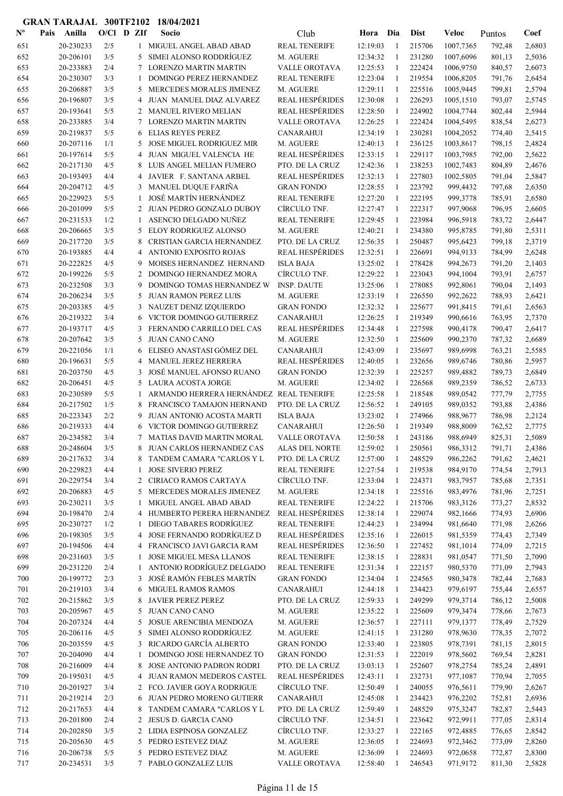| $N^{\text{o}}$ | Pais | Anilla                 | $O/CI$ D ZIf |                | Socio                                                     | Club                                 | Hora                 | Dia               | <b>Dist</b>      | Veloc                | Puntos           | Coef             |
|----------------|------|------------------------|--------------|----------------|-----------------------------------------------------------|--------------------------------------|----------------------|-------------------|------------------|----------------------|------------------|------------------|
| 651            |      | 20-230233              | 2/5          |                | 1 MIGUEL ANGEL ABAD ABAD                                  | <b>REAL TENERIFE</b>                 | 12:19:03             | -1                | 215706           | 1007,7365            | 792,48           | 2,6803           |
| 652            |      | 20-206101              | 3/5          | 5              | SIMEI ALONSO RODDRÍGUEZ                                   | M. AGUERE                            | 12:34:32             | $\mathbf{1}$      | 231280           | 1007,6096            | 801,13           | 2,5036           |
| 653            |      | 20-233883              | 2/4          | 7              | <b>LORENZO MARTIN MARTIN</b>                              | VALLE OROTAVA                        | 12:25:53             | -1                | 222424           | 1006,9750            | 840,57           | 2,6073           |
| 654            |      | 20-230307              | 3/3          | 1              | <b>DOMINGO PEREZ HERNANDEZ</b>                            | <b>REAL TENERIFE</b>                 | 12:23:04             | -1                | 219554           | 1006,8205            | 791,76           | 2,6454           |
| 655            |      | 20-206887              | 3/5          | 5              | MERCEDES MORALES JIMENEZ                                  | M. AGUERE                            | 12:29:11             | -1                | 225516           | 1005,9445            | 799,81           | 2,5794           |
| 656            |      | 20-196807              | 3/5          | 4              | JUAN MANUEL DIAZ ALVAREZ                                  | REAL HESPÉRIDES                      | 12:30:08             | $\mathbf{1}$      | 226293           | 1005,1510            | 793,07           | 2,5745           |
| 657            |      | 20-193641              | 5/5          | $\overline{2}$ | <b>MANUEL RIVERO MELIAN</b>                               | <b>REAL HESPÉRIDES</b>               | 12:28:50             | 1                 | 224902           | 1004,7744            | 802,44           | 2,5944           |
| 658            |      | 20-233885              | 3/4          | $\tau$         | <b>LORENZO MARTIN MARTIN</b>                              | <b>VALLE OROTAVA</b>                 | 12:26:25             | -1                | 222424           | 1004,5495            | 838,54           | 2,6273           |
| 659            |      | 20-219837              | 5/5          | 6              | <b>ELIAS REYES PEREZ</b>                                  | <b>CANARAHUI</b>                     | 12:34:19             | $\mathbf{1}$      | 230281           | 1004,2052            | 774,40           | 2,5415           |
| 660            |      | 20-207116              | 1/1          | 5              | <b>JOSE MIGUEL RODRIGUEZ MIR</b>                          | M. AGUERE                            | 12:40:13             | 1                 | 236125           | 1003,8617            | 798,15           | 2,4824           |
| 661            |      | 20-197614              | 5/5          | $\overline{4}$ | JUAN MIGUEL VALENCIA HE                                   | <b>REAL HESPÉRIDES</b>               | 12:33:15             | 1                 | 229117           | 1003,7985            | 792,00           | 2,5622           |
| 662            |      | 20-217130              | 4/5          | 8              | LUIS ANGEL MELIAN FUMERO                                  | PTO. DE LA CRUZ                      | 12:42:36             | 1                 | 238253           | 1002,7483            | 804,89           | 2,4676           |
| 663            |      | 20-193493              | 4/4          | 4              | JAVIER F. SANTANA ARBEL                                   | <b>REAL HESPÉRIDES</b>               | 12:32:13             | $\mathbf{1}$      | 227803           | 1002,5805            | 791,04           | 2,5847           |
| 664            |      | 20-204712              | 4/5          | 3              | MANUEL DUQUE FARIÑA                                       | <b>GRAN FONDO</b>                    | 12:28:55             | $\mathbf{1}$      | 223792           | 999,4432             | 797,68           | 2,6350           |
| 665            |      | 20-229923              | 5/5          | 1              | JOSÉ MARTÍN HERNÁNDEZ                                     | <b>REAL TENERIFE</b>                 | 12:27:20             | $\mathbf{1}$      | 222195           | 999,3778             | 785,91           | 2,6580           |
| 666            |      | 20-201099              | 5/5          |                | 2 JUAN PEDRO GONZALO DUBOY                                | CÍRCULO TNF.                         | 12:27:47             | 1                 | 222317           | 997,9068             | 796,95           | 2,6605           |
| 667            |      | 20-231533              | 1/2          | 1              | ASENCIO DELGADO NUÑEZ                                     | <b>REAL TENERIFE</b>                 | 12:29:45             | -1                | 223984           | 996,5918             | 783,72           | 2,6447           |
| 668            |      | 20-206665              | 3/5          | 5              | ELOY RODRIGUEZ ALONSO                                     | M. AGUERE                            | 12:40:21             | 1                 | 234380           | 995,8785             | 791,80           | 2,5311           |
| 669            |      | 20-217720              | 3/5          | 8              | CRISTIAN GARCIA HERNANDEZ                                 | PTO. DE LA CRUZ                      | 12:56:35             | 1                 | 250487           | 995,6423             | 799,18           | 2,3719           |
| 670            |      | 20-193885              | 4/4          | 4              | <b>ANTONIO EXPOSITO ROJAS</b>                             | <b>REAL HESPÉRIDES</b>               | 12:32:51             | -1                | 226691           | 994,9133             | 784,99           | 2,6248           |
| 671            |      | 20-222825<br>20-199226 | 4/5          | 9              | MOISES HERNANDEZ HERNAND<br><b>DOMINGO HERNANDEZ MORA</b> | <b>ISLA BAJA</b><br>CÍRCULO TNF.     | 13:25:02             | 1                 | 278428           | 994,2673             | 791,20           | 2,1403           |
| 672            |      | 20-232508              | 5/5          | 2              |                                                           |                                      | 12:29:22             | 1                 | 223043<br>278085 | 994,1004             | 793,91           | 2,6757           |
| 673            |      | 20-206234              | 3/3<br>3/5   | 9              | DOMINGO TOMAS HERNANDEZ W<br><b>JUAN RAMON PEREZ LUIS</b> | <b>INSP. DAUTE</b>                   | 13:25:06             | 1                 |                  | 992,8061             | 790,04           | 2,1493           |
| 674<br>675     |      | 20-203385              | 4/5          | 5              | 3 NAUZET DENIZ IZQUIERDO                                  | M. AGUERE<br><b>GRAN FONDO</b>       | 12:33:19<br>12:32:32 | 1<br>-1           | 226550<br>225677 | 992,2622<br>991,8415 | 788,93<br>791,61 | 2,6421<br>2,6563 |
| 676            |      | 20-219322              | 3/4          | 6              | VICTOR DOMINGO GUTIERREZ                                  | <b>CANARAHUI</b>                     | 12:26:25             | $\mathbf{1}$      | 219349           | 990,6616             | 763,95           | 2,7370           |
| 677            |      | 20-193717              | 4/5          | 3              | FERNANDO CARRILLO DEL CAS                                 | <b>REAL HESPÉRIDES</b>               | 12:34:48             | $\mathbf{1}$      | 227598           | 990,4178             | 790,47           | 2,6417           |
| 678            |      | 20-207642              | 3/5          | 5              | <b>JUAN CANO CANO</b>                                     | M. AGUERE                            | 12:32:50             | -1                | 225609           | 990,2370             | 787,32           | 2,6689           |
| 679            |      | 20-221056              | 1/1          | 6              | ELISEO ANASTASI GÓMEZ DEL                                 | <b>CANARAHUI</b>                     | 12:43:09             | -1                | 235697           | 989,6998             | 763,21           | 2,5585           |
| 680            |      | 20-196631              | 5/5          | 4              | MANUEL JEREZ HERRERA                                      | <b>REAL HESPÉRIDES</b>               | 12:40:05             | $\mathbf{1}$      | 232656           | 989,6746             | 780,86           | 2,5957           |
| 681            |      | 20-203750              | 4/5          | 3              | JOSÉ MANUEL AFONSO RUANO                                  | <b>GRAN FONDO</b>                    | 12:32:39             | 1                 | 225257           | 989,4882             | 789,73           | 2,6849           |
| 682            |      | 20-206451              | 4/5          | 5              | LAURA ACOSTA JORGE                                        | M. AGUERE                            | 12:34:02             | -1                | 226568           | 989,2359             | 786,52           | 2,6733           |
| 683            |      | 20-230589              | 5/5          | -1             | ARMANDO HERRERA HERNÁNDEZ                                 | <b>REAL TENERIFE</b>                 | 12:25:58             | -1                | 218548           | 989,0542             | 777,79           | 2,7755           |
| 684            |      | 20-217502              | 1/5          | 8              | FRANCISCO TAMAJON HERNAND                                 | PTO. DE LA CRUZ                      | 12:56:52             | 1                 | 249105           | 989,0352             | 793,88           | 2,4386           |
| 685            |      | 20-223343              | 2/2          | 9              | JUAN ANTONIO ACOSTA MARTI                                 | <b>ISLA BAJA</b>                     | 13:23:02             | -1                | 274966           | 988,9677             | 786,98           | 2,2124           |
| 686            |      | 20-219333              | 4/4          | 6              | VICTOR DOMINGO GUTIERREZ                                  | <b>CANARAHUI</b>                     | 12:26:50             | 1                 | 219349           | 988,8009             | 762,52           | 2,7775           |
| 687            |      | 20-234582              | 3/4          | 7              | <b>MATIAS DAVID MARTIN MORAL</b>                          | <b>VALLE OROTAVA</b>                 | 12:50:58             | $\mathbf{1}$      | 243186           | 988,6949             | 825,31           | 2,5089           |
| 688            |      | 20-248604              | 3/5          | 8              | JUAN CARLOS HERNANDEZ CAS                                 | ALAS DEL NORTE                       | 12:59:02             |                   | 250561           | 986,3312             | 791,71           | 2,4386           |
| 689            |      | 20-217632              | 3/4          |                | 8 TANDEM CAMARA "CARLOS Y L                               | PTO. DE LA CRUZ                      | 12:57:00             | -1                | 248529           | 986,2262             | 791,62           | 2,4621           |
| 690            |      | 20-229823              | 4/4          | 1              | <b>JOSE SIVERIO PEREZ</b>                                 | <b>REAL TENERIFE</b>                 | 12:27:54             | $\mathbf{1}$      | 219538           | 984,9170             | 774,54           | 2,7913           |
| 691            |      | 20-229754              | 3/4          |                | 2 CIRIACO RAMOS CARTAYA                                   | CÍRCULO TNF.                         | 12:33:04             | 1                 | 224371           | 983,7957             | 785,68           | 2,7351           |
| 692            |      | 20-206883              | 4/5          | 5              | MERCEDES MORALES JIMENEZ                                  | M. AGUERE                            | 12:34:18             | -1                | 225516           | 983,4976             | 781,96           | 2,7251           |
| 693            |      | 20-230211              | 3/5          | 1              | MIGUEL ANGEL ABAD ABAD                                    | <b>REAL TENERIFE</b>                 | 12:24:22             | $\mathbf{1}$      | 215706           | 983,3126             | 773,27           | 2,8532           |
| 694            |      | 20-198470              | 2/4          | 4              | HUMBERTO PERERA HERNANDEZ                                 | <b>REAL HESPÉRIDES</b>               | 12:38:14             | $\mathbf{1}$      | 229074           | 982,1666             | 774,93           | 2,6906           |
| 695            |      | 20-230727              | 1/2          | -1             | DIEGO TABARES RODRÍGUEZ                                   | <b>REAL TENERIFE</b>                 | 12:44:23             | 1                 | 234994           | 981,6640             | 771,98           | 2,6266           |
| 696            |      | 20-198305              | 3/5          | 4              | JOSE FERNANDO RODRÍGUEZ D                                 | <b>REAL HESPÉRIDES</b>               | 12:35:16             | 1                 | 226015           | 981,5359             | 774,43           | 2,7349           |
| 697            |      | 20-194506              | 4/4          |                | 4 FRANCISCO JAVI GARCIA RAM                               | <b>REAL HESPÉRIDES</b>               | 12:36:50             | 1                 | 227452           | 981,1014             | 774,09           | 2,7215           |
| 698            |      | 20-231603              | 3/5          | 1              | JOSE MIGUEL MESA LLANOS                                   | <b>REAL TENERIFE</b>                 | 12:38:15             | $\mathbf{1}$      | 228831           | 981,0547             | 771,50           | 2,7090           |
| 699            |      | 20-231220              | 2/4          | 1              | ANTONIO RODRÍGUEZ DELGADO                                 | <b>REAL TENERIFE</b>                 | 12:31:34             | 1                 | 222157           | 980,5370             | 771,09           | 2,7943           |
| 700            |      | 20-199772              | 2/3          | 3              | JOSÉ RAMÓN FEBLES MARTÍN                                  | <b>GRAN FONDO</b>                    | 12:34:04             | 1                 | 224565           | 980,3478             | 782,44           | 2,7683           |
| 701            |      | 20-219103              | 3/4          | 6              | MIGUEL RAMOS RAMOS                                        | <b>CANARAHUI</b>                     | 12:44:18             | $\mathbf{1}$      | 234423           | 979,6197             | 755,44           | 2,6557           |
| 702            |      | 20-215862              | 3/5          | 8              | <b>JAVIER PEREZ PEREZ</b>                                 | PTO. DE LA CRUZ                      | 12:59:33             | 1                 | 249299           | 979,3714             | 786,12           | 2,5008           |
| 703            |      | 20-205967              | 4/5          |                | 5 JUAN CANO CANO                                          | M. AGUERE                            | 12:35:22             | 1                 | 225609           | 979,3474             | 778,66           | 2,7673           |
| 704            |      | 20-207324              | 4/4          | 5              | JOSUE ARENCIBIA MENDOZA                                   | M. AGUERE                            | 12:36:57             | $\mathbf{1}$      | 227111           | 979,1377             | 778,49           | 2,7529           |
| 705            |      | 20-206116              | 4/5<br>4/5   | 5<br>3         | SIMEI ALONSO RODDRÍGUEZ<br>RICARDO GARCÍA ALBERTO         | M. AGUERE                            | 12:41:15<br>12:33:40 | $\mathbf{1}$<br>1 | 231280<br>223805 | 978,9630             | 778,35           | 2,7072           |
| 706            |      | 20-203559<br>20-204090 | 4/4          |                | DOMINGO JOSE HERNANDEZ TO                                 | <b>GRAN FONDO</b>                    | 12:31:53             |                   | 222019           | 978,7391             | 781,15           | 2,8015           |
| 707<br>708     |      | 20-216009              | 4/4          | 1<br>8         | JOSE ANTONIO PADRON RODRI                                 | <b>GRAN FONDO</b><br>PTO. DE LA CRUZ | 13:03:13             | 1<br>1            | 252607           | 978,5602<br>978,2754 | 769,54<br>785,24 | 2,8281<br>2,4891 |
| 709            |      | 20-195031              | 4/5          |                | 4 JUAN RAMON MEDEROS CASTEL                               | <b>REAL HESPÉRIDES</b>               | 12:43:11             | $\mathbf{1}$      | 232731           | 977,1087             | 770,94           | 2,7055           |
| 710            |      | 20-201927              | 3/4          |                | 2 FCO. JAVIER GOYA RODRIGUE                               | CÍRCULO TNF.                         | 12:50:49             | 1                 | 240055           | 976,5611             | 779,90           | 2,6267           |
| 711            |      | 20-219214              | 2/3          |                | 6 JUAN PEDRO MORENO GUTIERR                               | <b>CANARAHUI</b>                     | 12:45:08             | 1                 | 234423           | 976,2202             | 752,81           | 2,6936           |
| 712            |      | 20-217653              | 4/4          | 8              | TANDEM CAMARA "CARLOS Y L                                 | PTO. DE LA CRUZ                      | 12:59:49             | 1                 | 248529           | 975,3247             | 782,87           | 2,5443           |
| 713            |      | 20-201800              | 2/4          |                | 2 JESUS D. GARCIA CANO                                    | CÍRCULO TNF.                         | 12:34:51             | $\mathbf{1}$      | 223642           | 972,9911             | 777,05           | 2,8314           |
| 714            |      | 20-202850              | 3/5          |                | 2 LIDIA ESPINOSA GONZALEZ                                 | CÍRCULO TNF.                         | 12:33:27             | $\mathbf{1}$      | 222165           | 972,4885             | 776,65           | 2,8542           |
| 715            |      | 20-205630              | 4/5          |                | 5 PEDRO ESTEVEZ DIAZ                                      | M. AGUERE                            | 12:36:05             | $\mathbf{1}$      | 224693           | 972,3462             | 773,09           | 2,8260           |
| 716            |      | 20-206738              | 5/5          | 5              | PEDRO ESTEVEZ DIAZ                                        | M. AGUERE                            | 12:36:09             | -1                | 224693           | 972,0658             | 772,87           | 2,8300           |
| 717            |      | 20-234531              | 3/5          |                | 7 PABLO GONZALEZ LUIS                                     | <b>VALLE OROTAVA</b>                 | 12:58:40             | 1                 | 246543           | 971,9172             | 811,30           | 2,5828           |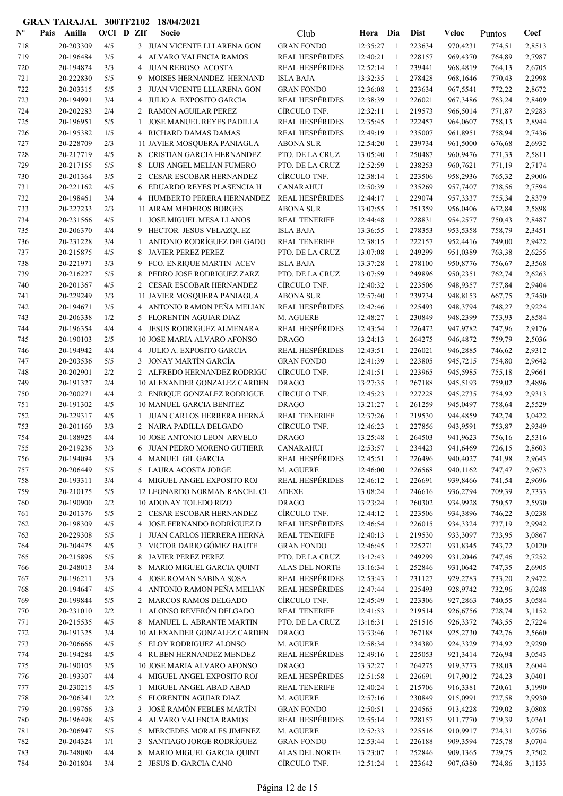| $\mathbf{N}^{\mathbf{o}}$ | Pais | Anilla    | $O/CI$ D ZIf |                | Socio                            | Club                   | Hora     | Dia          | <b>Dist</b> | Veloc    | Puntos | Coef   |
|---------------------------|------|-----------|--------------|----------------|----------------------------------|------------------------|----------|--------------|-------------|----------|--------|--------|
| 718                       |      | 20-203309 | 4/5          |                | 3 JUAN VICENTE LLLARENA GON      | <b>GRAN FONDO</b>      | 12:35:27 | -1           | 223634      | 970,4231 | 774,51 | 2,8513 |
| 719                       |      | 20-196484 | 3/5          | 4              | ALVARO VALENCIA RAMOS            | <b>REAL HESPÉRIDES</b> | 12:40:21 | $\mathbf{1}$ | 228157      | 969,4370 | 764,89 | 2,7987 |
| 720                       |      | 20-194874 | 3/3          | 4              | JUAN REBOSO ACOSTA               | <b>REAL HESPÉRIDES</b> | 12:52:14 | $\mathbf{1}$ | 239441      | 968,4819 | 764,13 | 2,6705 |
| 721                       |      | 20-222830 | 5/5          | 9              | MOISES HERNANDEZ HERNAND         | <b>ISLA BAJA</b>       | 13:32:35 | -1           | 278428      | 968,1646 | 770,43 | 2,2998 |
| 722                       |      | 20-203315 | 5/5          | 3              | JUAN VICENTE LLLARENA GON        | <b>GRAN FONDO</b>      | 12:36:08 | $\mathbf{1}$ | 223634      | 967,5541 | 772,22 | 2,8672 |
| 723                       |      | 20-194991 | 3/4          | 4              | JULIO A. EXPOSITO GARCIA         | <b>REAL HESPÉRIDES</b> | 12:38:39 | 1            | 226021      | 967,3486 | 763,24 | 2,8409 |
| 724                       |      | 20-202283 | 2/4          | $\overline{2}$ | <b>RAMON AGUILAR PEREZ</b>       | CÍRCULO TNF.           | 12:32:11 | 1            | 219573      | 966,5014 | 771,87 | 2,9283 |
| 725                       |      | 20-196951 | 5/5          | 1              | <b>JOSE MANUEL REYES PADILLA</b> | <b>REAL HESPÉRIDES</b> | 12:35:45 | $\mathbf{1}$ | 222457      | 964,0607 | 758,13 | 2,8944 |
| 726                       |      | 20-195382 | 1/5          | $\overline{4}$ | RICHARD DAMAS DAMAS              | <b>REAL HESPÉRIDES</b> | 12:49:19 | 1            | 235007      | 961,8951 | 758,94 | 2,7436 |
| 727                       |      | 20-228709 | 2/3          |                | 11 JAVIER MOSQUERA PANIAGUA      | <b>ABONA SUR</b>       | 12:54:20 | 1            | 239734      | 961,5000 | 676,68 | 2,6932 |
| 728                       |      | 20-217719 | 4/5          | 8              | CRISTIAN GARCIA HERNANDEZ        | PTO. DE LA CRUZ        | 13:05:40 | 1            | 250487      | 960,9476 | 771,33 | 2,5811 |
| 729                       |      | 20-217155 | 5/5          | 8              | LUIS ANGEL MELIAN FUMERO         | PTO. DE LA CRUZ        | 12:52:59 | $\mathbf{1}$ | 238253      | 960,7621 | 771,19 | 2,7174 |
| 730                       |      | 20-201364 | 3/5          | 2              | <b>CESAR ESCOBAR HERNANDEZ</b>   | CÍRCULO TNF.           | 12:38:14 | $\mathbf{1}$ | 223506      | 958,2936 | 765,32 | 2,9006 |
| 731                       |      | 20-221162 | 4/5          | 6              | EDUARDO REYES PLASENCIA H        | <b>CANARAHUI</b>       | 12:50:39 | $\mathbf{1}$ | 235269      | 957,7407 | 738,56 | 2,7594 |
| 732                       |      | 20-198461 | 3/4          |                | 4 HUMBERTO PERERA HERNANDEZ      | <b>REAL HESPÉRIDES</b> | 12:44:17 | 1            | 229074      | 957,3337 | 755,34 | 2,8379 |
| 733                       |      | 20-227233 | 2/3          |                | 11 AIRAM MEDEROS BORGES          | <b>ABONA SUR</b>       | 13:07:55 | -1           | 251359      | 956,0406 | 672,84 | 2,5898 |
| 734                       |      | 20-231566 | 4/5          | 1              | JOSE MIGUEL MESA LLANOS          | <b>REAL TENERIFE</b>   | 12:44:48 | $\mathbf{1}$ | 228831      | 954,2577 | 750,43 | 2,8487 |
| 735                       |      | 20-206370 | 4/4          |                | 9 HECTOR JESUS VELAZQUEZ         | <b>ISLA BAJA</b>       | 13:36:55 | $\mathbf{1}$ | 278353      | 953,5358 | 758,79 | 2,3451 |
| 736                       |      | 20-231228 | 3/4          | 1              | ANTONIO RODRÍGUEZ DELGADO        | <b>REAL TENERIFE</b>   | 12:38:15 | 1            | 222157      | 952,4416 | 749,00 | 2,9422 |
| 737                       |      | 20-215875 | 4/5          | 8              | <b>JAVIER PEREZ PEREZ</b>        | PTO. DE LA CRUZ        | 13:07:08 | 1            | 249299      | 951,0389 | 763,38 | 2,6255 |
| 738                       |      | 20-221971 | 3/3          | 9              | FCO. ENRIQUE MARTIN ACEV         | <b>ISLA BAJA</b>       | 13:37:28 | 1            | 278100      | 950,8776 | 756,67 | 2,3568 |
| 739                       |      | 20-216227 | 5/5          | 8              | PEDRO JOSE RODRIGUEZ ZARZ        | PTO. DE LA CRUZ        | 13:07:59 | -1           | 249896      | 950,2351 | 762,74 | 2,6263 |
| 740                       |      | 20-201367 | 4/5          |                | 2 CESAR ESCOBAR HERNANDEZ        | CÍRCULO TNF.           | 12:40:32 | 1            | 223506      | 948,9357 | 757,84 | 2,9404 |
| 741                       |      | 20-229249 | 3/3          |                | 11 JAVIER MOSQUERA PANIAGUA      | <b>ABONA SUR</b>       | 12:57:40 | $\mathbf{1}$ | 239734      | 948,8153 | 667,75 | 2,7450 |
| 742                       |      | 20-194671 | 3/5          |                | 4 ANTONIO RAMON PEÑA MELIAN      | <b>REAL HESPÉRIDES</b> | 12:42:46 | -1           | 225493      | 948,3794 | 748,27 | 2,9224 |
| 743                       |      | 20-206338 | 1/2          |                | 5 FLORENTIN AGUIAR DIAZ          | M. AGUERE              | 12:48:27 | $\mathbf{1}$ | 230849      | 948,2399 | 753,93 | 2,8584 |
| 744                       |      | 20-196354 | 4/4          |                | 4 JESUS RODRIGUEZ ALMENARA       | <b>REAL HESPÉRIDES</b> | 12:43:54 | 1            | 226472      | 947,9782 | 747,96 | 2,9176 |
| 745                       |      | 20-190103 | 2/5          |                | 10 JOSE MARIA ALVARO AFONSO      | <b>DRAGO</b>           | 13:24:13 | -1           | 264275      | 946,4872 | 759,79 | 2,5036 |
| 746                       |      | 20-194942 | 4/4          | 4              | JULIO A. EXPOSITO GARCIA         | REAL HESPÉRIDES        | 12:43:51 | $\mathbf{1}$ | 226021      | 946,2885 | 746,62 | 2,9312 |
| 747                       |      | 20-203536 | 5/5          | 3              | JONAY MARTÍN GARCÍA              | <b>GRAN FONDO</b>      | 12:41:39 | $\mathbf{1}$ | 223805      | 945,7215 | 754,80 | 2,9642 |
| 748                       |      | 20-202901 | 2/2          |                | 2 ALFREDO HERNANDEZ RODRIGU      | CÍRCULO TNF.           | 12:41:51 | $\mathbf{1}$ | 223965      | 945,5985 | 755,18 | 2,9661 |
| 749                       |      | 20-191327 | 2/4          |                | 10 ALEXANDER GONZALEZ CARDEN     | <b>DRAGO</b>           | 13:27:35 | 1            | 267188      | 945,5193 | 759,02 | 2,4896 |
| 750                       |      | 20-200271 | 4/4          |                | 2 ENRIQUE GONZALEZ RODRIGUE      | CÍRCULO TNF.           | 12:45:23 | $\mathbf{1}$ | 227228      | 945,2735 | 754,92 | 2,9313 |
| 751                       |      | 20-191302 | 4/5          |                | <b>10 MANUEL GARCIA BENITEZ</b>  | <b>DRAGO</b>           | 13:21:27 | 1            | 261259      | 945,0497 | 758,64 | 2,5529 |
| 752                       |      | 20-229317 | 4/5          | 1              | JUAN CARLOS HERRERA HERNÁ        | <b>REAL TENERIFE</b>   | 12:37:26 | -1           | 219530      | 944,4859 | 742,74 | 3,0422 |
| 753                       |      | 20-201160 | 3/3          |                | 2 NAIRA PADILLA DELGADO          | CÍRCULO TNF.           | 12:46:23 | $\mathbf{1}$ | 227856      | 943,9591 | 753,87 | 2,9349 |
| 754                       |      | 20-188925 | 4/4          |                | 10 JOSE ANTONIO LEON ARVELO      | <b>DRAGO</b>           | 13:25:48 | $\mathbf{1}$ | 264503      | 941,9623 | 756,16 | 2,5316 |
| 755                       |      | 20-219236 | 3/3          |                | 6 JUAN PEDRO MORENO GUTIERR      | <b>CANARAHUI</b>       | 12:53:57 | -1           | 234423      | 941,6469 | 726,15 | 2,8603 |
| 756                       |      | 20-194094 | 3/3          |                | 4 MANUEL GIL GARCIA              | <b>REAL HESPÉRIDES</b> | 12:45:51 | $\mathbf{1}$ | 226496      | 940,4027 | 741,98 | 2,9643 |
| 757                       |      | 20-206449 | 5/5          |                | 5 LAURA ACOSTA JORGE             | M. AGUERE              | 12:46:00 | 1            | 226568      | 940,1162 | 747,47 | 2,9673 |
| 758                       |      | 20-193311 | 3/4          |                | 4 MIGUEL ANGEL EXPOSITO ROJ      | <b>REAL HESPÉRIDES</b> | 12:46:12 | $\mathbf{1}$ | 226691      | 939,8466 | 741,54 | 2,9696 |
| 759                       |      | 20-210175 | 5/5          |                | 12 LEONARDO NORMAN RANCEL CL     | <b>ADEXE</b>           | 13:08:24 | $\mathbf{1}$ | 246616      | 936,2794 | 709,39 | 2,7333 |
| 760                       |      | 20-190900 | 2/2          |                | <b>10 ADONAY TOLEDO RIZO</b>     | <b>DRAGO</b>           | 13:23:24 | $\mathbf{1}$ | 260302      | 934,9928 | 750,57 | 2,5930 |
| 761                       |      | 20-201376 | 5/5          |                | 2 CESAR ESCOBAR HERNANDEZ        | CÍRCULO TNF.           | 12:44:12 | $\mathbf{1}$ | 223506      | 934,3896 | 746,22 | 3,0238 |
| 762                       |      | 20-198309 | 4/5          |                | 4 JOSE FERNANDO RODRÍGUEZ D      | <b>REAL HESPÉRIDES</b> | 12:46:54 | 1            | 226015      | 934,3324 | 737,19 | 2,9942 |
| 763                       |      | 20-229308 | 5/5          | 1              | JUAN CARLOS HERRERA HERNÁ        | <b>REAL TENERIFE</b>   | 12:40:13 | 1            | 219530      | 933,3097 | 733,95 | 3,0867 |
| 764                       |      | 20-204475 | 4/5          |                | 3 VICTOR DARIO GÓMEZ BAUTE       | <b>GRAN FONDO</b>      | 12:46:45 | $\mathbf{1}$ | 225271      | 931,8345 | 743,72 | 3,0120 |
| 765                       |      | 20-215896 | 5/5          | 8              | JAVIER PEREZ PEREZ               | PTO. DE LA CRUZ        | 13:12:43 | 1            | 249299      | 931,2046 | 747,46 | 2,7252 |
| 766                       |      | 20-248013 | 3/4          | 8              | MARIO MIGUEL GARCIA QUINT        | <b>ALAS DEL NORTE</b>  | 13:16:34 | 1            | 252846      | 931,0642 | 747,35 | 2,6905 |
| 767                       |      | 20-196211 | 3/3          | 4              | JOSE ROMAN SABINA SOSA           | <b>REAL HESPÉRIDES</b> | 12:53:43 | $\mathbf{1}$ | 231127      | 929,2783 | 733,20 | 2,9472 |
| 768                       |      | 20-194647 | 4/5          |                | 4 ANTONIO RAMON PEÑA MELIAN      | <b>REAL HESPÉRIDES</b> | 12:47:44 | $\mathbf{1}$ | 225493      | 928,9742 | 732,96 | 3,0248 |
| 769                       |      | 20-199844 | 5/5          |                | 2 MARCOS RAMOS DELGADO           | CÍRCULO TNF.           | 12:45:49 | 1            | 223306      | 927,2863 | 740,55 | 3,0584 |
| 770                       |      | 20-231010 | 2/2          | 1              | ALONSO REVERÓN DELGADO           | <b>REAL TENERIFE</b>   | 12:41:53 | $\mathbf{1}$ | 219514      | 926,6756 | 728,74 | 3,1152 |
| 771                       |      | 20-215535 | 4/5          |                | 8 MANUEL L. ABRANTE MARTIN       | PTO. DE LA CRUZ        | 13:16:31 | $\mathbf{1}$ | 251516      | 926,3372 | 743,55 | 2,7224 |
| 772                       |      | 20-191325 | 3/4          |                | 10 ALEXANDER GONZALEZ CARDEN     | <b>DRAGO</b>           | 13:33:46 | $\mathbf{1}$ | 267188      | 925,2730 | 742,76 | 2,5660 |
| 773                       |      | 20-206666 | 4/5          |                | 5 ELOY RODRIGUEZ ALONSO          | M. AGUERE              | 12:58:34 | 1            | 234380      | 924,3329 | 734,92 | 2,9290 |
| 774                       |      | 20-194284 | 4/5          |                | 4 RUBEN HERNANDEZ MENDEZ         | <b>REAL HESPÉRIDES</b> | 12:49:16 | 1            | 225053      | 921,3414 | 726,94 | 3,0543 |
| 775                       |      | 20-190105 | 3/5          |                | 10 JOSE MARIA ALVARO AFONSO      | <b>DRAGO</b>           | 13:32:27 | 1            | 264275      | 919,3773 | 738,03 | 2,6044 |
| 776                       |      | 20-193307 | 4/4          |                | 4 MIGUEL ANGEL EXPOSITO ROJ      | <b>REAL HESPÉRIDES</b> | 12:51:58 | $\mathbf{1}$ | 226691      | 917,9012 | 724,23 | 3,0401 |
| 777                       |      | 20-230215 | 4/5          | 1              | MIGUEL ANGEL ABAD ABAD           | <b>REAL TENERIFE</b>   | 12:40:24 | 1            | 215706      | 916,3381 | 720,61 | 3,1990 |
| 778                       |      | 20-206341 | 2/2          |                | 5 FLORENTIN AGUIAR DIAZ          | M. AGUERE              | 12:57:16 | -1           | 230849      | 915,0991 | 727,58 | 2,9930 |
| 779                       |      | 20-199766 | 3/3          |                | 3 JOSÉ RAMÓN FEBLES MARTÍN       | <b>GRAN FONDO</b>      | 12:50:51 | 1            | 224565      | 913,4228 | 729,02 | 3,0808 |
| 780                       |      | 20-196498 | 4/5          |                | 4 ALVARO VALENCIA RAMOS          | <b>REAL HESPÉRIDES</b> | 12:55:14 | $\mathbf{1}$ | 228157      | 911,7770 | 719,39 | 3,0361 |
| 781                       |      | 20-206947 | 5/5          |                | 5 MERCEDES MORALES JIMENEZ       | M. AGUERE              | 12:52:33 | 1            | 225516      | 910,9917 | 724,31 | 3,0756 |
| 782                       |      | 20-204324 | 1/1          | 3              | SANTIAGO JORGE RODRÍGUEZ         | <b>GRAN FONDO</b>      | 12:53:44 | $\mathbf{1}$ | 226188      | 909,3594 | 725,78 | 3,0704 |
| 783                       |      | 20-248080 | 4/4          | 8              | MARIO MIGUEL GARCIA QUINT        | ALAS DEL NORTE         | 13:23:07 | $\mathbf{1}$ | 252846      | 909,1365 | 729,75 | 2,7502 |
| 784                       |      | 20-201804 | 3/4          |                | 2 JESUS D. GARCIA CANO           | CÍRCULO TNF.           | 12:51:24 | 1            | 223642      | 907,6380 | 724,86 | 3,1133 |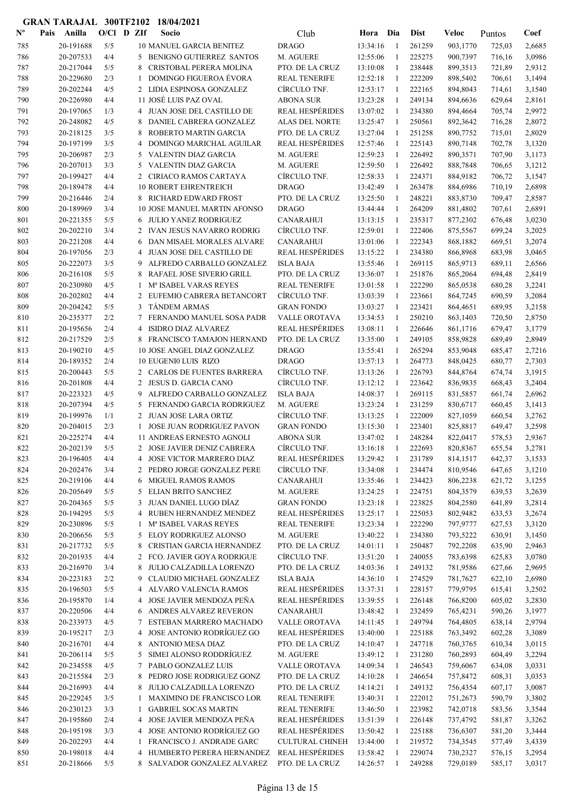| $N^{\text{o}}$ | Pais | Anilla                 | $O/CI$ D ZIf |        | Socio                                                  | Club                                      | Hora                 | Dia               | <b>Dist</b>      | Veloc                | Puntos           | Coef             |
|----------------|------|------------------------|--------------|--------|--------------------------------------------------------|-------------------------------------------|----------------------|-------------------|------------------|----------------------|------------------|------------------|
| 785            |      | 20-191688              | 5/5          |        | <b>10 MANUEL GARCIA BENITEZ</b>                        | <b>DRAGO</b>                              | 13:34:16             | -1                | 261259           | 903,1770             | 725,03           | 2,6685           |
| 786            |      | 20-207533              | 4/4          |        | 5 BENIGNO GUTIERREZ SANTOS                             | M. AGUERE                                 | 12:55:06             | $\mathbf{1}$      | 225275           | 900,7397             | 716,16           | 3,0986           |
| 787            |      | 20-217044              | 5/5          | 8      | CRISTOBAL PERERA MOLINA                                | PTO. DE LA CRUZ                           | 13:10:08             | -1                | 238448           | 899,3513             | 721,89           | 2,9312           |
| 788            |      | 20-229680              | 2/3          | 1      | <b>DOMINGO FIGUEROA ÉVORA</b>                          | <b>REAL TENERIFE</b>                      | 12:52:18             | -1                | 222209           | 898,5402             | 706,61           | 3,1494           |
| 789            |      | 20-202244              | 4/5          |        | 2 LIDIA ESPINOSA GONZALEZ                              | CÍRCULO TNF.                              | 12:53:17             | $\mathbf{1}$      | 222165           | 894,8043             | 714,61           | 3,1540           |
| 790            |      | 20-226980              | 4/4          |        | 11 JOSÉ LUIS PAZ OVAL                                  | <b>ABONA SUR</b>                          | 13:23:28             | $\mathbf{1}$      | 249134           | 894,6636             | 629,64           | 2,8161           |
| 791            |      | 20-197065              | 1/3          |        | 4 JUAN JOSE DEL CASTILLO DE                            | <b>REAL HESPÉRIDES</b>                    | 13:07:02             | -1                | 234380           | 894,4664             | 705,74           | 2,9972           |
| 792            |      | 20-248082              | 4/5          | 8      | DANIEL CABRERA GONZALEZ                                | <b>ALAS DEL NORTE</b>                     | 13:25:47             | 1                 | 250561           | 892,3642             | 716,28           | 2,8072           |
| 793            |      | 20-218125              | 3/5          | 8      | ROBERTO MARTIN GARCIA                                  | PTO. DE LA CRUZ                           | 13:27:04             | 1                 | 251258           | 890,7752             | 715,01           | 2,8029           |
| 794            |      | 20-197199              | 3/5          | 4      | DOMINGO MARICHAL AGUILAR                               | <b>REAL HESPÉRIDES</b>                    | 12:57:46             | 1                 | 225143           | 890,7148             | 702,78           | 3,1320           |
| 795            |      | 20-206987              | 2/3          | 5      | VALENTIN DIAZ GARCIA                                   | M. AGUERE                                 | 12:59:23             | 1                 | 226492           | 890,3571             | 707,90           | 3,1173           |
| 796            |      | 20-207013              | 3/3          | 5      | <b>VALENTIN DIAZ GARCIA</b>                            | M. AGUERE                                 | 12:59:50             | 1                 | 226492           | 888,7848             | 706,65           | 3,1212           |
| 797            |      | 20-199427              | 4/4          | 2      | CIRIACO RAMOS CARTAYA                                  | CÍRCULO TNF.                              | 12:58:33             | $\mathbf{1}$      | 224371           | 884,9182             | 706,72           | 3,1547           |
| 798            |      | 20-189478              | 4/4          |        | <b>10 ROBERT EHRENTREICH</b>                           | <b>DRAGO</b>                              | 13:42:49             | $\mathbf{1}$      | 263478           | 884,6986             | 710,19           | 2,6898           |
| 799            |      | 20-216446              | 2/4          | 8      | <b>RICHARD EDWARD FROST</b>                            | PTO. DE LA CRUZ                           | 13:25:50             | 1                 | 248221           | 883,8730             | 709,47           | 2,8587           |
| 800            |      | 20-189969              | 3/4          |        | 10 JOSE MANUEL MARTIN AFONSO                           | <b>DRAGO</b>                              | 13:44:44             | -1                | 264209           | 881,4802             | 707,61           | 2,6891           |
| 801            |      | 20-221355              | 5/5          | 6      | <b>JULIO YANEZ RODRIGUEZ</b>                           | <b>CANARAHUI</b>                          | 13:13:15             | -1                | 235317           | 877,2302             | 676,48           | 3,0230           |
| 802            |      | 20-202210              | 3/4          |        | 2 IVAN JESUS NAVARRO RODRIG                            | CÍRCULO TNF.                              | 12:59:01             | $\mathbf{1}$      | 222406           | 875,5567             | 699,24           | 3,2025           |
| 803            |      | 20-221208              | 4/4          | 6      | DAN MISAEL MORALES ALVARE                              | <b>CANARAHUI</b>                          | 13:01:06             | -1                | 222343           | 868,1882             | 669,51           | 3,2074           |
| 804            |      | 20-197056              | 2/3          | 4      | JUAN JOSE DEL CASTILLO DE<br>ALFREDO CARBALLO GONZALEZ | <b>REAL HESPÉRIDES</b>                    | 13:15:22             | -1                | 234380<br>269115 | 866,8968             | 683,98           | 3,0465           |
| 805            |      | 20-222073              | 3/5          | 9      |                                                        | <b>ISLA BAJA</b><br>PTO. DE LA CRUZ       | 13:55:46             | -1                |                  | 865,9713             | 689,11           | 2,6566           |
| 806            |      | 20-216108<br>20-230980 | 5/5<br>4/5   | 8      | RAFAEL JOSE SIVERIO GRILL<br>Mª ISABEL VARAS REYES     | <b>REAL TENERIFE</b>                      | 13:36:07<br>13:01:58 | 1<br>1            | 251876<br>222290 | 865,2064             | 694,48           | 2,8419<br>3,2241 |
| 807<br>808     |      | 20-202802              | 4/4          | 1      | 2 EUFEMIO CABRERA BETANCORT                            | CÍRCULO TNF.                              | 13:03:39             | 1                 | 223661           | 865,0538<br>864,7245 | 680,28<br>690,59 | 3,2084           |
| 809            |      | 20-204242              | 5/5          | 3      | <b>TANDEM ARMAS</b>                                    | <b>GRAN FONDO</b>                         | 13:03:27             | -1                | 223421           | 864,4651             | 689,95           | 3,2158           |
| 810            |      | 20-235377              | 2/2          | 7      | FERNANDO MANUEL SOSA PADR                              | VALLE OROTAVA                             | 13:34:53             | $\mathbf{1}$      | 250210           | 863,1403             | 720,50           | 2,8750           |
| 811            |      | 20-195656              | 2/4          | 4      | <b>ISIDRO DIAZ ALVAREZ</b>                             | <b>REAL HESPÉRIDES</b>                    | 13:08:11             | -1                | 226646           | 861,1716             | 679,47           | 3,1779           |
| 812            |      | 20-217529              | 2/5          | 8      | FRANCISCO TAMAJON HERNAND                              | PTO. DE LA CRUZ                           | 13:35:00             | -1                | 249105           | 858,9828             | 689,49           | 2,8949           |
| 813            |      | 20-190210              | 4/5          |        | 10 JOSE ANGEL DIAZ GONZALEZ                            | <b>DRAGO</b>                              | 13:55:41             | -1                | 265294           | 853,9048             | 685,47           | 2,7216           |
| 814            |      | 20-189352              | 2/4          |        | <b>10 EUGENI0 LUIS RIZO</b>                            | <b>DRAGO</b>                              | 13:57:13             | 1                 | 264773           | 848,0425             | 680,77           | 2,7303           |
| 815            |      | 20-200443              | 5/5          |        | 2 CARLOS DE FUENTES BARRERA                            | CÍRCULO TNF.                              | 13:13:26             | -1                | 226793           | 844,8764             | 674,74           | 3,1915           |
| 816            |      | 20-201808              | 4/4          |        | 2 JESUS D. GARCIA CANO                                 | CÍRCULO TNF.                              | 13:12:12             | -1                | 223642           | 836,9835             | 668,43           | 3,2404           |
| 817            |      | 20-223323              | 4/5          | 9      | ALFREDO CARBALLO GONZALEZ                              | <b>ISLA BAJA</b>                          | 14:08:37             | 1                 | 269115           | 831,5857             | 661,74           | 2,6962           |
| 818            |      | 20-207394              | 4/5          | 5      | FERNANDO GARCIA RODRIGUEZ                              | M. AGUERE                                 | 13:23:24             | 1                 | 231259           | 830,6717             | 660,45           | 3,1413           |
| 819            |      | 20-199976              | 1/1          |        | 2 JUAN JOSE LARA ORTIZ                                 | CÍRCULO TNF.                              | 13:13:25             | -1                | 222009           | 827,1059             | 660,54           | 3,2762           |
| 820            |      | 20-204015              | 2/3          |        | <b>JOSE JUAN RODRIGUEZ PAVON</b>                       | <b>GRAN FONDO</b>                         | 13:15:30             | 1                 | 223401           | 825,8817             | 649,47           | 3,2598           |
| 821            |      | 20-225274              | 4/4          |        | 11 ANDREAS ERNESTO AGNOLI                              | <b>ABONA SUR</b>                          | 13:47:02             | $\mathbf{1}$      | 248284           | 822,0417             | 578,53           | 2,9367           |
| 822            |      | 20-202139              | 5/5          | 2      | <b>JOSE JAVIER DENIZ CABRERA</b>                       | CÍRCULO TNF.                              | 13:16:18             | -1                | 222693           | 820,8367             | 655,54           | 3,2781           |
| 823            |      | 20-196405              | 4/4          |        | 4 JOSE VICTOR MARRERO DIAZ                             | <b>REAL HESPÉRIDES</b>                    | 13:29:42             | 1                 | 231789           | 814,1517             | 642,37           | 3,1533           |
| 824            |      | 20-202476              | 3/4          |        | 2 PEDRO JORGE GONZALEZ PERE                            | CÍRCULO TNF.                              | 13:34:08             | $\mathbf{1}$      | 234474           | 810,9546             | 647,65           | 3,1210           |
| 825            |      | 20-219106              | 4/4          | 6      | MIGUEL RAMOS RAMOS                                     | <b>CANARAHUI</b>                          | 13:35:46             | -1                | 234423           | 806,2238             | 621,72           | 3,1255           |
| 826            |      | 20-205649              | 5/5          | 5      | ELIAN BRITO SANCHEZ                                    | M. AGUERE                                 | 13:24:25             | $\mathbf{1}$      | 224751           | 804,3579             | 639,53           | 3,2639           |
| 827            |      | 20-204365              | 5/5          | 3      | JUAN DANIEL LUGO DÍAZ                                  | <b>GRAN FONDO</b>                         | 13:23:18             | $\mathbf{1}$      | 223825           | 804,2580             | 641,89           | 3,2814           |
| 828            |      | 20-194295              | 5/5          |        | 4 RUBEN HERNANDEZ MENDEZ                               | <b>REAL HESPÉRIDES</b>                    | 13:25:17             | 1                 | 225053           | 802,9482             | 633,53           | 3,2674           |
| 829            |      | 20-230896              | 5/5          | 1      | Mª ISABEL VARAS REYES                                  | <b>REAL TENERIFE</b>                      | 13:23:34             | 1                 | 222290           | 797,9777             | 627,53           | 3,3120           |
| 830            |      | 20-206656              | 5/5          |        | 5 ELOY RODRIGUEZ ALONSO                                | M. AGUERE                                 | 13:40:22             | 1                 | 234380           | 793,5222             | 630,91           | 3,1450           |
| 831            |      | 20-217732              | 5/5          | 8      | CRISTIAN GARCIA HERNANDEZ                              | PTO. DE LA CRUZ                           | 14:01:11             | 1                 | 250487           | 792,2208             | 635,90           | 2,9463           |
| 832            |      | 20-201935              | 4/4          |        | 2 FCO. JAVIER GOYA RODRIGUE                            | CÍRCULO TNF.                              | 13:51:20             | 1                 | 240055           | 783,6398             | 625,83           | 3,0780           |
| 833            |      | 20-216970              | 3/4          | 8      | JULIO CALZADILLA LORENZO                               | PTO. DE LA CRUZ                           | 14:03:36             | 1                 | 249132           | 781,9586             | 627,66           | 2,9695           |
| 834            |      | 20-223183              | 2/2          | 9      | CLAUDIO MICHAEL GONZALEZ                               | <b>ISLA BAJA</b>                          | 14:36:10             | $\mathbf{1}$      | 274529           | 781,7627             | 622,10           | 2,6980           |
| 835            |      | 20-196503              | 5/5          |        | 4 ALVARO VALENCIA RAMOS                                | <b>REAL HESPÉRIDES</b>                    | 13:37:31             | 1                 | 228157           | 779,9795             | 615,41           | 3,2502           |
| 836            |      | 20-195870              | 1/4          |        | 4 JOSE JAVIER MENDOZA PEÑA                             | <b>REAL HESPÉRIDES</b>                    | 13:39:55             | $\mathbf{1}$      | 226148           | 766,8200             | 605,02           | 3,2830           |
| 837            |      | 20-220506              | 4/4          |        | 6 ANDRES ALVAREZ REVERON                               | <b>CANARAHUI</b>                          | 13:48:42             | 1                 | 232459           | 765,4231             | 590,26           | 3,1977           |
| 838            |      | 20-233973              | 4/5          | 7      | ESTEBAN MARRERO MACHADO<br>JOSE ANTONIO RODRÍGUEZ GO   | VALLE OROTAVA                             | 14:11:45             | $\mathbf{1}$      | 249794           | 764,4805             | 638,14           | 2,9794           |
| 839<br>840     |      | 20-195217<br>20-216701 | 2/3<br>4/4   | 4<br>8 | ANTONIO MESA DIAZ                                      | <b>REAL HESPÉRIDES</b><br>PTO. DE LA CRUZ | 13:40:00<br>14:10:47 | $\mathbf{1}$<br>1 | 225188<br>247718 | 763,3492<br>760,3765 | 602,28<br>610,34 | 3,3089<br>3,0115 |
| 841            |      | 20-206114              | 5/5          | 5      | SIMEI ALONSO RODDRÍGUEZ                                | M. AGUERE                                 | 13:49:12             | 1                 | 231280           | 760,2893             | 604,49           | 3,2294           |
| 842            |      | 20-234558              | 4/5          | 7      | PABLO GONZALEZ LUIS                                    | VALLE OROTAVA                             | 14:09:34             | 1                 | 246543           | 759,6067             | 634,08           | 3,0331           |
| 843            |      | 20-215584              | 2/3          |        | 8 PEDRO JOSE RODRIGUEZ GONZ                            | PTO. DE LA CRUZ                           | 14:10:28             | 1                 | 246654           | 757,8472             | 608,31           | 3,0353           |
| 844            |      | 20-216993              | 4/4          |        | 8 JULIO CALZADILLA LORENZO                             | PTO. DE LA CRUZ                           | 14:14:21             | 1                 | 249132           | 756,4354             | 607,17           | 3,0087           |
| 845            |      | 20-229245              | 3/5          | 1      | <b>MAXIMINO DE FRANCISCO LOR</b>                       | <b>REAL TENERIFE</b>                      | 13:40:31             | 1                 | 222012           | 751,2673             | 590,79           | 3,3802           |
| 846            |      | 20-230123              | 3/3          | 1      | <b>GABRIEL SOCAS MARTIN</b>                            | <b>REAL TENERIFE</b>                      | 13:46:50             | $\mathbf{1}$      | 223982           | 742,0718             | 583,56           | 3,3544           |
| 847            |      | 20-195860              | 2/4          |        | 4 JOSE JAVIER MENDOZA PEÑA                             | <b>REAL HESPÉRIDES</b>                    | 13:51:39             | 1                 | 226148           | 737,4792             | 581,87           | 3,3262           |
| 848            |      | 20-195198              | 3/3          |        | 4 JOSE ANTONIO RODRÍGUEZ GO                            | <b>REAL HESPÉRIDES</b>                    | 13:50:42             | 1                 | 225188           | 736,6307             | 581,20           | 3,3444           |
| 849            |      | 20-202293              | 4/4          | 1      | FRANCISCO J. ANDRADE GARC                              | <b>CULTURAL CHINEH</b>                    | 13:44:00             | $\mathbf{1}$      | 219572           | 734,3545             | 577,49           | 3,4339           |
| 850            |      | 20-198018              | 4/4          | 4      | HUMBERTO PERERA HERNANDEZ                              | <b>REAL HESPÉRIDES</b>                    | 13:58:42             | $\mathbf{1}$      | 229074           | 730,2327             | 576,15           | 3,2954           |
| 851            |      | 20-218666              | 5/5          |        | 8 SALVADOR GONZALEZ ALVAREZ                            | PTO. DE LA CRUZ                           | 14:26:57             | 1                 | 249288           | 729,0189             | 585,17           | 3,0317           |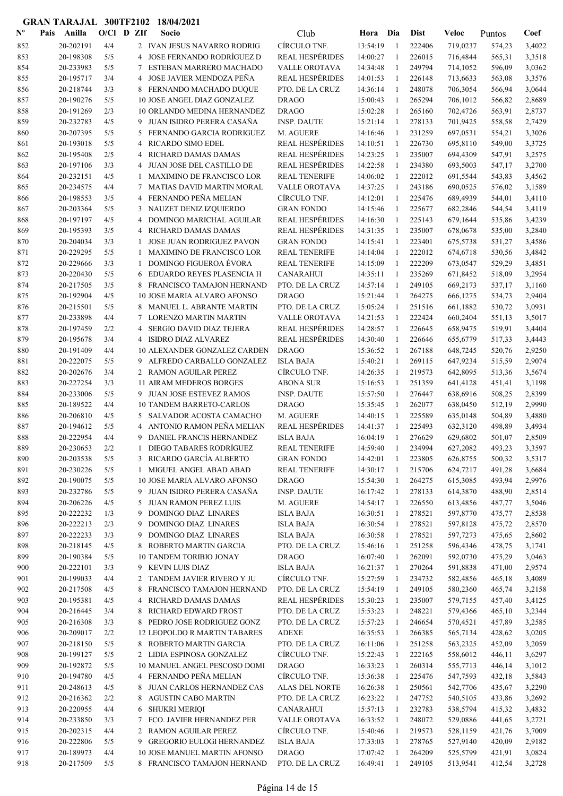| $N^{\text{o}}$ | Pais | Anilla                 | $O/Cl$ D ZIf |                | Socio                                                    | Club                                        | Hora Dia             |                   | <b>Dist</b>      | Veloc                | Puntos           | Coef             |
|----------------|------|------------------------|--------------|----------------|----------------------------------------------------------|---------------------------------------------|----------------------|-------------------|------------------|----------------------|------------------|------------------|
| 852            |      | 20-202191              | 4/4          |                | 2 IVAN JESUS NAVARRO RODRIG                              | CÍRCULO TNF.                                | 13:54:19             | -1                | 222406           | 719,0237             | 574,23           | 3,4022           |
| 853            |      | 20-198308              | 5/5          | 4              | JOSE FERNANDO RODRÍGUEZ D                                | <b>REAL HESPÉRIDES</b>                      | 14:00:27             | $\mathbf{1}$      | 226015           | 716,4844             | 565,31           | 3,3518           |
| 854            |      | 20-233983              | 5/5          | 7              | ESTEBAN MARRERO MACHADO                                  | VALLE OROTAVA                               | 14:34:48             | 1                 | 249794           | 714,1052             | 596,09           | 3,0362           |
| 855            |      | 20-195717              | 3/4          | 4              | JOSE JAVIER MENDOZA PEÑA                                 | <b>REAL HESPÉRIDES</b>                      | 14:01:53             | 1                 | 226148           | 713,6633             | 563,08           | 3,3576           |
| 856            |      | 20-218744              | 3/3          |                | 8 FERNANDO MACHADO DUQUE                                 | PTO. DE LA CRUZ                             | 14:36:14             | $\mathbf{1}$      | 248078           | 706,3054             | 566,94           | 3,0644           |
| 857            |      | 20-190276              | 5/5          |                | 10 JOSE ANGEL DIAZ GONZALEZ                              | <b>DRAGO</b>                                | 15:00:43             | -1                | 265294           | 706,1012             | 566,82           | 2,8689           |
| 858            |      | 20-191269              | 2/3          |                | 10 ORLANDO MEDINA HERNANDEZ                              | <b>DRAGO</b>                                | 15:02:28             | -1                | 265160           | 702,4726             | 563,91           | 2,8737           |
| 859            |      | 20-232783              | 4/5          | 9              | JUAN ISIDRO PERERA CASAÑA                                | <b>INSP. DAUTE</b>                          | 15:21:14             | $\mathbf{1}$      | 278133           | 701,9425             | 558,58           | 2,7429           |
| 860            |      | 20-207395              | 5/5          | 5              | FERNANDO GARCIA RODRIGUEZ                                | M. AGUERE                                   | 14:16:46             | $\mathbf{1}$      | 231259           | 697,0531             | 554,21           | 3,3026           |
| 861            |      | 20-193018              | 5/5          | 4              | <b>RICARDO SIMO EDEL</b>                                 | <b>REAL HESPÉRIDES</b>                      | 14:10:51             | -1                | 226730           | 695,8110             | 549,00           | 3,3725           |
| 862            |      | 20-195408              | 2/5          | 4              | RICHARD DAMAS DAMAS                                      | <b>REAL HESPÉRIDES</b>                      | 14:23:25             | -1                | 235007           | 694,4309             | 547,91           | 3,2575           |
| 863            |      | 20-197106              | 3/3          | 4              | JUAN JOSE DEL CASTILLO DE                                | <b>REAL HESPÉRIDES</b>                      | 14:22:58             | 1                 | 234380           | 693,5003             | 547,17           | 3,2700           |
| 864            |      | 20-232151              | 4/5          | 1              | <b>MAXIMINO DE FRANCISCO LOR</b>                         | REAL TENERIFE                               | 14:06:02             | 1                 | 222012           | 691,5544             | 543,83           | 3,4562           |
| 865            |      | 20-234575              | 4/4          | 7              | <b>MATIAS DAVID MARTIN MORAL</b>                         | <b>VALLE OROTAVA</b>                        | 14:37:25             | -1                | 243186           | 690,0525             | 576,02           | 3,1589           |
| 866            |      | 20-198553              | 3/5          | 4              | FERNANDO PEÑA MELIAN                                     | CÍRCULO TNF.                                | 14:12:01             | 1                 | 225476           | 689,4939             | 544,01           | 3,4110           |
| 867            |      | 20-203364              | 5/5          | 3              | NAUZET DENIZ IZQUIERDO<br>DOMINGO MARICHAL AGUILAR       | <b>GRAN FONDO</b><br><b>REAL HESPÉRIDES</b> | 14:15:46             | $\mathbf{1}$      | 225677           | 682,2846             | 544,54           | 3,4119           |
| 868<br>869     |      | 20-197197<br>20-195393 | 4/5<br>3/5   | 4<br>4         | RICHARD DAMAS DAMAS                                      | <b>REAL HESPÉRIDES</b>                      | 14:16:30<br>14:31:35 | $\mathbf{1}$<br>1 | 225143<br>235007 | 679,1644             | 535,86           | 3,4239<br>3,2840 |
| 870            |      | 20-204034              | 3/3          | 1              | JOSE JUAN RODRIGUEZ PAVON                                | <b>GRAN FONDO</b>                           | 14:15:41             | -1                | 223401           | 678,0678<br>675,5738 | 535,00<br>531,27 | 3,4586           |
| 871            |      | 20-229295              | 5/5          | 1              | <b>MAXIMINO DE FRANCISCO LOR</b>                         | <b>REAL TENERIFE</b>                        | 14:14:04             | $\mathbf{1}$      | 222012           | 674,6718             | 530,56           | 3,4842           |
| 872            |      | 20-229666              | 3/3          | 1              | <b>DOMINGO FIGUEROA ÉVORA</b>                            | <b>REAL TENERIFE</b>                        | 14:15:09             | 1                 | 222209           | 673,0547             | 529,29           | 3,4851           |
| 873            |      | 20-220430              | 5/5          | 6              | EDUARDO REYES PLASENCIA H                                | <b>CANARAHUI</b>                            | 14:35:11             | -1                | 235269           | 671,8452             | 518,09           | 3,2954           |
| 874            |      | 20-217505              | 3/5          | 8              | FRANCISCO TAMAJON HERNAND                                | PTO. DE LA CRUZ                             | 14:57:14             | 1                 | 249105           | 669,2173             | 537,17           | 3,1160           |
| 875            |      | 20-192904              | 4/5          |                | 10 JOSE MARIA ALVARO AFONSO                              | <b>DRAGO</b>                                | 15:21:44             | $\mathbf{1}$      | 264275           | 666,1275             | 534,73           | 2,9404           |
| 876            |      | 20-215501              | 5/5          |                | 8 MANUEL L. ABRANTE MARTIN                               | PTO. DE LA CRUZ                             | 15:05:24             | -1                | 251516           | 661,1882             | 530,72           | 3,0931           |
| 877            |      | 20-233898              | 4/4          |                | <b>LORENZO MARTIN MARTIN</b>                             | VALLE OROTAVA                               | 14:21:53             | -1                | 222424           | 660,2404             | 551,13           | 3,5017           |
| 878            |      | 20-197459              | 2/2          | 4              | <b>SERGIO DAVID DIAZ TEJERA</b>                          | <b>REAL HESPÉRIDES</b>                      | 14:28:57             | 1                 | 226645           | 658,9475             | 519,91           | 3,4404           |
| 879            |      | 20-195678              | 3/4          |                | 4 ISIDRO DIAZ ALVAREZ                                    | <b>REAL HESPÉRIDES</b>                      | 14:30:40             | $\mathbf{1}$      | 226646           | 655,6779             | 517,33           | 3,4443           |
| 880            |      | 20-191409              | 4/4          |                | 10 ALEXANDER GONZALEZ CARDEN                             | <b>DRAGO</b>                                | 15:36:52             | $\mathbf{1}$      | 267188           | 648,7245             | 520,76           | 2,9250           |
| 881            |      | 20-222075              | 5/5          |                | 9 ALFREDO CARBALLO GONZALEZ                              | <b>ISLA BAJA</b>                            | 15:40:21             | -1                | 269115           | 647,9234             | 515,59           | 2,9074           |
| 882            |      | 20-202676              | 3/4          |                | 2 RAMON AGUILAR PEREZ                                    | CÍRCULO TNF.                                | 14:26:35             | -1                | 219573           | 642,8095             | 513,36           | 3,5674           |
| 883            |      | 20-227254              | 3/3          |                | <b>11 AIRAM MEDEROS BORGES</b>                           | <b>ABONA SUR</b>                            | 15:16:53             | $\mathbf{1}$      | 251359           | 641,4128             | 451,41           | 3,1198           |
| 884            |      | 20-233006              | 5/5          |                | 9 JUAN JOSE ESTEVEZ RAMOS                                | <b>INSP. DAUTE</b>                          | 15:57:50             | 1                 | 276447           | 638,6916             | 508,25           | 2,8399           |
| 885            |      | 20-189522              | 4/4          |                | <b>10 TANDEM BARRETO-CARLOS</b>                          | <b>DRAGO</b>                                | 15:35:45             | -1                | 262077           | 638,0450             | 512,19           | 2,9990           |
| 886            |      | 20-206810              | 4/5          |                | 5 SALVADOR ACOSTA CAMACHO                                | M. AGUERE                                   | 14:40:15             | -1                | 225589           | 635,0148             | 504,89           | 3,4880           |
| 887            |      | 20-194612              | 5/5          | $\overline{4}$ | ANTONIO RAMON PEÑA MELIAN                                | <b>REAL HESPÉRIDES</b>                      | 14:41:37             | 1                 | 225493           | 632,3120             | 498,89           | 3,4934           |
| 888            |      | 20-222954              | 4/4          | 9              | DANIEL FRANCIS HERNANDEZ                                 | <b>ISLA BAJA</b>                            | 16:04:19             | 1                 | 276629           | 629,6802             | 501,07           | 2,8509           |
| 889            |      | 20-230653              | 2/2          |                | DIEGO TABARES RODRÍGUEZ                                  | <b>REAL TENERIFE</b>                        | 14:59:40             |                   | 234994           | 627,2082             | 493,23           | 3,3597           |
| 890            |      | 20-203538              | 5/5          |                | 3 RICARDO GARCÍA ALBERTO                                 | <b>GRAN FONDO</b>                           | 14:42:01             | -1                | 223805           | 626,8755             | 500,32           | 3,5317           |
| 891            |      | 20-230226              | 5/5          | $\mathbf{1}$   | MIGUEL ANGEL ABAD ABAD                                   | <b>REAL TENERIFE</b>                        | 14:30:17             | 1                 | 215706           | 624,7217             | 491,28           | 3,6684           |
| 892            |      | 20-190075              | 5/5          |                | 10 JOSE MARIA ALVARO AFONSO                              | <b>DRAGO</b>                                | 15:54:30             | 1                 | 264275           | 615,3085             | 493,94           | 2,9976           |
| 893            |      | 20-232786              | 5/5          |                | 9 JUAN ISIDRO PERERA CASAÑA                              | <b>INSP. DAUTE</b>                          | 16:17:42             | -1                | 278133           | 614,3870             | 488,90           | 2,8514           |
| 894            |      | 20-206226              | 4/5          |                | 5 JUAN RAMON PEREZ LUIS                                  | M. AGUERE                                   | 14:54:17             | 1                 | 226550           | 613,4856             | 487,77           | 3,5046           |
| 895            |      | 20-222232              | 1/3          | 9              | <b>DOMINGO DIAZ LINARES</b>                              | <b>ISLA BAJA</b>                            | 16:30:51             | 1                 | 278521           | 597,8770             | 475,77           | 2,8538           |
| 896            |      | 20-222213              | 2/3          | 9              | DOMINGO DIAZ LINARES                                     | <b>ISLA BAJA</b>                            | 16:30:54             | -1                | 278521           | 597,8128             | 475,72           | 2,8570           |
| 897            |      | 20-222233              | 3/3          | 9              | DOMINGO DIAZ LINARES                                     | ISLA BAJA                                   | 16:30:58             | $\mathbf{1}$      | 278521           | 597,7273             | 475,65           | 2,8602           |
| 898            |      | 20-218145              | 4/5          | 8              | ROBERTO MARTIN GARCIA                                    | PTO. DE LA CRUZ                             | 15:46:16             | -1                | 251258           | 596,4346             | 478,75           | 3,1741           |
| 899            |      | 20-190384              | 5/5          |                | 10 TANDEM TORIBIO JONAY                                  | <b>DRAGO</b>                                | 16:07:40             | 1                 | 262091           | 592,0730             | 475,29           | 3,0463           |
| 900            |      | 20-222101              | 3/3          |                | 9 KEVIN LUIS DIAZ                                        | <b>ISLA BAJA</b>                            | 16:21:37             | 1                 | 270264           | 591,8838             | 471,00           | 2,9574           |
| 901<br>902     |      | 20-199033<br>20-217508 | 4/4<br>4/5   |                | 2 TANDEM JAVIER RIVERO Y JU<br>FRANCISCO TAMAJON HERNAND | CÍRCULO TNF.<br>PTO. DE LA CRUZ             | 15:27:59             | -1                | 234732<br>249105 | 582,4856             | 465,18           | 3,4089           |
| 903            |      | 20-195381              | 4/5          | 8<br>4         | RICHARD DAMAS DAMAS                                      | <b>REAL HESPÉRIDES</b>                      | 15:54:19<br>15:30:23 | 1<br>1            | 235007           | 580,2360<br>579,7155 | 465,74<br>457,40 | 3,2158<br>3,4125 |
| 904            |      | 20-216445              | 3/4          | 8              | RICHARD EDWARD FROST                                     | PTO. DE LA CRUZ                             | 15:53:23             | 1                 | 248221           | 579,4366             | 465,10           | 3,2344           |
| 905            |      | 20-216308              | 3/3          |                | 8 PEDRO JOSE RODRIGUEZ GONZ                              | PTO. DE LA CRUZ                             | 15:57:23             | 1                 | 246654           | 570,4521             | 457,89           | 3,2585           |
| 906            |      | 20-209017              | 2/2          |                | 12 LEOPOLDO R MARTIN TABARES                             | <b>ADEXE</b>                                | 16:35:53             | -1                | 266385           | 565,7134             | 428,62           | 3,0205           |
| 907            |      | 20-218150              | 5/5          |                | 8 ROBERTO MARTIN GARCIA                                  | PTO. DE LA CRUZ                             | 16:11:06             | -1                | 251258           | 563,2325             | 452,09           | 3,2059           |
| 908            |      | 20-199127              | 5/5          |                | 2 LIDIA ESPINOSA GONZALEZ                                | CÍRCULO TNF.                                | 15:22:43             | $\mathbf{1}$      | 222165           | 558,6012             | 446,11           | 3,6297           |
| 909            |      | 20-192872              | 5/5          |                | 10 MANUEL ANGEL PESCOSO DOMI                             | <b>DRAGO</b>                                | 16:33:23             | -1                | 260314           | 555,7713             | 446,14           | 3,1012           |
| 910            |      | 20-194780              | 4/5          |                | 4 FERNANDO PEÑA MELIAN                                   | CÍRCULO TNF.                                | 15:36:38             | -1                | 225476           | 547,7593             | 432,18           | 3,5843           |
| 911            |      | 20-248613              | 4/5          |                | 8 JUAN CARLOS HERNANDEZ CAS                              | ALAS DEL NORTE                              | 16:26:38             | -1                | 250561           | 542,7706             | 435,67           | 3,2290           |
| 912            |      | 20-216362              | 2/2          | 8              | AGUSTIN CABO MARTIN                                      | PTO. DE LA CRUZ                             | 16:23:22             | -1                | 247752           | 540,5105             | 433,86           | 3,2692           |
| 913            |      | 20-220955              | 4/4          |                | 6 SHUKRI MERIQI                                          | <b>CANARAHUI</b>                            | 15:57:13             | $\mathbf{1}$      | 232783           | 538,5794             | 415,32           | 3,4832           |
| 914            |      | 20-233850              | 3/3          |                | 7 FCO. JAVIER HERNANDEZ PER                              | VALLE OROTAVA                               | 16:33:52             | -1                | 248072           | 529,0886             | 441,65           | 3,2721           |
| 915            |      | 20-202315              | 4/4          |                | 2 RAMON AGUILAR PEREZ                                    | CÍRCULO TNF.                                | 15:40:46             | -1                | 219573           | 528,1159             | 421,76           | 3,7009           |
| 916            |      | 20-222806              | 5/5          |                | 9 GREGORIO EULOGI HERNANDEZ                              | <b>ISLA BAJA</b>                            | 17:33:03             | 1                 | 278765           | 527,9140             | 420,09           | 2,9182           |
| 917            |      | 20-189973              | 4/4          |                | 10 JOSE MANUEL MARTIN AFONSO                             | <b>DRAGO</b>                                | 17:07:42             | 1                 | 264209           | 525,5799             | 421,91           | 3,0824           |
| 918            |      | 20-217509              | 5/5          |                | 8 FRANCISCO TAMAJON HERNAND                              | PTO. DE LA CRUZ                             | 16:49:41             | -1                | 249105           | 513,9541             | 412,54           | 3,2728           |